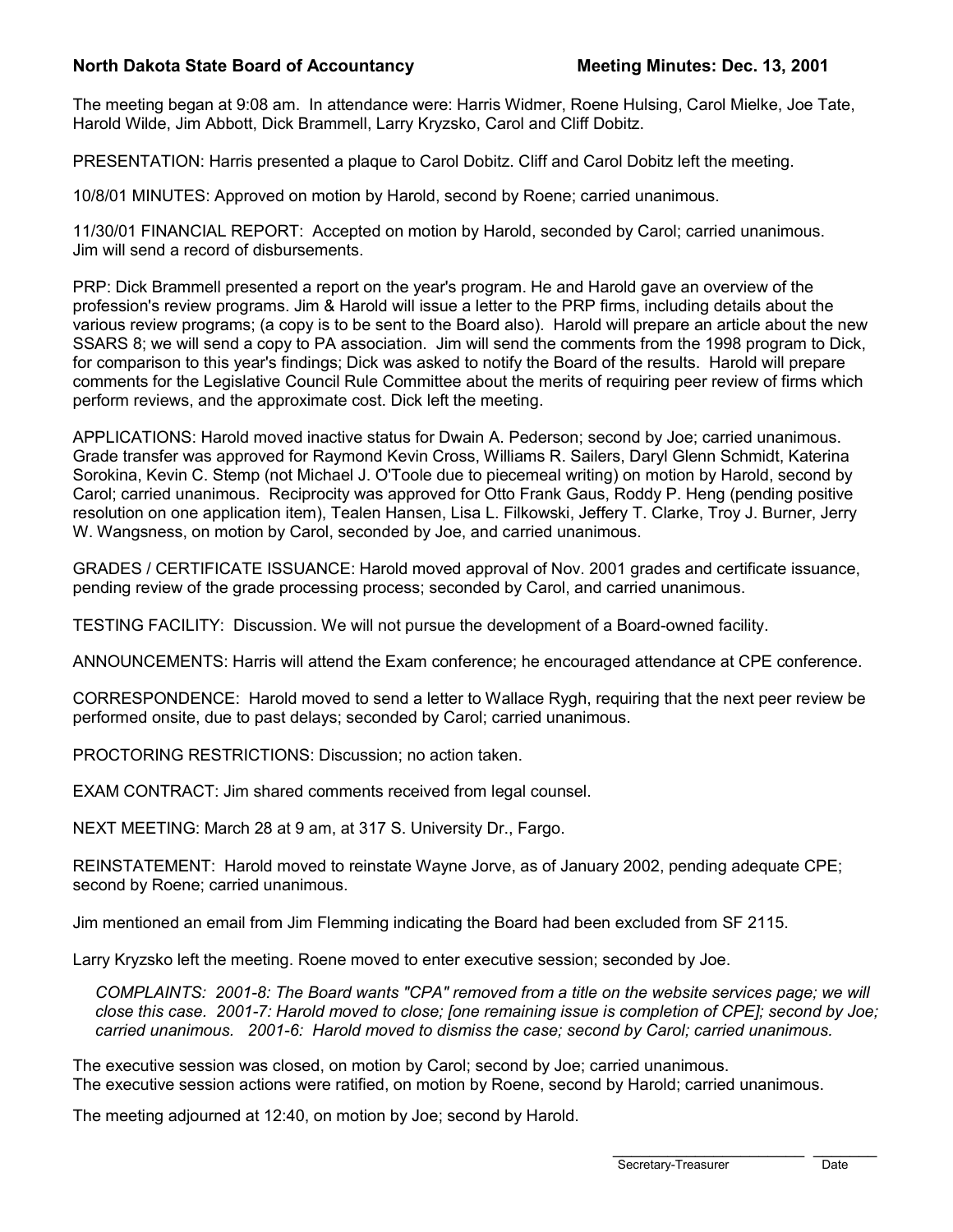#### **North Dakota State Board of Accountancy Meeting Minutes: Dec. 13, 2001**

The meeting began at 9:08 am. In attendance were: Harris Widmer, Roene Hulsing, Carol Mielke, Joe Tate, Harold Wilde, Jim Abbott, Dick Brammell, Larry Kryzsko, Carol and Cliff Dobitz.

PRESENTATION: Harris presented a plaque to Carol Dobitz. Cliff and Carol Dobitz left the meeting.

10/8/01 MINUTES: Approved on motion by Harold, second by Roene; carried unanimous.

11/30/01 FINANCIAL REPORT: Accepted on motion by Harold, seconded by Carol; carried unanimous. Jim will send a record of disbursements.

PRP: Dick Brammell presented a report on the year's program. He and Harold gave an overview of the profession's review programs. Jim & Harold will issue a letter to the PRP firms, including details about the various review programs; (a copy is to be sent to the Board also). Harold will prepare an article about the new SSARS 8; we will send a copy to PA association. Jim will send the comments from the 1998 program to Dick, for comparison to this year's findings; Dick was asked to notify the Board of the results. Harold will prepare comments for the Legislative Council Rule Committee about the merits of requiring peer review of firms which perform reviews, and the approximate cost. Dick left the meeting.

APPLICATIONS: Harold moved inactive status for Dwain A. Pederson; second by Joe; carried unanimous. Grade transfer was approved for Raymond Kevin Cross, Williams R. Sailers, Daryl Glenn Schmidt, Katerina Sorokina, Kevin C. Stemp (not Michael J. O'Toole due to piecemeal writing) on motion by Harold, second by Carol; carried unanimous. Reciprocity was approved for Otto Frank Gaus, Roddy P. Heng (pending positive resolution on one application item), Tealen Hansen, Lisa L. Filkowski, Jeffery T. Clarke, Troy J. Burner, Jerry W. Wangsness, on motion by Carol, seconded by Joe, and carried unanimous.

GRADES / CERTIFICATE ISSUANCE: Harold moved approval of Nov. 2001 grades and certificate issuance, pending review of the grade processing process; seconded by Carol, and carried unanimous.

TESTING FACILITY: Discussion. We will not pursue the development of a Board-owned facility.

ANNOUNCEMENTS: Harris will attend the Exam conference; he encouraged attendance at CPE conference.

CORRESPONDENCE: Harold moved to send a letter to Wallace Rygh, requiring that the next peer review be performed onsite, due to past delays; seconded by Carol; carried unanimous.

PROCTORING RESTRICTIONS: Discussion; no action taken.

EXAM CONTRACT: Jim shared comments received from legal counsel.

NEXT MEETING: March 28 at 9 am, at 317 S. University Dr., Fargo.

REINSTATEMENT: Harold moved to reinstate Wayne Jorve, as of January 2002, pending adequate CPE; second by Roene; carried unanimous.

Jim mentioned an email from Jim Flemming indicating the Board had been excluded from SF 2115.

Larry Kryzsko left the meeting. Roene moved to enter executive session; seconded by Joe.

*COMPLAINTS: 2001-8: The Board wants "CPA" removed from a title on the website services page; we will close this case. 2001-7: Harold moved to close; [one remaining issue is completion of CPE]; second by Joe; carried unanimous. 2001-6: Harold moved to dismiss the case; second by Carol; carried unanimous.*

The executive session was closed, on motion by Carol; second by Joe; carried unanimous. The executive session actions were ratified, on motion by Roene, second by Harold; carried unanimous.

The meeting adjourned at 12:40, on motion by Joe; second by Harold.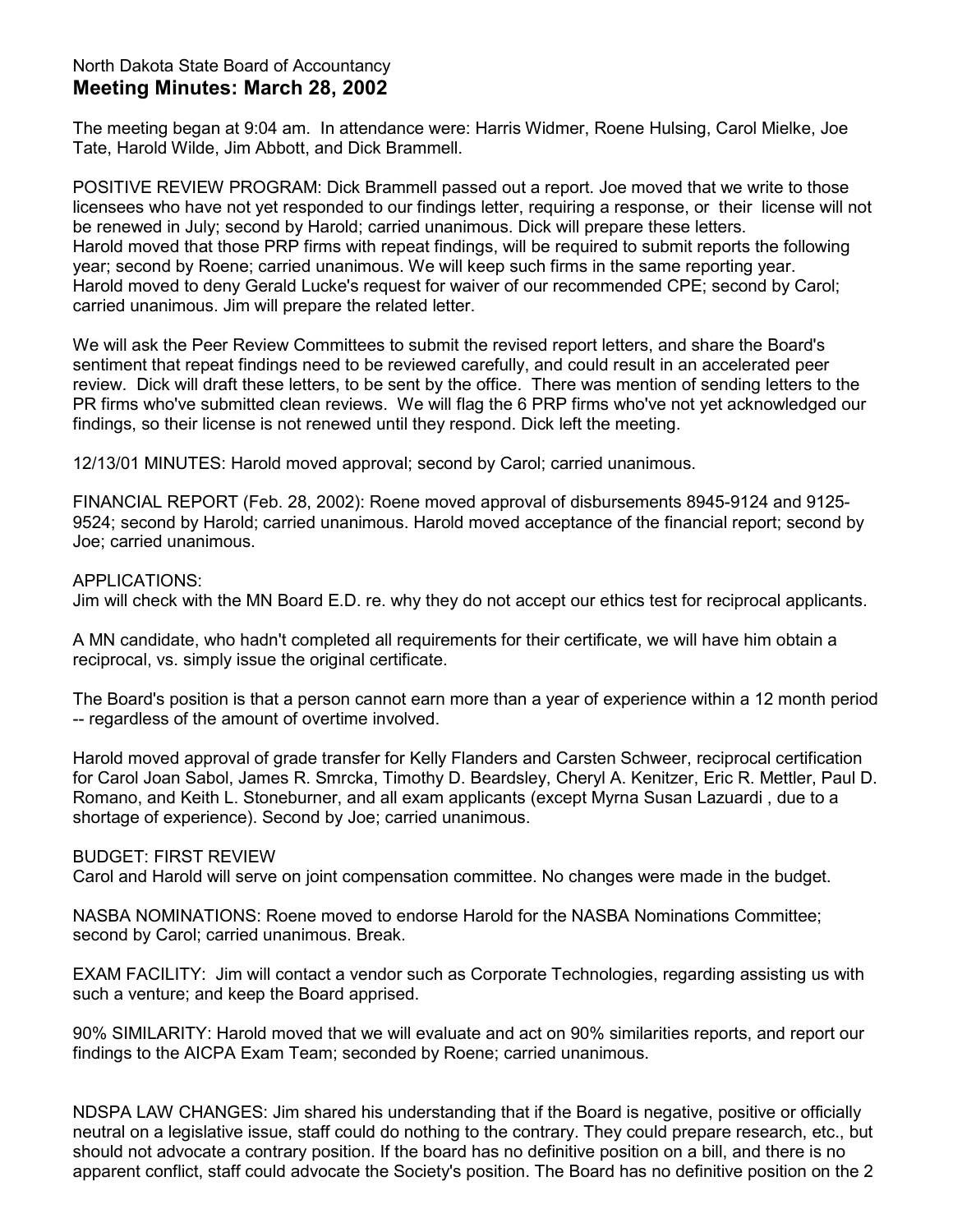## North Dakota State Board of Accountancy **Meeting Minutes: March 28, 2002**

The meeting began at 9:04 am. In attendance were: Harris Widmer, Roene Hulsing, Carol Mielke, Joe Tate, Harold Wilde, Jim Abbott, and Dick Brammell.

POSITIVE REVIEW PROGRAM: Dick Brammell passed out a report. Joe moved that we write to those licensees who have not yet responded to our findings letter, requiring a response, or their license will not be renewed in July; second by Harold; carried unanimous. Dick will prepare these letters. Harold moved that those PRP firms with repeat findings, will be required to submit reports the following year; second by Roene; carried unanimous. We will keep such firms in the same reporting year. Harold moved to deny Gerald Lucke's request for waiver of our recommended CPE; second by Carol; carried unanimous. Jim will prepare the related letter.

We will ask the Peer Review Committees to submit the revised report letters, and share the Board's sentiment that repeat findings need to be reviewed carefully, and could result in an accelerated peer review. Dick will draft these letters, to be sent by the office. There was mention of sending letters to the PR firms who've submitted clean reviews. We will flag the 6 PRP firms who've not yet acknowledged our findings, so their license is not renewed until they respond. Dick left the meeting.

12/13/01 MINUTES: Harold moved approval; second by Carol; carried unanimous.

FINANCIAL REPORT (Feb. 28, 2002): Roene moved approval of disbursements 8945-9124 and 9125- 9524; second by Harold; carried unanimous. Harold moved acceptance of the financial report; second by Joe; carried unanimous.

#### APPLICATIONS:

Jim will check with the MN Board E.D. re. why they do not accept our ethics test for reciprocal applicants.

A MN candidate, who hadn't completed all requirements for their certificate, we will have him obtain a reciprocal, vs. simply issue the original certificate.

The Board's position is that a person cannot earn more than a year of experience within a 12 month period -- regardless of the amount of overtime involved.

Harold moved approval of grade transfer for Kelly Flanders and Carsten Schweer, reciprocal certification for Carol Joan Sabol, James R. Smrcka, Timothy D. Beardsley, Cheryl A. Kenitzer, Eric R. Mettler, Paul D. Romano, and Keith L. Stoneburner, and all exam applicants (except Myrna Susan Lazuardi , due to a shortage of experience). Second by Joe; carried unanimous.

## BUDGET: FIRST REVIEW

Carol and Harold will serve on joint compensation committee. No changes were made in the budget.

NASBA NOMINATIONS: Roene moved to endorse Harold for the NASBA Nominations Committee; second by Carol; carried unanimous. Break.

EXAM FACILITY: Jim will contact a vendor such as Corporate Technologies, regarding assisting us with such a venture; and keep the Board apprised.

90% SIMILARITY: Harold moved that we will evaluate and act on 90% similarities reports, and report our findings to the AICPA Exam Team; seconded by Roene; carried unanimous.

NDSPA LAW CHANGES: Jim shared his understanding that if the Board is negative, positive or officially neutral on a legislative issue, staff could do nothing to the contrary. They could prepare research, etc., but should not advocate a contrary position. If the board has no definitive position on a bill, and there is no apparent conflict, staff could advocate the Society's position. The Board has no definitive position on the 2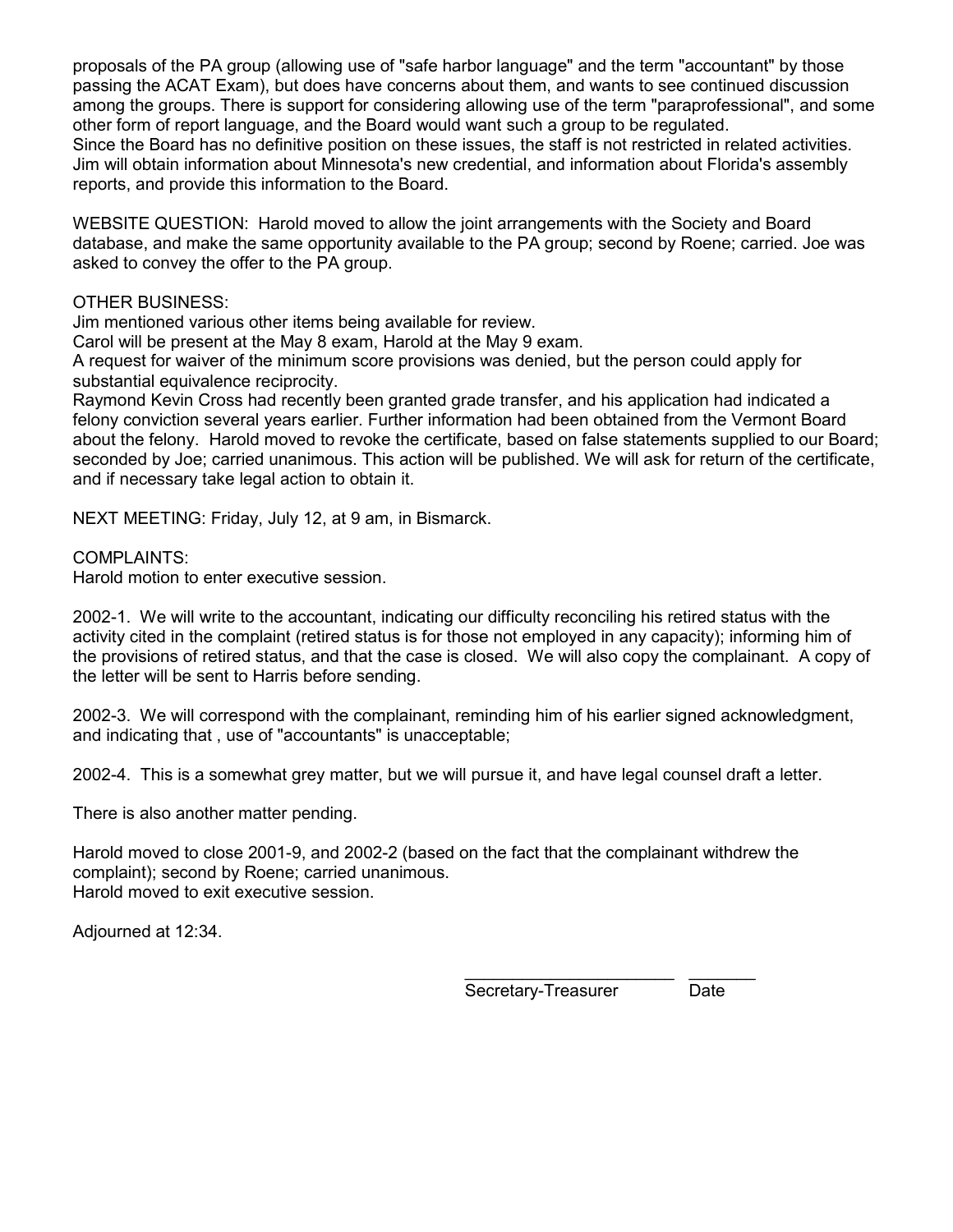proposals of the PA group (allowing use of "safe harbor language" and the term "accountant" by those passing the ACAT Exam), but does have concerns about them, and wants to see continued discussion among the groups. There is support for considering allowing use of the term "paraprofessional", and some other form of report language, and the Board would want such a group to be regulated. Since the Board has no definitive position on these issues, the staff is not restricted in related activities. Jim will obtain information about Minnesota's new credential, and information about Florida's assembly reports, and provide this information to the Board.

WEBSITE QUESTION: Harold moved to allow the joint arrangements with the Society and Board database, and make the same opportunity available to the PA group; second by Roene; carried. Joe was asked to convey the offer to the PA group.

OTHER BUSINESS:

Jim mentioned various other items being available for review.

Carol will be present at the May 8 exam, Harold at the May 9 exam.

A request for waiver of the minimum score provisions was denied, but the person could apply for substantial equivalence reciprocity.

Raymond Kevin Cross had recently been granted grade transfer, and his application had indicated a felony conviction several years earlier. Further information had been obtained from the Vermont Board about the felony. Harold moved to revoke the certificate, based on false statements supplied to our Board; seconded by Joe; carried unanimous. This action will be published. We will ask for return of the certificate, and if necessary take legal action to obtain it.

NEXT MEETING: Friday, July 12, at 9 am, in Bismarck.

COMPLAINTS:

Harold motion to enter executive session.

2002-1. We will write to the accountant, indicating our difficulty reconciling his retired status with the activity cited in the complaint (retired status is for those not employed in any capacity); informing him of the provisions of retired status, and that the case is closed. We will also copy the complainant. A copy of the letter will be sent to Harris before sending.

2002-3. We will correspond with the complainant, reminding him of his earlier signed acknowledgment, and indicating that , use of "accountants" is unacceptable;

2002-4. This is a somewhat grey matter, but we will pursue it, and have legal counsel draft a letter.

There is also another matter pending.

Harold moved to close 2001-9, and 2002-2 (based on the fact that the complainant withdrew the complaint); second by Roene; carried unanimous. Harold moved to exit executive session.

Adjourned at 12:34.

\_\_\_\_\_\_\_\_\_\_\_\_\_\_\_\_\_\_\_\_\_\_ \_\_\_\_\_\_\_ Secretary-Treasurer Date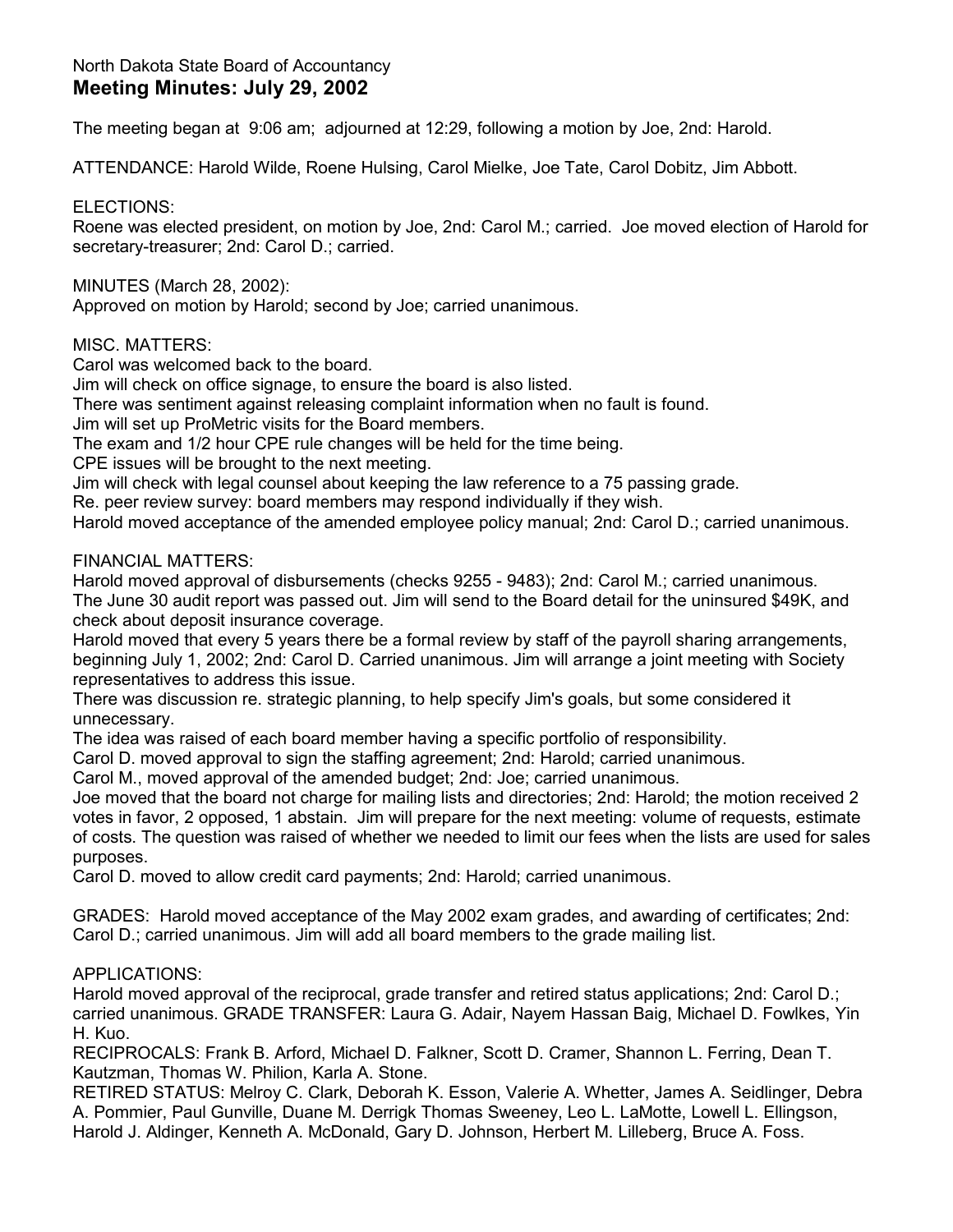## North Dakota State Board of Accountancy **Meeting Minutes: July 29, 2002**

The meeting began at 9:06 am; adjourned at 12:29, following a motion by Joe, 2nd: Harold.

ATTENDANCE: Harold Wilde, Roene Hulsing, Carol Mielke, Joe Tate, Carol Dobitz, Jim Abbott.

ELECTIONS:

Roene was elected president, on motion by Joe, 2nd: Carol M.; carried. Joe moved election of Harold for secretary-treasurer; 2nd: Carol D.; carried.

MINUTES (March 28, 2002):

Approved on motion by Harold; second by Joe; carried unanimous.

MISC. MATTERS:

Carol was welcomed back to the board.

Jim will check on office signage, to ensure the board is also listed.

There was sentiment against releasing complaint information when no fault is found.

Jim will set up ProMetric visits for the Board members.

The exam and 1/2 hour CPE rule changes will be held for the time being.

CPE issues will be brought to the next meeting.

Jim will check with legal counsel about keeping the law reference to a 75 passing grade.

Re. peer review survey: board members may respond individually if they wish.

Harold moved acceptance of the amended employee policy manual; 2nd: Carol D.; carried unanimous.

FINANCIAL MATTERS:

Harold moved approval of disbursements (checks 9255 - 9483); 2nd: Carol M.; carried unanimous. The June 30 audit report was passed out. Jim will send to the Board detail for the uninsured \$49K, and check about deposit insurance coverage.

Harold moved that every 5 years there be a formal review by staff of the payroll sharing arrangements, beginning July 1, 2002; 2nd: Carol D. Carried unanimous. Jim will arrange a joint meeting with Society representatives to address this issue.

There was discussion re. strategic planning, to help specify Jim's goals, but some considered it unnecessary.

The idea was raised of each board member having a specific portfolio of responsibility.

Carol D. moved approval to sign the staffing agreement; 2nd: Harold; carried unanimous.

Carol M., moved approval of the amended budget; 2nd: Joe; carried unanimous.

Joe moved that the board not charge for mailing lists and directories; 2nd: Harold; the motion received 2 votes in favor, 2 opposed, 1 abstain. Jim will prepare for the next meeting: volume of requests, estimate of costs. The question was raised of whether we needed to limit our fees when the lists are used for sales purposes.

Carol D. moved to allow credit card payments; 2nd: Harold; carried unanimous.

GRADES: Harold moved acceptance of the May 2002 exam grades, and awarding of certificates; 2nd: Carol D.; carried unanimous. Jim will add all board members to the grade mailing list.

### APPLICATIONS:

Harold moved approval of the reciprocal, grade transfer and retired status applications; 2nd: Carol D.; carried unanimous. GRADE TRANSFER: Laura G. Adair, Nayem Hassan Baig, Michael D. Fowlkes, Yin H. Kuo.

RECIPROCALS: Frank B. Arford, Michael D. Falkner, Scott D. Cramer, Shannon L. Ferring, Dean T. Kautzman, Thomas W. Philion, Karla A. Stone.

RETIRED STATUS: Melroy C. Clark, Deborah K. Esson, Valerie A. Whetter, James A. Seidlinger, Debra A. Pommier, Paul Gunville, Duane M. Derrigk Thomas Sweeney, Leo L. LaMotte, Lowell L. Ellingson, Harold J. Aldinger, Kenneth A. McDonald, Gary D. Johnson, Herbert M. Lilleberg, Bruce A. Foss.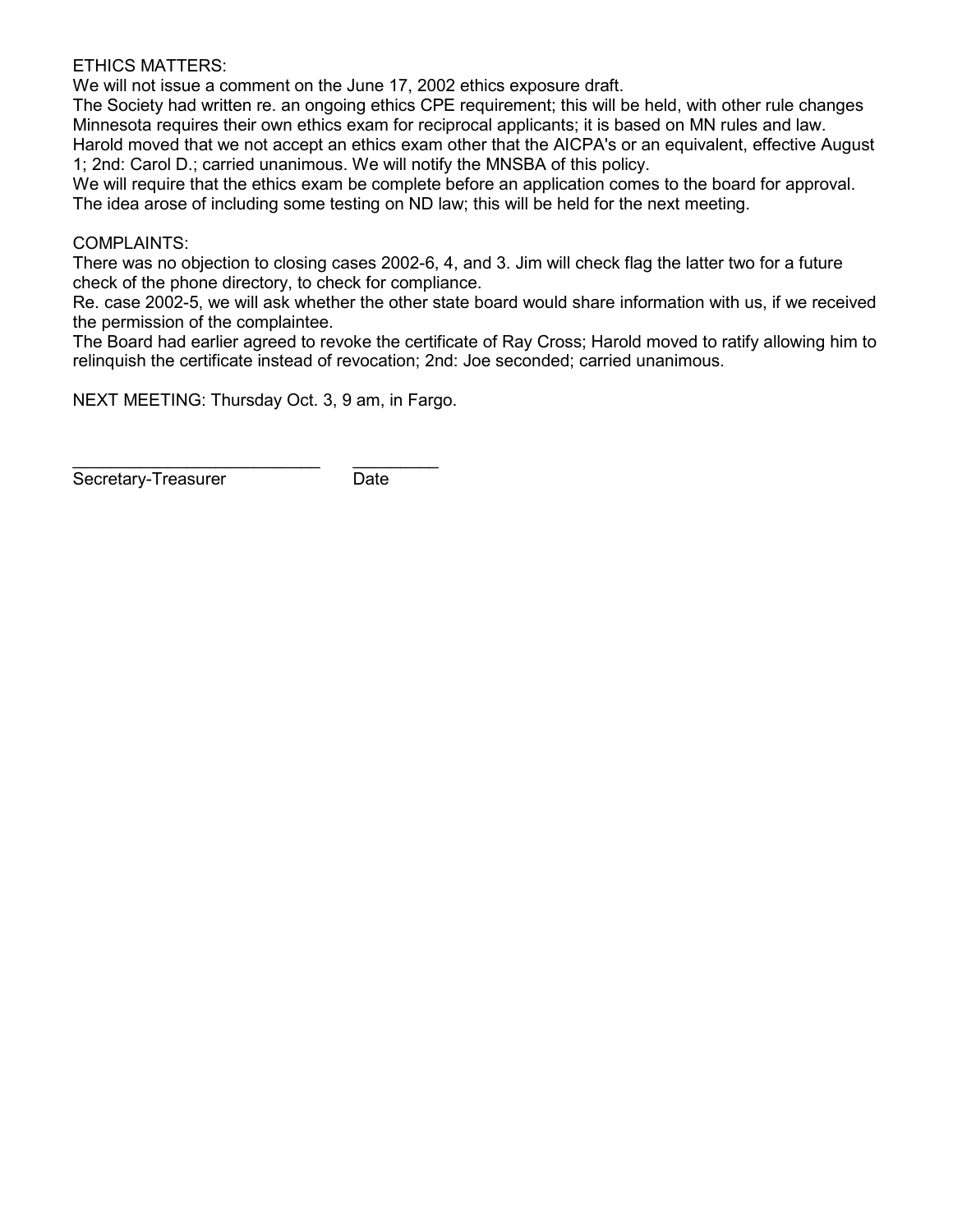#### ETHICS MATTERS:

We will not issue a comment on the June 17, 2002 ethics exposure draft.

The Society had written re. an ongoing ethics CPE requirement; this will be held, with other rule changes Minnesota requires their own ethics exam for reciprocal applicants; it is based on MN rules and law. Harold moved that we not accept an ethics exam other that the AICPA's or an equivalent, effective August 1; 2nd: Carol D.; carried unanimous. We will notify the MNSBA of this policy.

We will require that the ethics exam be complete before an application comes to the board for approval. The idea arose of including some testing on ND law; this will be held for the next meeting.

#### COMPLAINTS:

There was no objection to closing cases 2002-6, 4, and 3. Jim will check flag the latter two for a future check of the phone directory, to check for compliance.

Re. case 2002-5, we will ask whether the other state board would share information with us, if we received the permission of the complaintee.

The Board had earlier agreed to revoke the certificate of Ray Cross; Harold moved to ratify allowing him to relinquish the certificate instead of revocation; 2nd: Joe seconded; carried unanimous.

NEXT MEETING: Thursday Oct. 3, 9 am, in Fargo.

Secretary-Treasurer Date

\_\_\_\_\_\_\_\_\_\_\_\_\_\_\_\_\_\_\_\_\_\_\_\_\_\_ \_\_\_\_\_\_\_\_\_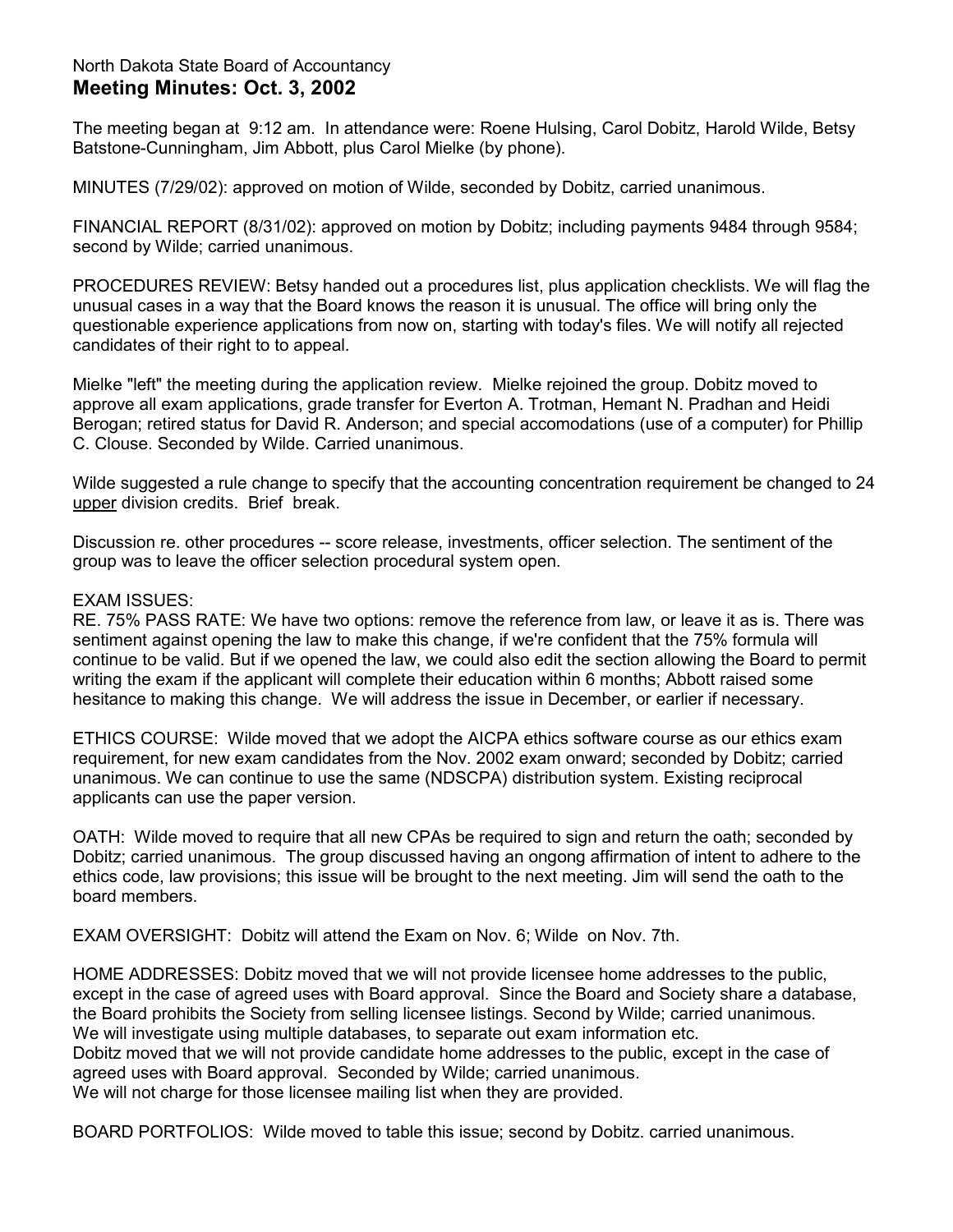## North Dakota State Board of Accountancy **Meeting Minutes: Oct. 3, 2002**

The meeting began at 9:12 am. In attendance were: Roene Hulsing, Carol Dobitz, Harold Wilde, Betsy Batstone-Cunningham, Jim Abbott, plus Carol Mielke (by phone).

MINUTES (7/29/02): approved on motion of Wilde, seconded by Dobitz, carried unanimous.

FINANCIAL REPORT (8/31/02): approved on motion by Dobitz; including payments 9484 through 9584; second by Wilde; carried unanimous.

PROCEDURES REVIEW: Betsy handed out a procedures list, plus application checklists. We will flag the unusual cases in a way that the Board knows the reason it is unusual. The office will bring only the questionable experience applications from now on, starting with today's files. We will notify all rejected candidates of their right to to appeal.

Mielke "left" the meeting during the application review. Mielke rejoined the group. Dobitz moved to approve all exam applications, grade transfer for Everton A. Trotman, Hemant N. Pradhan and Heidi Berogan; retired status for David R. Anderson; and special accomodations (use of a computer) for Phillip C. Clouse. Seconded by Wilde. Carried unanimous.

Wilde suggested a rule change to specify that the accounting concentration requirement be changed to 24 upper division credits. Brief break.

Discussion re. other procedures -- score release, investments, officer selection. The sentiment of the group was to leave the officer selection procedural system open.

#### EXAM ISSUES:

RE. 75% PASS RATE: We have two options: remove the reference from law, or leave it as is. There was sentiment against opening the law to make this change, if we're confident that the 75% formula will continue to be valid. But if we opened the law, we could also edit the section allowing the Board to permit writing the exam if the applicant will complete their education within 6 months; Abbott raised some hesitance to making this change. We will address the issue in December, or earlier if necessary.

ETHICS COURSE: Wilde moved that we adopt the AICPA ethics software course as our ethics exam requirement, for new exam candidates from the Nov. 2002 exam onward; seconded by Dobitz; carried unanimous. We can continue to use the same (NDSCPA) distribution system. Existing reciprocal applicants can use the paper version.

OATH: Wilde moved to require that all new CPAs be required to sign and return the oath; seconded by Dobitz; carried unanimous. The group discussed having an ongong affirmation of intent to adhere to the ethics code, law provisions; this issue will be brought to the next meeting. Jim will send the oath to the board members.

EXAM OVERSIGHT: Dobitz will attend the Exam on Nov. 6; Wilde on Nov. 7th.

HOME ADDRESSES: Dobitz moved that we will not provide licensee home addresses to the public, except in the case of agreed uses with Board approval. Since the Board and Society share a database, the Board prohibits the Society from selling licensee listings. Second by Wilde; carried unanimous. We will investigate using multiple databases, to separate out exam information etc. Dobitz moved that we will not provide candidate home addresses to the public, except in the case of agreed uses with Board approval. Seconded by Wilde; carried unanimous. We will not charge for those licensee mailing list when they are provided.

BOARD PORTFOLIOS: Wilde moved to table this issue; second by Dobitz. carried unanimous.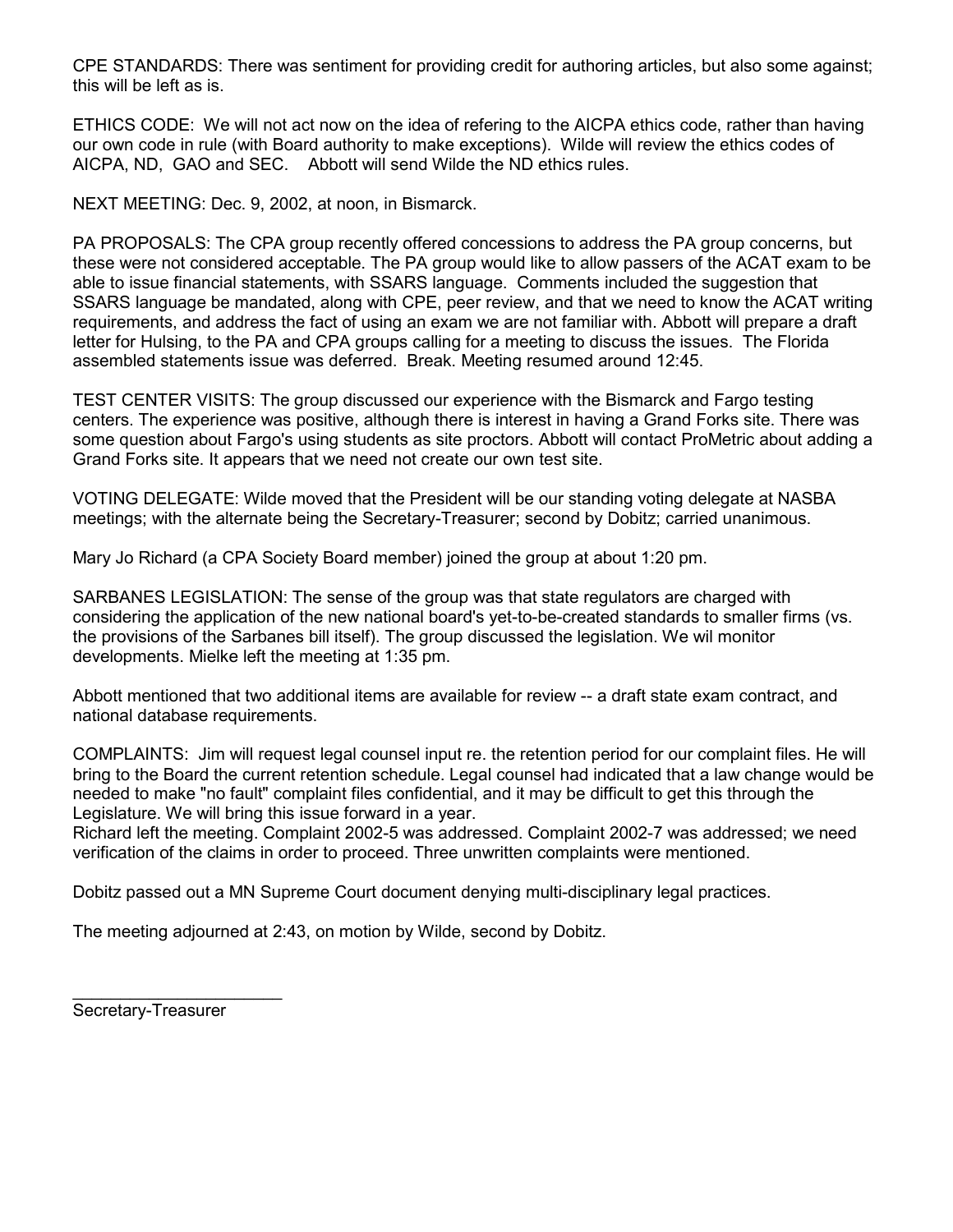CPE STANDARDS: There was sentiment for providing credit for authoring articles, but also some against; this will be left as is.

ETHICS CODE: We will not act now on the idea of refering to the AICPA ethics code, rather than having our own code in rule (with Board authority to make exceptions). Wilde will review the ethics codes of AICPA, ND, GAO and SEC. Abbott will send Wilde the ND ethics rules.

NEXT MEETING: Dec. 9, 2002, at noon, in Bismarck.

PA PROPOSALS: The CPA group recently offered concessions to address the PA group concerns, but these were not considered acceptable. The PA group would like to allow passers of the ACAT exam to be able to issue financial statements, with SSARS language. Comments included the suggestion that SSARS language be mandated, along with CPE, peer review, and that we need to know the ACAT writing requirements, and address the fact of using an exam we are not familiar with. Abbott will prepare a draft letter for Hulsing, to the PA and CPA groups calling for a meeting to discuss the issues. The Florida assembled statements issue was deferred. Break. Meeting resumed around 12:45.

TEST CENTER VISITS: The group discussed our experience with the Bismarck and Fargo testing centers. The experience was positive, although there is interest in having a Grand Forks site. There was some question about Fargo's using students as site proctors. Abbott will contact ProMetric about adding a Grand Forks site. It appears that we need not create our own test site.

VOTING DELEGATE: Wilde moved that the President will be our standing voting delegate at NASBA meetings; with the alternate being the Secretary-Treasurer; second by Dobitz; carried unanimous.

Mary Jo Richard (a CPA Society Board member) joined the group at about 1:20 pm.

SARBANES LEGISLATION: The sense of the group was that state regulators are charged with considering the application of the new national board's yet-to-be-created standards to smaller firms (vs. the provisions of the Sarbanes bill itself). The group discussed the legislation. We wil monitor developments. Mielke left the meeting at 1:35 pm.

Abbott mentioned that two additional items are available for review -- a draft state exam contract, and national database requirements.

COMPLAINTS: Jim will request legal counsel input re. the retention period for our complaint files. He will bring to the Board the current retention schedule. Legal counsel had indicated that a law change would be needed to make "no fault" complaint files confidential, and it may be difficult to get this through the Legislature. We will bring this issue forward in a year.

Richard left the meeting. Complaint 2002-5 was addressed. Complaint 2002-7 was addressed; we need verification of the claims in order to proceed. Three unwritten complaints were mentioned.

Dobitz passed out a MN Supreme Court document denying multi-disciplinary legal practices.

The meeting adjourned at 2:43, on motion by Wilde, second by Dobitz.

Secretary-Treasurer

 $\frac{1}{2}$  , and the set of the set of the set of the set of the set of the set of the set of the set of the set of the set of the set of the set of the set of the set of the set of the set of the set of the set of the set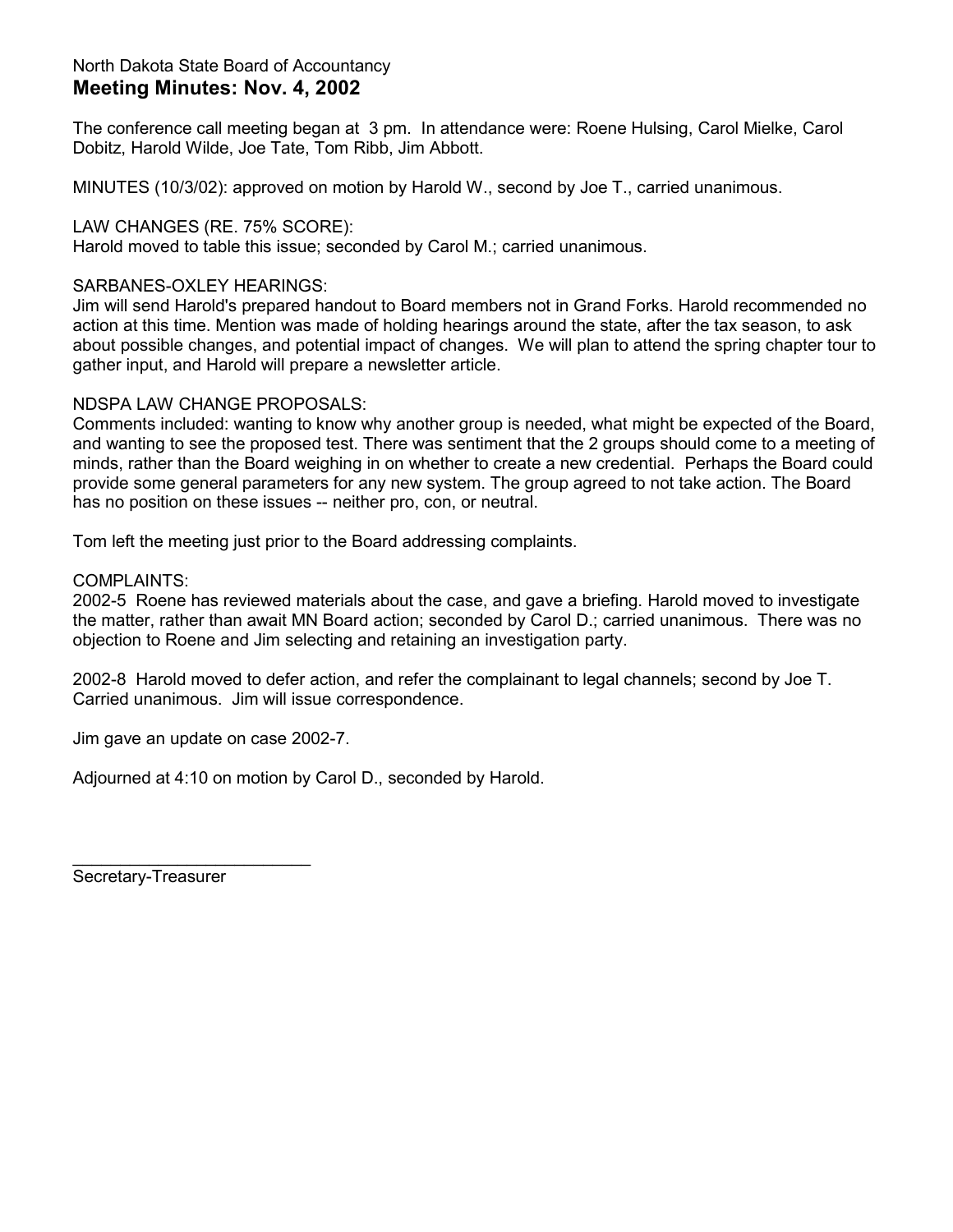## North Dakota State Board of Accountancy **Meeting Minutes: Nov. 4, 2002**

The conference call meeting began at 3 pm. In attendance were: Roene Hulsing, Carol Mielke, Carol Dobitz, Harold Wilde, Joe Tate, Tom Ribb, Jim Abbott.

MINUTES (10/3/02): approved on motion by Harold W., second by Joe T., carried unanimous.

## LAW CHANGES (RE. 75% SCORE):

Harold moved to table this issue; seconded by Carol M.; carried unanimous.

## SARBANES-OXLEY HEARINGS:

Jim will send Harold's prepared handout to Board members not in Grand Forks. Harold recommended no action at this time. Mention was made of holding hearings around the state, after the tax season, to ask about possible changes, and potential impact of changes. We will plan to attend the spring chapter tour to gather input, and Harold will prepare a newsletter article.

## NDSPA LAW CHANGE PROPOSALS:

Comments included: wanting to know why another group is needed, what might be expected of the Board, and wanting to see the proposed test. There was sentiment that the 2 groups should come to a meeting of minds, rather than the Board weighing in on whether to create a new credential. Perhaps the Board could provide some general parameters for any new system. The group agreed to not take action. The Board has no position on these issues -- neither pro, con, or neutral.

Tom left the meeting just prior to the Board addressing complaints.

### COMPLAINTS:

2002-5 Roene has reviewed materials about the case, and gave a briefing. Harold moved to investigate the matter, rather than await MN Board action; seconded by Carol D.; carried unanimous. There was no objection to Roene and Jim selecting and retaining an investigation party.

2002-8 Harold moved to defer action, and refer the complainant to legal channels; second by Joe T. Carried unanimous. Jim will issue correspondence.

Jim gave an update on case 2002-7.

Adjourned at 4:10 on motion by Carol D., seconded by Harold.

Secretary-Treasurer

\_\_\_\_\_\_\_\_\_\_\_\_\_\_\_\_\_\_\_\_\_\_\_\_\_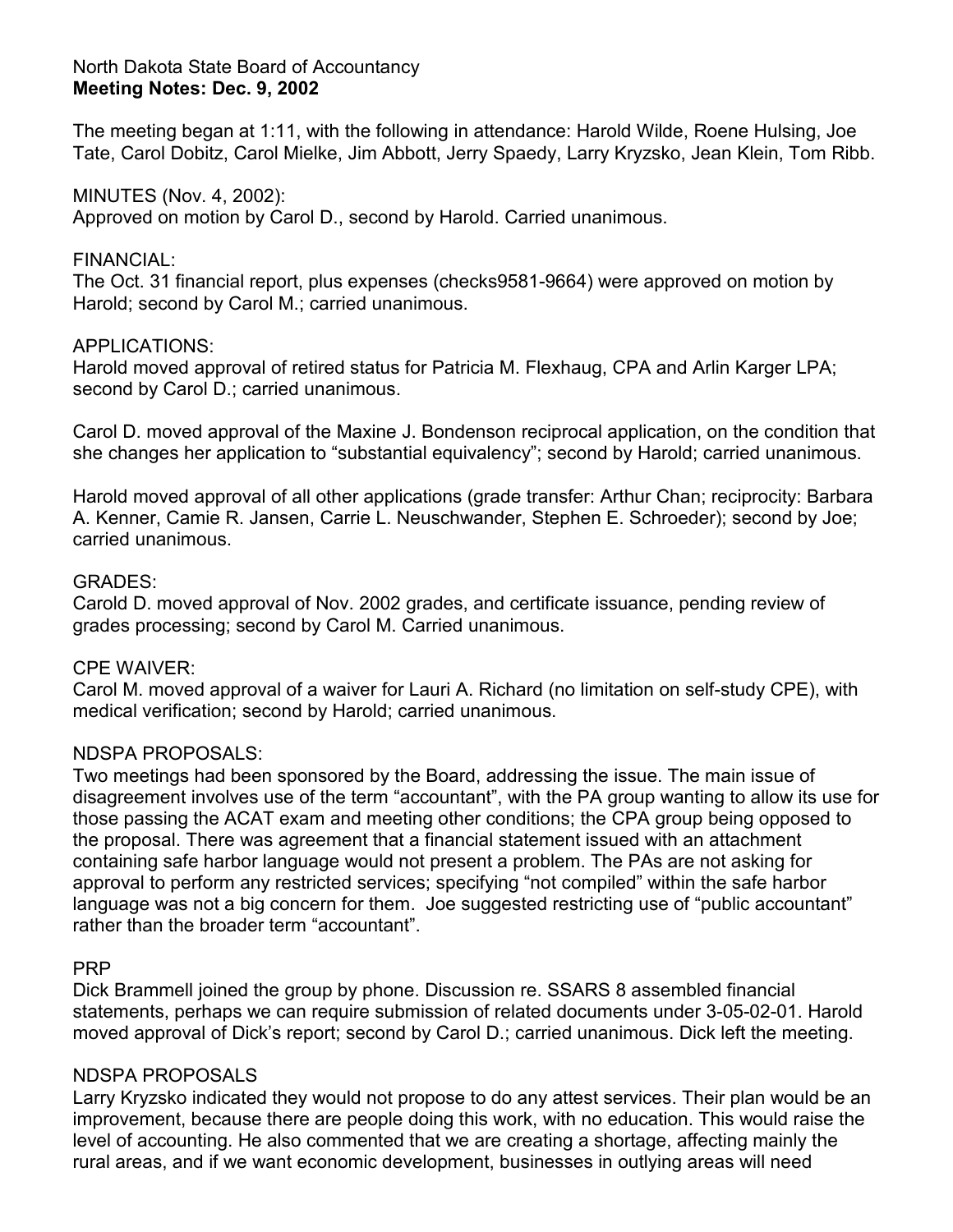## North Dakota State Board of Accountancy **Meeting Notes: Dec. 9, 2002**

The meeting began at 1:11, with the following in attendance: Harold Wilde, Roene Hulsing, Joe Tate, Carol Dobitz, Carol Mielke, Jim Abbott, Jerry Spaedy, Larry Kryzsko, Jean Klein, Tom Ribb.

## MINUTES (Nov. 4, 2002):

Approved on motion by Carol D., second by Harold. Carried unanimous.

## FINANCIAL:

The Oct. 31 financial report, plus expenses (checks9581-9664) were approved on motion by Harold; second by Carol M.; carried unanimous.

## APPLICATIONS:

Harold moved approval of retired status for Patricia M. Flexhaug, CPA and Arlin Karger LPA; second by Carol D.; carried unanimous.

Carol D. moved approval of the Maxine J. Bondenson reciprocal application, on the condition that she changes her application to "substantial equivalency"; second by Harold; carried unanimous.

Harold moved approval of all other applications (grade transfer: Arthur Chan; reciprocity: Barbara A. Kenner, Camie R. Jansen, Carrie L. Neuschwander, Stephen E. Schroeder); second by Joe; carried unanimous.

## GRADES:

Carold D. moved approval of Nov. 2002 grades, and certificate issuance, pending review of grades processing; second by Carol M. Carried unanimous.

### CPE WAIVER:

Carol M. moved approval of a waiver for Lauri A. Richard (no limitation on self-study CPE), with medical verification; second by Harold; carried unanimous.

## NDSPA PROPOSALS:

Two meetings had been sponsored by the Board, addressing the issue. The main issue of disagreement involves use of the term "accountant", with the PA group wanting to allow its use for those passing the ACAT exam and meeting other conditions; the CPA group being opposed to the proposal. There was agreement that a financial statement issued with an attachment containing safe harbor language would not present a problem. The PAs are not asking for approval to perform any restricted services; specifying "not compiled" within the safe harbor language was not a big concern for them. Joe suggested restricting use of "public accountant" rather than the broader term "accountant".

## PRP

Dick Brammell joined the group by phone. Discussion re. SSARS 8 assembled financial statements, perhaps we can require submission of related documents under 3-05-02-01. Harold moved approval of Dick's report; second by Carol D.; carried unanimous. Dick left the meeting.

## NDSPA PROPOSALS

Larry Kryzsko indicated they would not propose to do any attest services. Their plan would be an improvement, because there are people doing this work, with no education. This would raise the level of accounting. He also commented that we are creating a shortage, affecting mainly the rural areas, and if we want economic development, businesses in outlying areas will need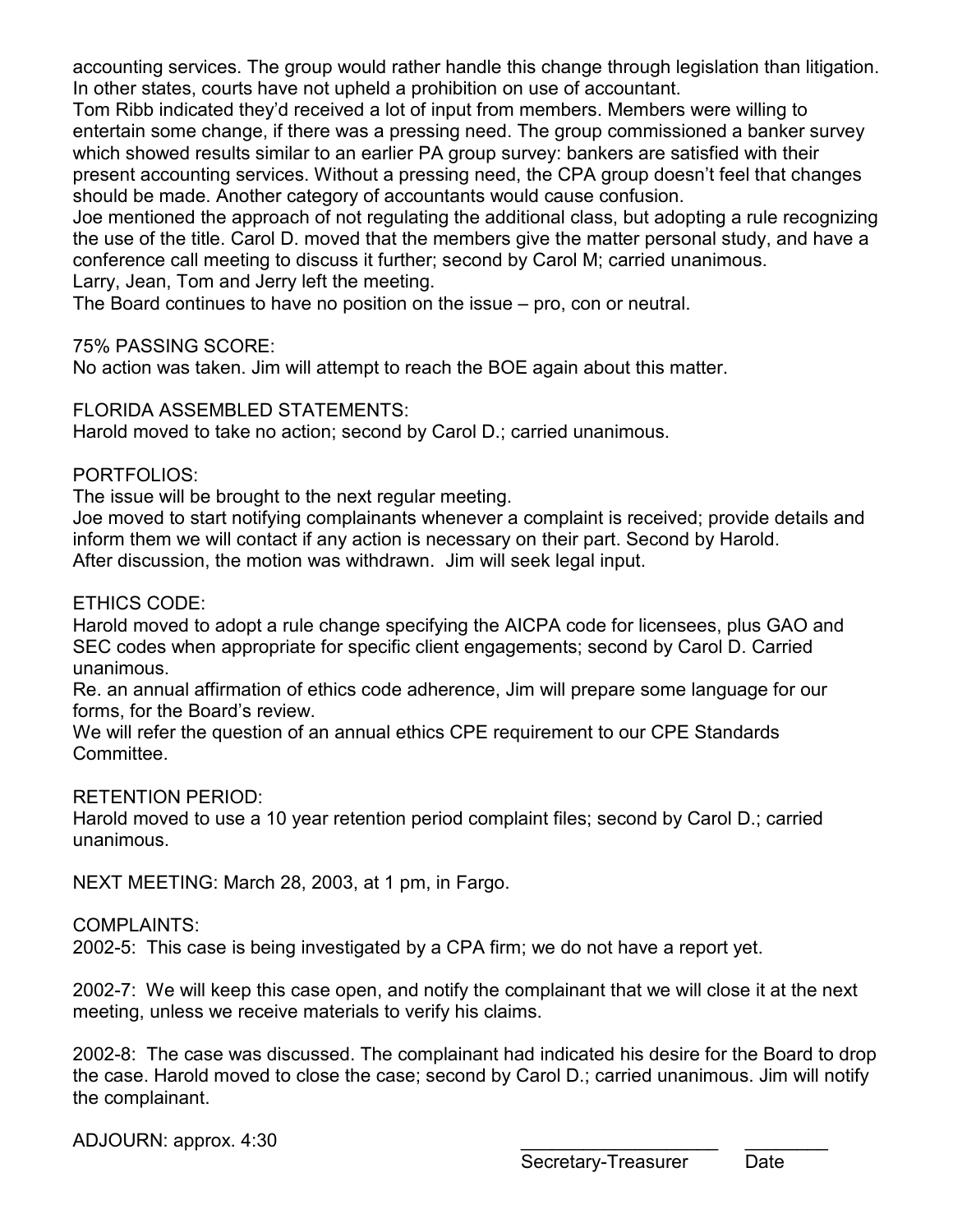accounting services. The group would rather handle this change through legislation than litigation. In other states, courts have not upheld a prohibition on use of accountant.

Tom Ribb indicated they'd received a lot of input from members. Members were willing to entertain some change, if there was a pressing need. The group commissioned a banker survey which showed results similar to an earlier PA group survey: bankers are satisfied with their present accounting services. Without a pressing need, the CPA group doesn't feel that changes should be made. Another category of accountants would cause confusion.

Joe mentioned the approach of not regulating the additional class, but adopting a rule recognizing the use of the title. Carol D. moved that the members give the matter personal study, and have a conference call meeting to discuss it further; second by Carol M; carried unanimous. Larry, Jean, Tom and Jerry left the meeting.

The Board continues to have no position on the issue – pro, con or neutral.

# 75% PASSING SCORE:

No action was taken. Jim will attempt to reach the BOE again about this matter.

# FLORIDA ASSEMBLED STATEMENTS:

Harold moved to take no action; second by Carol D.; carried unanimous.

# PORTFOLIOS:

The issue will be brought to the next regular meeting.

Joe moved to start notifying complainants whenever a complaint is received; provide details and inform them we will contact if any action is necessary on their part. Second by Harold. After discussion, the motion was withdrawn. Jim will seek legal input.

# ETHICS CODE:

Harold moved to adopt a rule change specifying the AICPA code for licensees, plus GAO and SEC codes when appropriate for specific client engagements; second by Carol D. Carried unanimous.

Re. an annual affirmation of ethics code adherence, Jim will prepare some language for our forms, for the Board's review.

We will refer the question of an annual ethics CPE requirement to our CPE Standards Committee.

# RETENTION PERIOD:

Harold moved to use a 10 year retention period complaint files; second by Carol D.; carried unanimous.

NEXT MEETING: March 28, 2003, at 1 pm, in Fargo.

# COMPLAINTS:

2002-5: This case is being investigated by a CPA firm; we do not have a report yet.

2002-7: We will keep this case open, and notify the complainant that we will close it at the next meeting, unless we receive materials to verify his claims.

2002-8: The case was discussed. The complainant had indicated his desire for the Board to drop the case. Harold moved to close the case; second by Carol D.; carried unanimous. Jim will notify the complainant.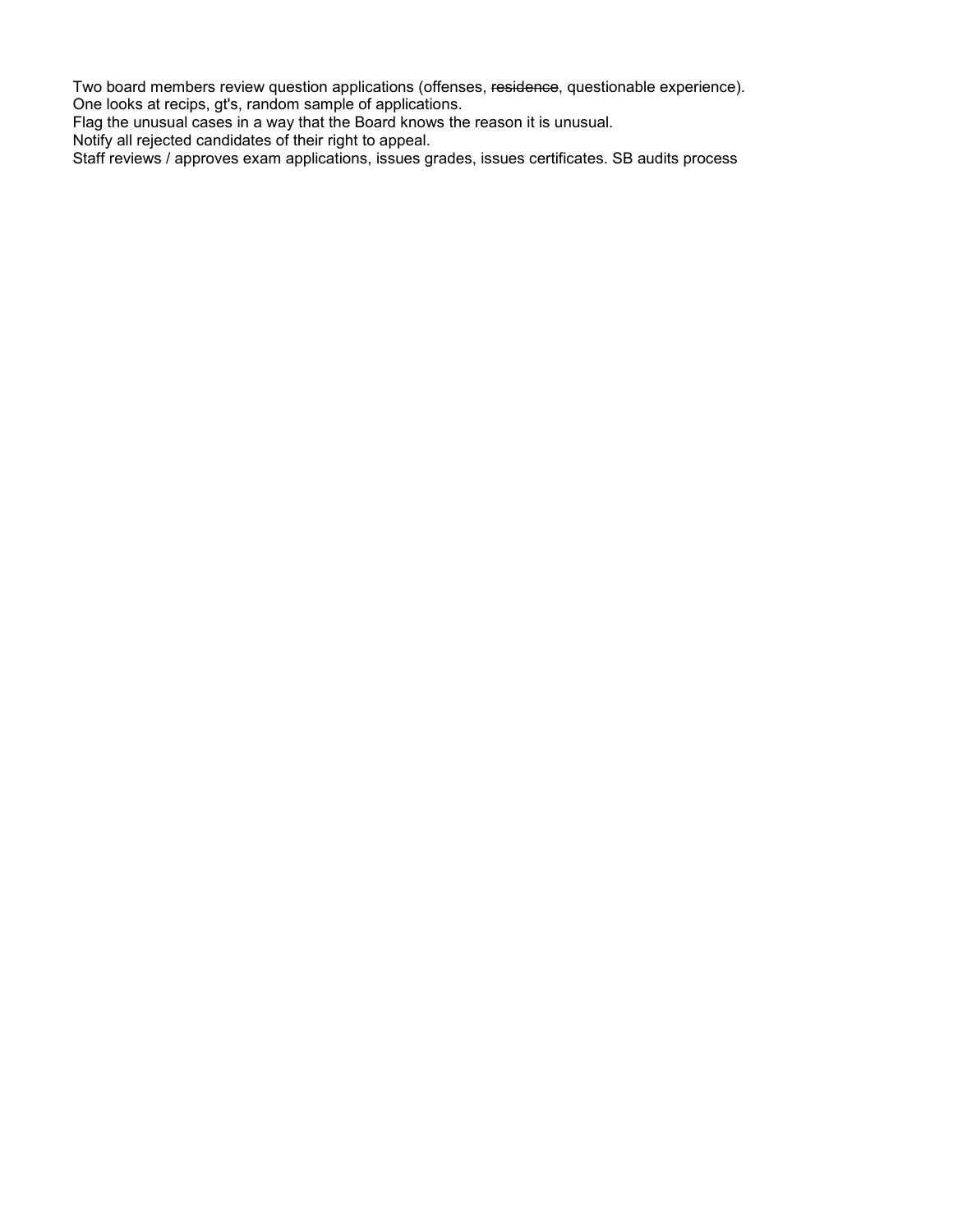Two board members review question applications (offenses, residence, questionable experience). One looks at recips, gt's, random sample of applications.

Flag the unusual cases in a way that the Board knows the reason it is unusual.

Notify all rejected candidates of their right to appeal.

Staff reviews / approves exam applications, issues grades, issues certificates. SB audits process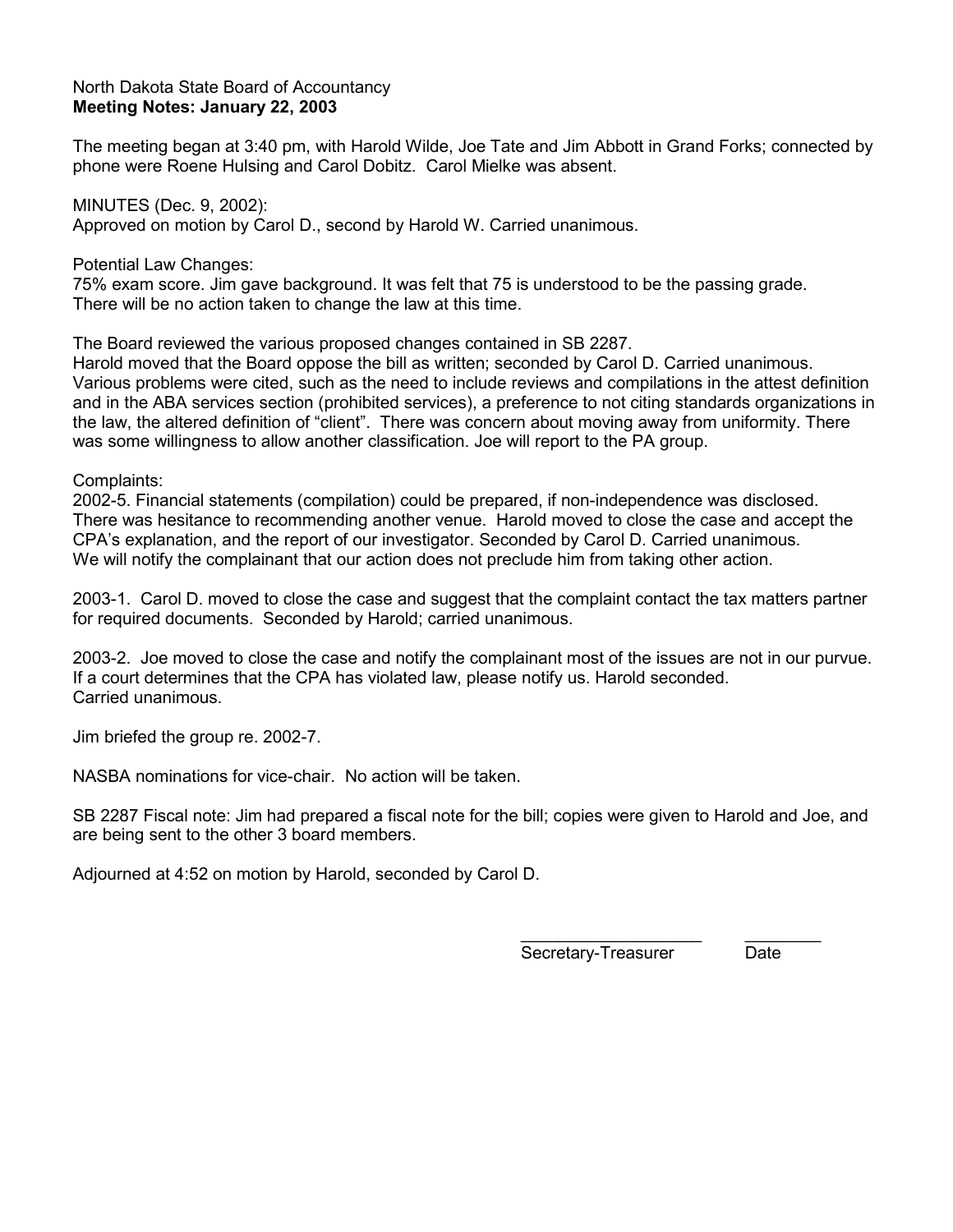### North Dakota State Board of Accountancy **Meeting Notes: January 22, 2003**

The meeting began at 3:40 pm, with Harold Wilde, Joe Tate and Jim Abbott in Grand Forks; connected by phone were Roene Hulsing and Carol Dobitz. Carol Mielke was absent.

MINUTES (Dec. 9, 2002): Approved on motion by Carol D., second by Harold W. Carried unanimous.

Potential Law Changes:

75% exam score. Jim gave background. It was felt that 75 is understood to be the passing grade. There will be no action taken to change the law at this time.

The Board reviewed the various proposed changes contained in SB 2287.

Harold moved that the Board oppose the bill as written; seconded by Carol D. Carried unanimous. Various problems were cited, such as the need to include reviews and compilations in the attest definition and in the ABA services section (prohibited services), a preference to not citing standards organizations in the law, the altered definition of "client". There was concern about moving away from uniformity. There was some willingness to allow another classification. Joe will report to the PA group.

Complaints:

2002-5. Financial statements (compilation) could be prepared, if non-independence was disclosed. There was hesitance to recommending another venue. Harold moved to close the case and accept the CPA's explanation, and the report of our investigator. Seconded by Carol D. Carried unanimous. We will notify the complainant that our action does not preclude him from taking other action.

2003-1. Carol D. moved to close the case and suggest that the complaint contact the tax matters partner for required documents. Seconded by Harold; carried unanimous.

2003-2. Joe moved to close the case and notify the complainant most of the issues are not in our purvue. If a court determines that the CPA has violated law, please notify us. Harold seconded. Carried unanimous.

Jim briefed the group re. 2002-7.

NASBA nominations for vice-chair. No action will be taken.

SB 2287 Fiscal note: Jim had prepared a fiscal note for the bill; copies were given to Harold and Joe, and are being sent to the other 3 board members.

Adjourned at 4:52 on motion by Harold, seconded by Carol D.

\_\_\_\_\_\_\_\_\_\_\_\_\_\_\_\_\_\_\_ \_\_\_\_\_\_\_\_ Secretary-Treasurer Date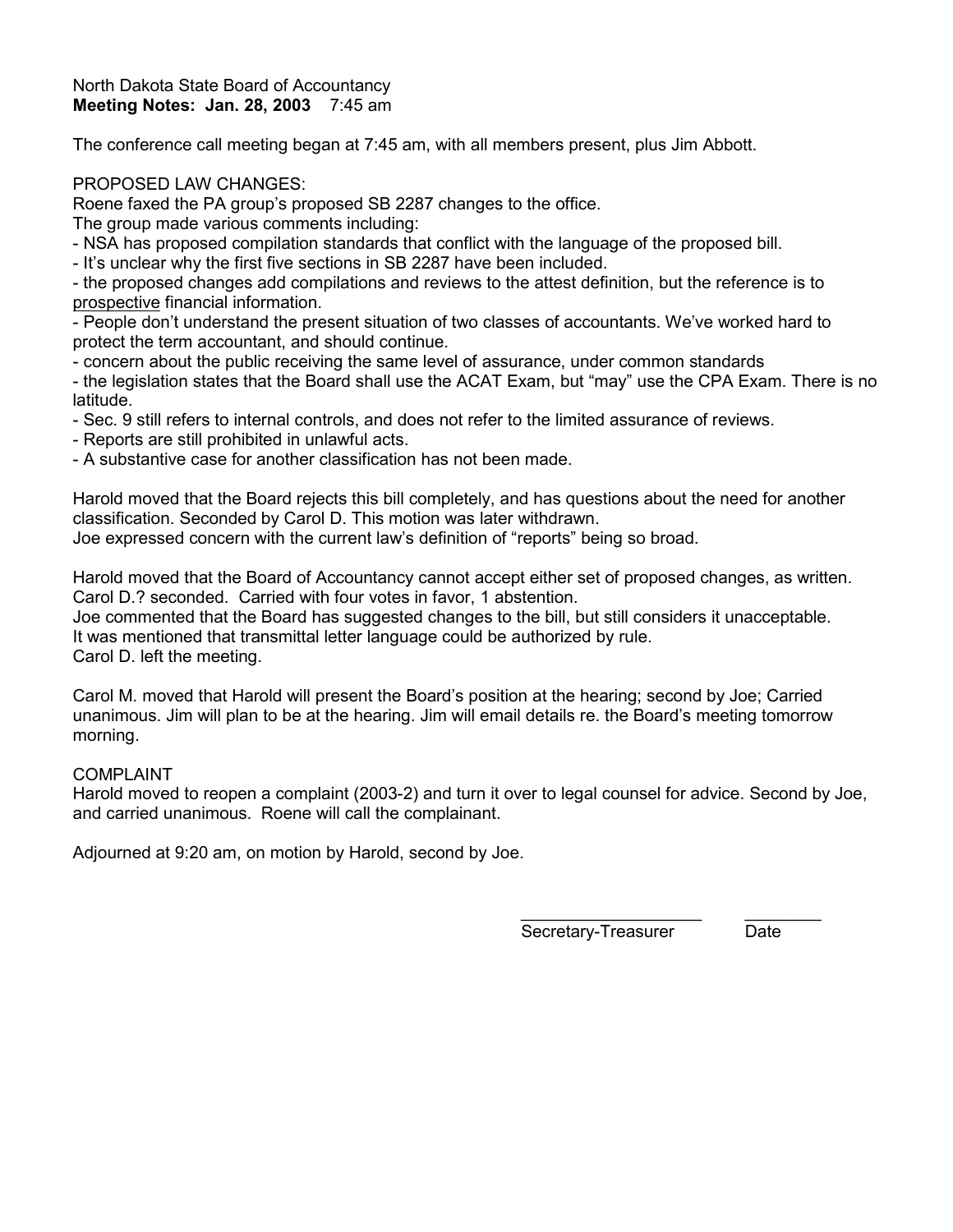#### North Dakota State Board of Accountancy **Meeting Notes: Jan. 28, 2003** 7:45 am

The conference call meeting began at 7:45 am, with all members present, plus Jim Abbott.

### PROPOSED LAW CHANGES:

Roene faxed the PA group's proposed SB 2287 changes to the office.

The group made various comments including:

- NSA has proposed compilation standards that conflict with the language of the proposed bill.

- It's unclear why the first five sections in SB 2287 have been included.

- the proposed changes add compilations and reviews to the attest definition, but the reference is to prospective financial information.

- People don't understand the present situation of two classes of accountants. We've worked hard to protect the term accountant, and should continue.

- concern about the public receiving the same level of assurance, under common standards

- the legislation states that the Board shall use the ACAT Exam, but "may" use the CPA Exam. There is no latitude.

- Sec. 9 still refers to internal controls, and does not refer to the limited assurance of reviews.
- Reports are still prohibited in unlawful acts.
- A substantive case for another classification has not been made.

Harold moved that the Board rejects this bill completely, and has questions about the need for another classification. Seconded by Carol D. This motion was later withdrawn. Joe expressed concern with the current law's definition of "reports" being so broad.

Harold moved that the Board of Accountancy cannot accept either set of proposed changes, as written. Carol D.? seconded. Carried with four votes in favor, 1 abstention.

Joe commented that the Board has suggested changes to the bill, but still considers it unacceptable. It was mentioned that transmittal letter language could be authorized by rule. Carol D. left the meeting.

Carol M. moved that Harold will present the Board's position at the hearing; second by Joe; Carried unanimous. Jim will plan to be at the hearing. Jim will email details re. the Board's meeting tomorrow morning.

### COMPLAINT

Harold moved to reopen a complaint (2003-2) and turn it over to legal counsel for advice. Second by Joe, and carried unanimous. Roene will call the complainant.

Adjourned at 9:20 am, on motion by Harold, second by Joe.

Secretary-Treasurer Date

\_\_\_\_\_\_\_\_\_\_\_\_\_\_\_\_\_\_\_ \_\_\_\_\_\_\_\_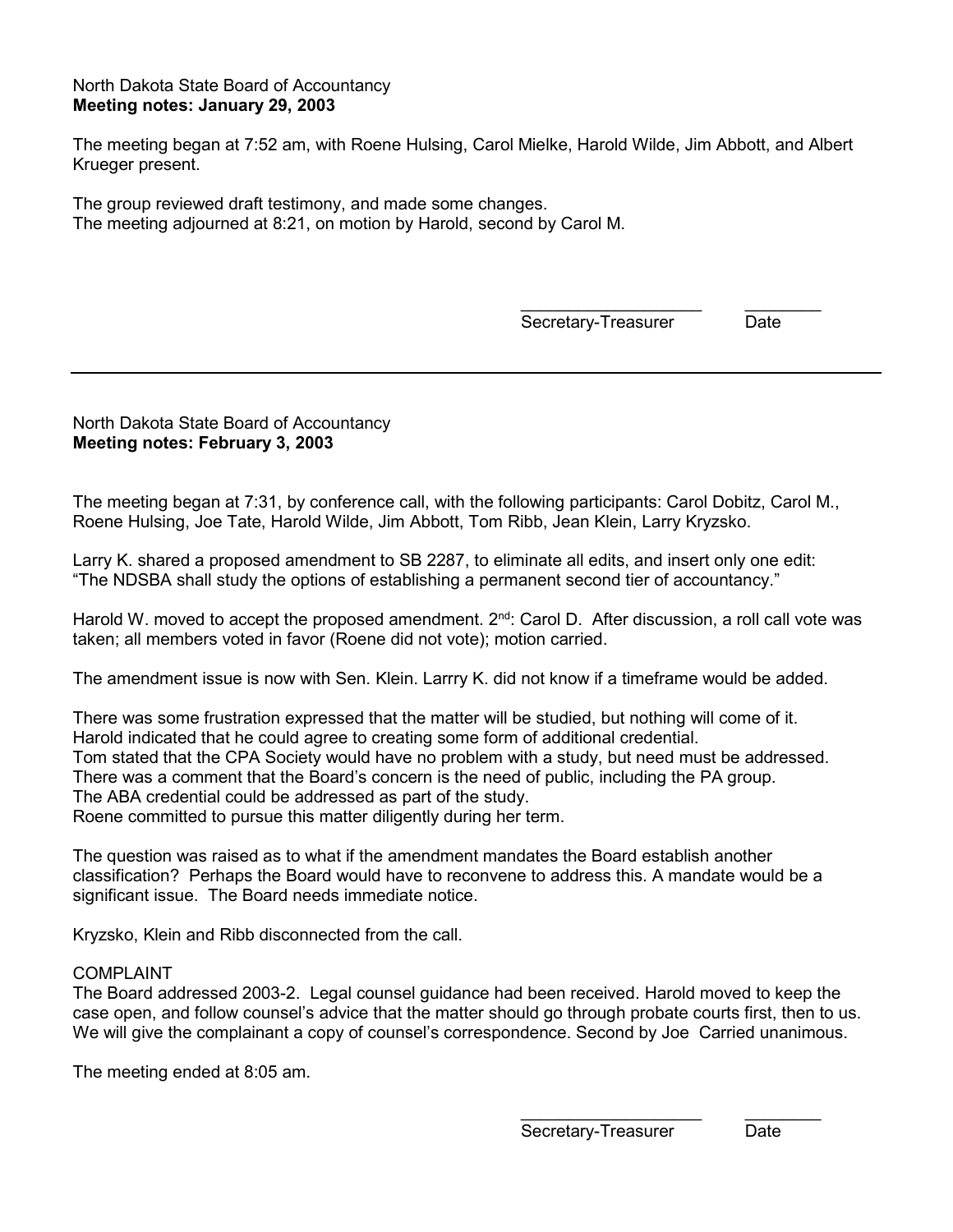#### North Dakota State Board of Accountancy **Meeting notes: January 29, 2003**

The meeting began at 7:52 am, with Roene Hulsing, Carol Mielke, Harold Wilde, Jim Abbott, and Albert Krueger present.

The group reviewed draft testimony, and made some changes. The meeting adjourned at 8:21, on motion by Harold, second by Carol M.

> \_\_\_\_\_\_\_\_\_\_\_\_\_\_\_\_\_\_\_ \_\_\_\_\_\_\_\_ Secretary-Treasurer Date

North Dakota State Board of Accountancy **Meeting notes: February 3, 2003** 

The meeting began at 7:31, by conference call, with the following participants: Carol Dobitz, Carol M., Roene Hulsing, Joe Tate, Harold Wilde, Jim Abbott, Tom Ribb, Jean Klein, Larry Kryzsko.

Larry K. shared a proposed amendment to SB 2287, to eliminate all edits, and insert only one edit: "The NDSBA shall study the options of establishing a permanent second tier of accountancy."

Harold W. moved to accept the proposed amendment.  $2<sup>nd</sup>$ : Carol D. After discussion, a roll call vote was taken; all members voted in favor (Roene did not vote); motion carried.

The amendment issue is now with Sen. Klein. Larrry K. did not know if a timeframe would be added.

There was some frustration expressed that the matter will be studied, but nothing will come of it. Harold indicated that he could agree to creating some form of additional credential. Tom stated that the CPA Society would have no problem with a study, but need must be addressed. There was a comment that the Board's concern is the need of public, including the PA group. The ABA credential could be addressed as part of the study. Roene committed to pursue this matter diligently during her term.

The question was raised as to what if the amendment mandates the Board establish another classification? Perhaps the Board would have to reconvene to address this. A mandate would be a significant issue. The Board needs immediate notice.

Kryzsko, Klein and Ribb disconnected from the call.

#### COMPLAINT

The Board addressed 2003-2. Legal counsel guidance had been received. Harold moved to keep the case open, and follow counsel's advice that the matter should go through probate courts first, then to us. We will give the complainant a copy of counsel's correspondence. Second by Joe Carried unanimous.

The meeting ended at 8:05 am.

\_\_\_\_\_\_\_\_\_\_\_\_\_\_\_\_\_\_\_ \_\_\_\_\_\_\_\_ Secretary-Treasurer Date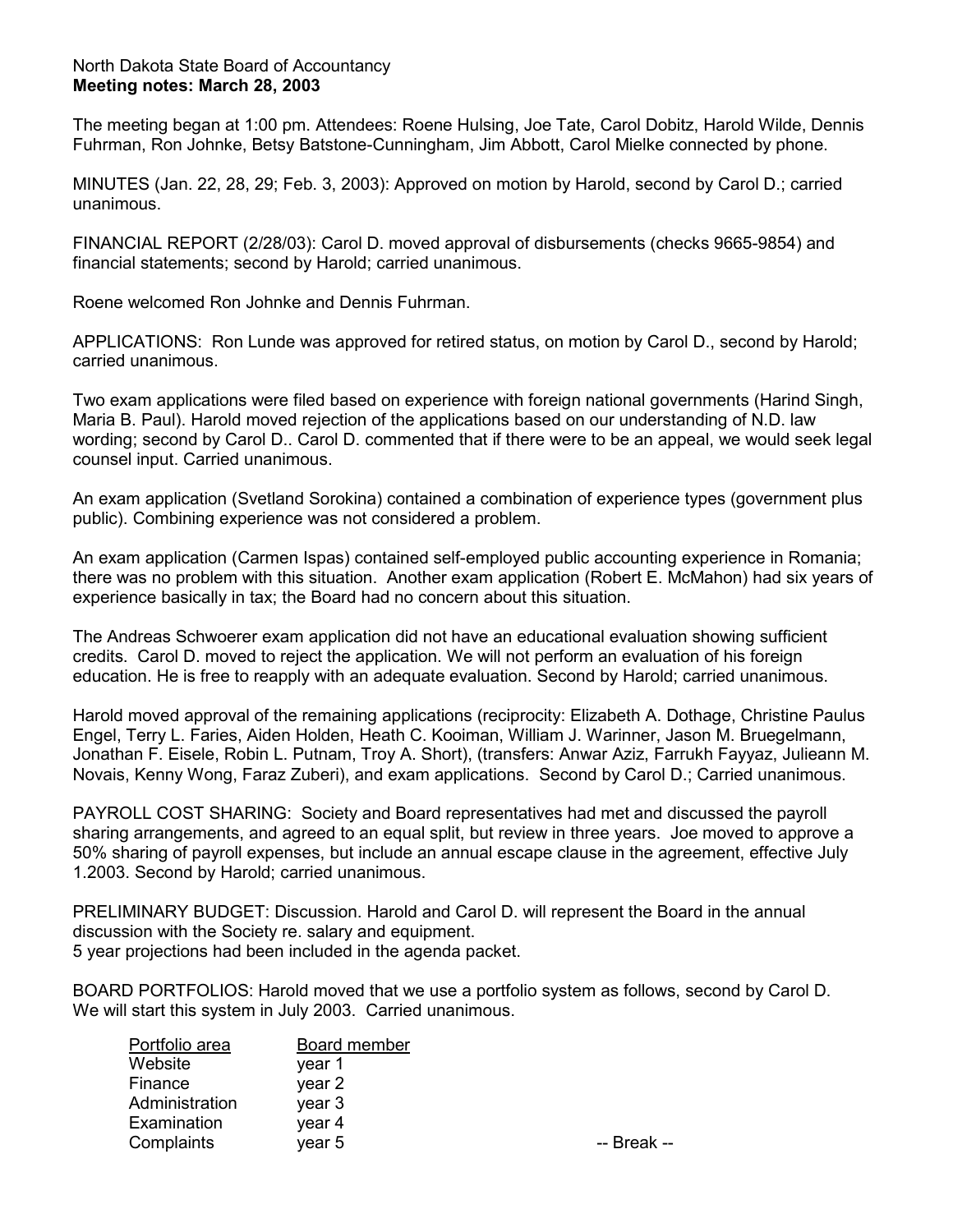#### North Dakota State Board of Accountancy **Meeting notes: March 28, 2003**

The meeting began at 1:00 pm. Attendees: Roene Hulsing, Joe Tate, Carol Dobitz, Harold Wilde, Dennis Fuhrman, Ron Johnke, Betsy Batstone-Cunningham, Jim Abbott, Carol Mielke connected by phone.

MINUTES (Jan. 22, 28, 29; Feb. 3, 2003): Approved on motion by Harold, second by Carol D.; carried unanimous.

FINANCIAL REPORT (2/28/03): Carol D. moved approval of disbursements (checks 9665-9854) and financial statements; second by Harold; carried unanimous.

Roene welcomed Ron Johnke and Dennis Fuhrman.

APPLICATIONS: Ron Lunde was approved for retired status, on motion by Carol D., second by Harold; carried unanimous.

Two exam applications were filed based on experience with foreign national governments (Harind Singh, Maria B. Paul). Harold moved rejection of the applications based on our understanding of N.D. law wording; second by Carol D.. Carol D. commented that if there were to be an appeal, we would seek legal counsel input. Carried unanimous.

An exam application (Svetland Sorokina) contained a combination of experience types (government plus public). Combining experience was not considered a problem.

An exam application (Carmen Ispas) contained self-employed public accounting experience in Romania; there was no problem with this situation. Another exam application (Robert E. McMahon) had six years of experience basically in tax; the Board had no concern about this situation.

The Andreas Schwoerer exam application did not have an educational evaluation showing sufficient credits. Carol D. moved to reject the application. We will not perform an evaluation of his foreign education. He is free to reapply with an adequate evaluation. Second by Harold; carried unanimous.

Harold moved approval of the remaining applications (reciprocity: Elizabeth A. Dothage, Christine Paulus Engel, Terry L. Faries, Aiden Holden, Heath C. Kooiman, William J. Warinner, Jason M. Bruegelmann, Jonathan F. Eisele, Robin L. Putnam, Troy A. Short), (transfers: Anwar Aziz, Farrukh Fayyaz, Julieann M. Novais, Kenny Wong, Faraz Zuberi), and exam applications. Second by Carol D.; Carried unanimous.

PAYROLL COST SHARING: Society and Board representatives had met and discussed the payroll sharing arrangements, and agreed to an equal split, but review in three years. Joe moved to approve a 50% sharing of payroll expenses, but include an annual escape clause in the agreement, effective July 1.2003. Second by Harold; carried unanimous.

PRELIMINARY BUDGET: Discussion. Harold and Carol D. will represent the Board in the annual discussion with the Society re. salary and equipment. 5 year projections had been included in the agenda packet.

BOARD PORTFOLIOS: Harold moved that we use a portfolio system as follows, second by Carol D. We will start this system in July 2003. Carried unanimous.

| Portfolio area | Board member |             |
|----------------|--------------|-------------|
| Website        | vear 1       |             |
| Finance        | year 2       |             |
| Administration | year 3       |             |
| Examination    | year 4       |             |
| Complaints     | year 5       | -- Break -- |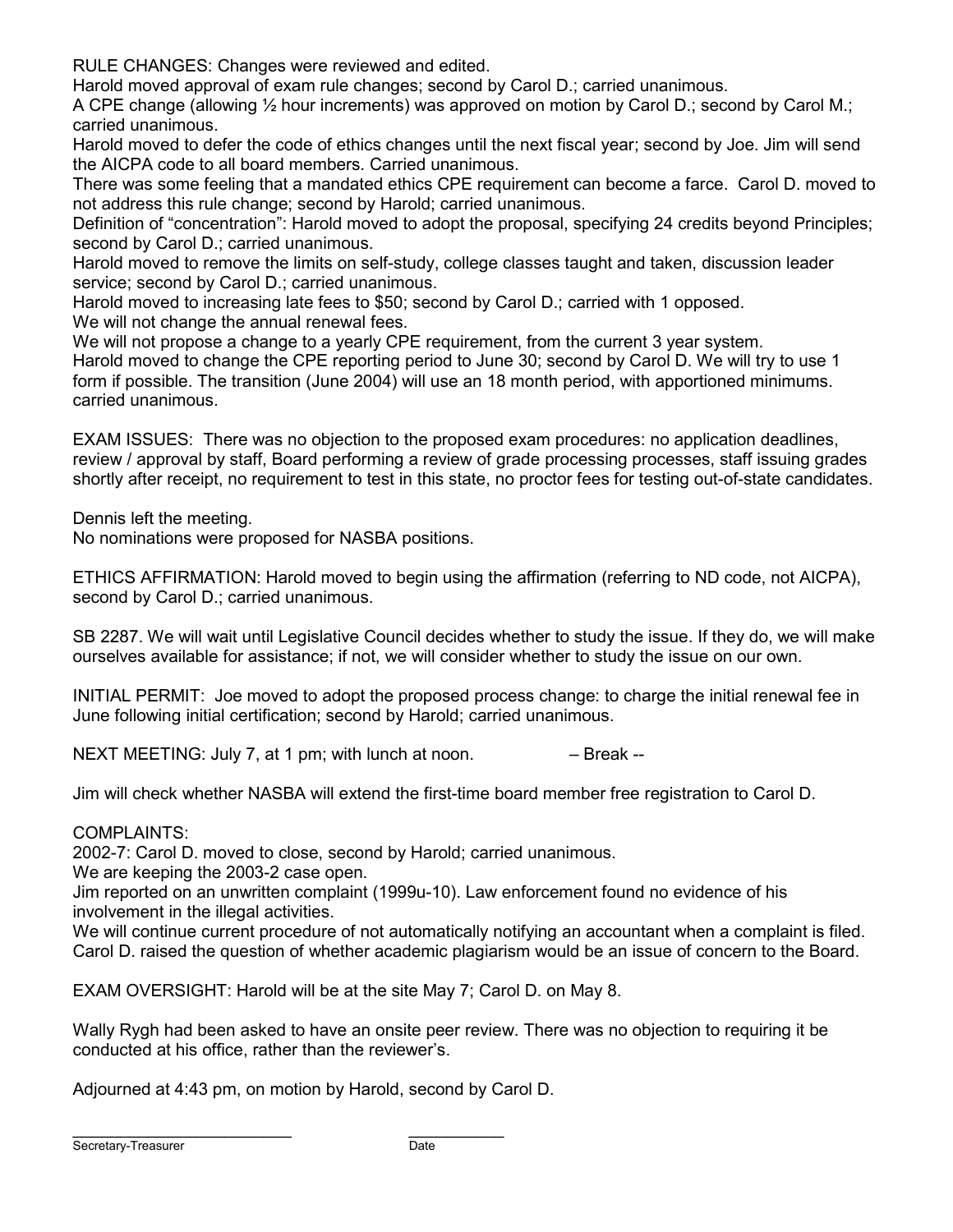RULE CHANGES: Changes were reviewed and edited.

Harold moved approval of exam rule changes; second by Carol D.; carried unanimous.

A CPE change (allowing ½ hour increments) was approved on motion by Carol D.; second by Carol M.; carried unanimous.

Harold moved to defer the code of ethics changes until the next fiscal year; second by Joe. Jim will send the AICPA code to all board members. Carried unanimous.

There was some feeling that a mandated ethics CPE requirement can become a farce. Carol D. moved to not address this rule change; second by Harold; carried unanimous.

Definition of "concentration": Harold moved to adopt the proposal, specifying 24 credits beyond Principles; second by Carol D.; carried unanimous.

Harold moved to remove the limits on self-study, college classes taught and taken, discussion leader service; second by Carol D.; carried unanimous.

Harold moved to increasing late fees to \$50; second by Carol D.; carried with 1 opposed.

We will not change the annual renewal fees.

We will not propose a change to a yearly CPE requirement, from the current 3 year system.

Harold moved to change the CPE reporting period to June 30; second by Carol D. We will try to use 1 form if possible. The transition (June 2004) will use an 18 month period, with apportioned minimums. carried unanimous.

EXAM ISSUES: There was no objection to the proposed exam procedures: no application deadlines, review / approval by staff, Board performing a review of grade processing processes, staff issuing grades shortly after receipt, no requirement to test in this state, no proctor fees for testing out-of-state candidates.

Dennis left the meeting.

No nominations were proposed for NASBA positions.

ETHICS AFFIRMATION: Harold moved to begin using the affirmation (referring to ND code, not AICPA), second by Carol D.; carried unanimous.

SB 2287. We will wait until Legislative Council decides whether to study the issue. If they do, we will make ourselves available for assistance; if not, we will consider whether to study the issue on our own.

INITIAL PERMIT: Joe moved to adopt the proposed process change: to charge the initial renewal fee in June following initial certification; second by Harold; carried unanimous.

NEXT MEETING: July 7, at 1 pm; with lunch at noon.  $-$  Break  $-$ 

Jim will check whether NASBA will extend the first-time board member free registration to Carol D.

### COMPLAINTS:

2002-7: Carol D. moved to close, second by Harold; carried unanimous.

We are keeping the 2003-2 case open.

Jim reported on an unwritten complaint (1999u-10). Law enforcement found no evidence of his involvement in the illegal activities.

We will continue current procedure of not automatically notifying an accountant when a complaint is filed. Carol D. raised the question of whether academic plagiarism would be an issue of concern to the Board.

EXAM OVERSIGHT: Harold will be at the site May 7; Carol D. on May 8.

Wally Rygh had been asked to have an onsite peer review. There was no objection to requiring it be conducted at his office, rather than the reviewer's.

Adjourned at 4:43 pm, on motion by Harold, second by Carol D.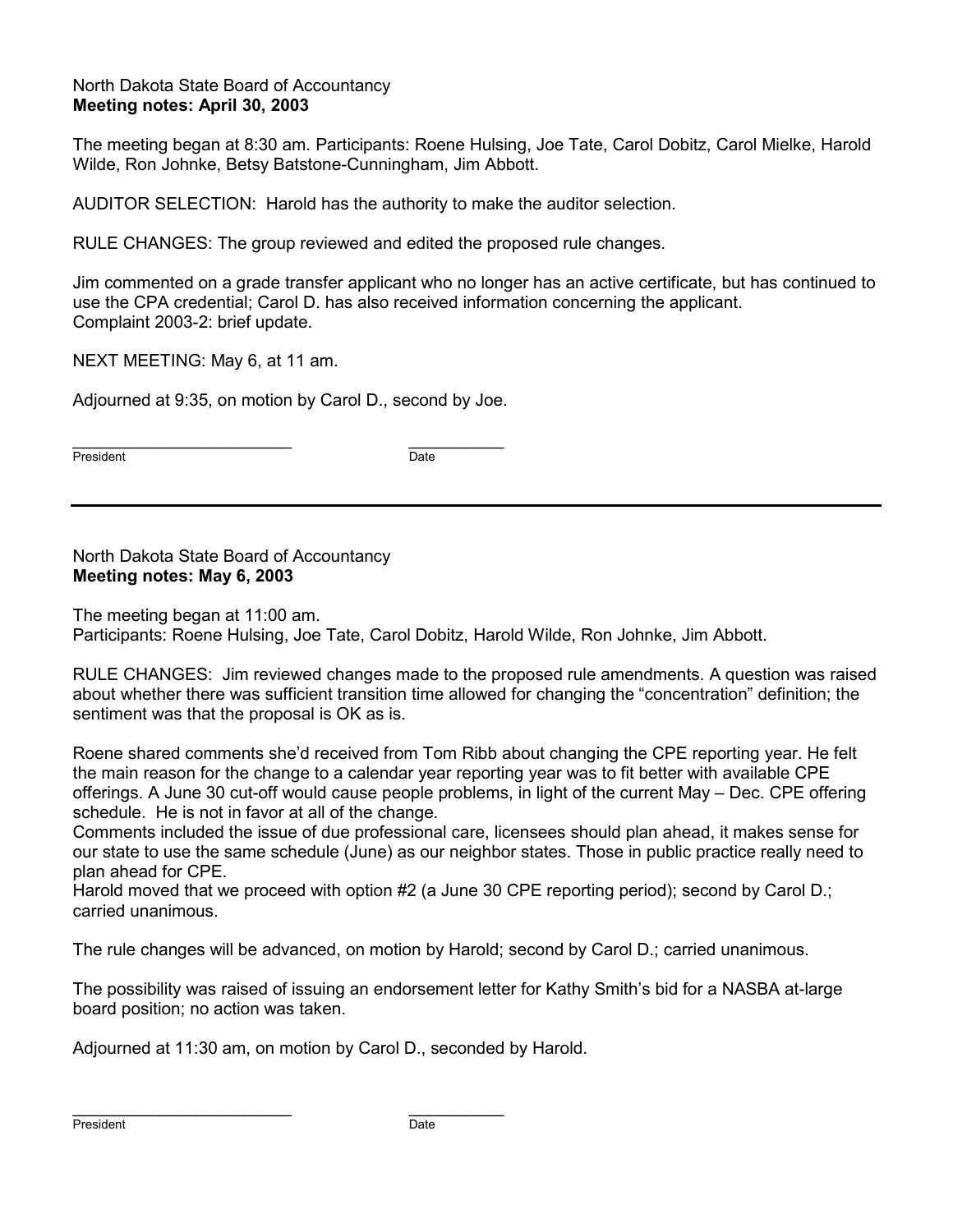### North Dakota State Board of Accountancy **Meeting notes: April 30, 2003**

The meeting began at 8:30 am. Participants: Roene Hulsing, Joe Tate, Carol Dobitz, Carol Mielke, Harold Wilde, Ron Johnke, Betsy Batstone-Cunningham, Jim Abbott.

AUDITOR SELECTION: Harold has the authority to make the auditor selection.

RULE CHANGES: The group reviewed and edited the proposed rule changes.

Jim commented on a grade transfer applicant who no longer has an active certificate, but has continued to use the CPA credential; Carol D. has also received information concerning the applicant. Complaint 2003-2: brief update.

NEXT MEETING: May 6, at 11 am.

Adjourned at 9:35, on motion by Carol D., second by Joe.

\_\_\_\_\_\_\_\_\_\_\_\_\_\_\_\_\_\_\_\_\_\_\_ \_\_\_\_\_\_\_\_\_\_ President Date

North Dakota State Board of Accountancy **Meeting notes: May 6, 2003** 

The meeting began at 11:00 am. Participants: Roene Hulsing, Joe Tate, Carol Dobitz, Harold Wilde, Ron Johnke, Jim Abbott.

RULE CHANGES: Jim reviewed changes made to the proposed rule amendments. A question was raised about whether there was sufficient transition time allowed for changing the "concentration" definition; the sentiment was that the proposal is OK as is.

Roene shared comments she'd received from Tom Ribb about changing the CPE reporting year. He felt the main reason for the change to a calendar year reporting year was to fit better with available CPE offerings. A June 30 cut-off would cause people problems, in light of the current May – Dec. CPE offering schedule. He is not in favor at all of the change.

Comments included the issue of due professional care, licensees should plan ahead, it makes sense for our state to use the same schedule (June) as our neighbor states. Those in public practice really need to plan ahead for CPE.

Harold moved that we proceed with option #2 (a June 30 CPE reporting period); second by Carol D.; carried unanimous.

The rule changes will be advanced, on motion by Harold; second by Carol D.; carried unanimous.

The possibility was raised of issuing an endorsement letter for Kathy Smith's bid for a NASBA at-large board position; no action was taken.

Adjourned at 11:30 am, on motion by Carol D., seconded by Harold.

\_\_\_\_\_\_\_\_\_\_\_\_\_\_\_\_\_\_\_\_\_\_\_ \_\_\_\_\_\_\_\_\_\_

President Date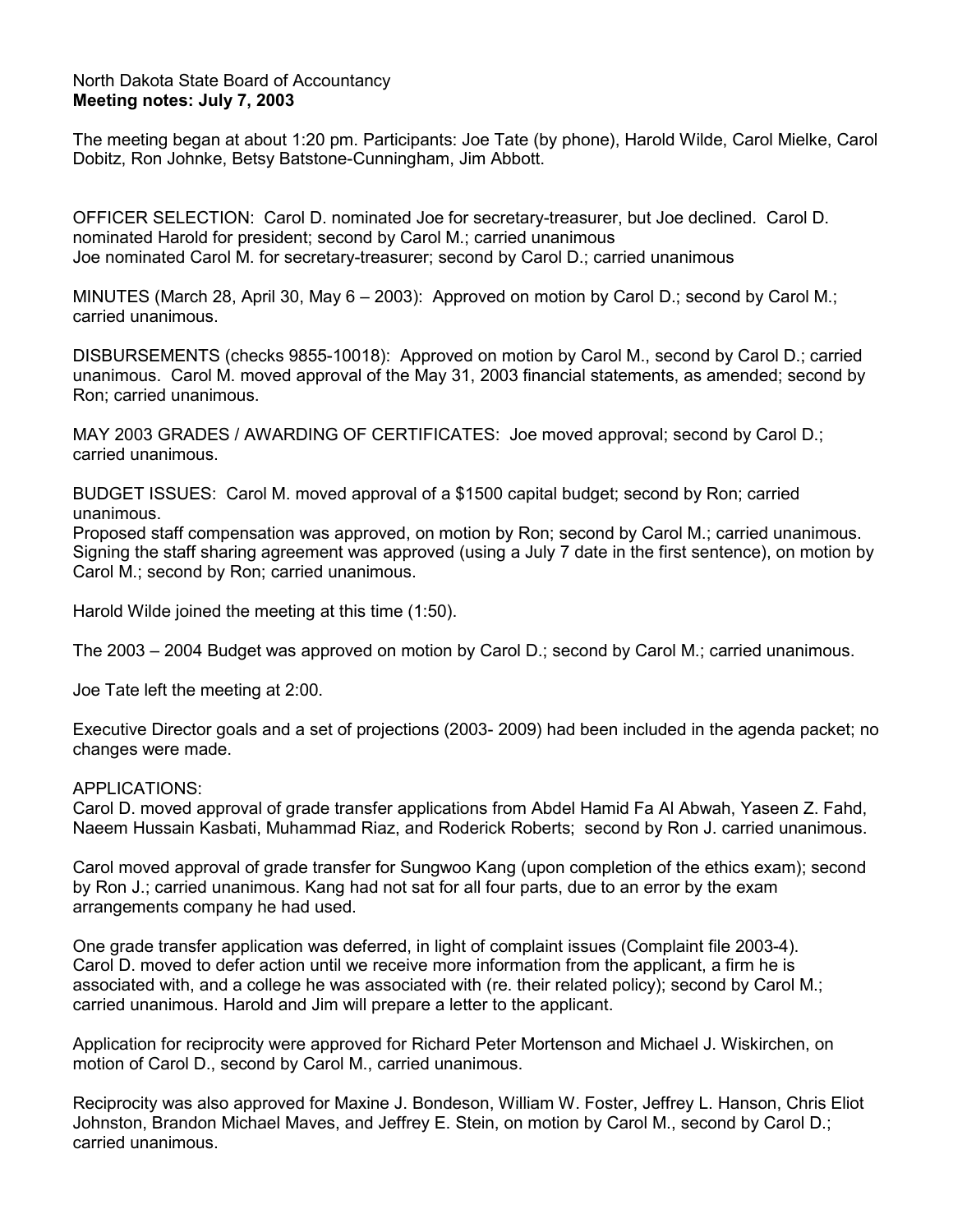#### North Dakota State Board of Accountancy **Meeting notes: July 7, 2003**

The meeting began at about 1:20 pm. Participants: Joe Tate (by phone), Harold Wilde, Carol Mielke, Carol Dobitz, Ron Johnke, Betsy Batstone-Cunningham, Jim Abbott.

OFFICER SELECTION: Carol D. nominated Joe for secretary-treasurer, but Joe declined. Carol D. nominated Harold for president; second by Carol M.; carried unanimous Joe nominated Carol M. for secretary-treasurer; second by Carol D.; carried unanimous

MINUTES (March 28, April 30, May 6 – 2003): Approved on motion by Carol D.; second by Carol M.; carried unanimous.

DISBURSEMENTS (checks 9855-10018): Approved on motion by Carol M., second by Carol D.; carried unanimous. Carol M. moved approval of the May 31, 2003 financial statements, as amended; second by Ron; carried unanimous.

MAY 2003 GRADES / AWARDING OF CERTIFICATES: Joe moved approval; second by Carol D.; carried unanimous.

BUDGET ISSUES: Carol M. moved approval of a \$1500 capital budget; second by Ron; carried unanimous.

Proposed staff compensation was approved, on motion by Ron; second by Carol M.; carried unanimous. Signing the staff sharing agreement was approved (using a July 7 date in the first sentence), on motion by Carol M.; second by Ron; carried unanimous.

Harold Wilde joined the meeting at this time (1:50).

The 2003 – 2004 Budget was approved on motion by Carol D.; second by Carol M.; carried unanimous.

Joe Tate left the meeting at 2:00.

Executive Director goals and a set of projections (2003- 2009) had been included in the agenda packet; no changes were made.

#### APPLICATIONS:

Carol D. moved approval of grade transfer applications from Abdel Hamid Fa Al Abwah, Yaseen Z. Fahd, Naeem Hussain Kasbati, Muhammad Riaz, and Roderick Roberts; second by Ron J. carried unanimous.

Carol moved approval of grade transfer for Sungwoo Kang (upon completion of the ethics exam); second by Ron J.; carried unanimous. Kang had not sat for all four parts, due to an error by the exam arrangements company he had used.

One grade transfer application was deferred, in light of complaint issues (Complaint file 2003-4). Carol D. moved to defer action until we receive more information from the applicant, a firm he is associated with, and a college he was associated with (re. their related policy); second by Carol M.; carried unanimous. Harold and Jim will prepare a letter to the applicant.

Application for reciprocity were approved for Richard Peter Mortenson and Michael J. Wiskirchen, on motion of Carol D., second by Carol M., carried unanimous.

Reciprocity was also approved for Maxine J. Bondeson, William W. Foster, Jeffrey L. Hanson, Chris Eliot Johnston, Brandon Michael Maves, and Jeffrey E. Stein, on motion by Carol M., second by Carol D.; carried unanimous.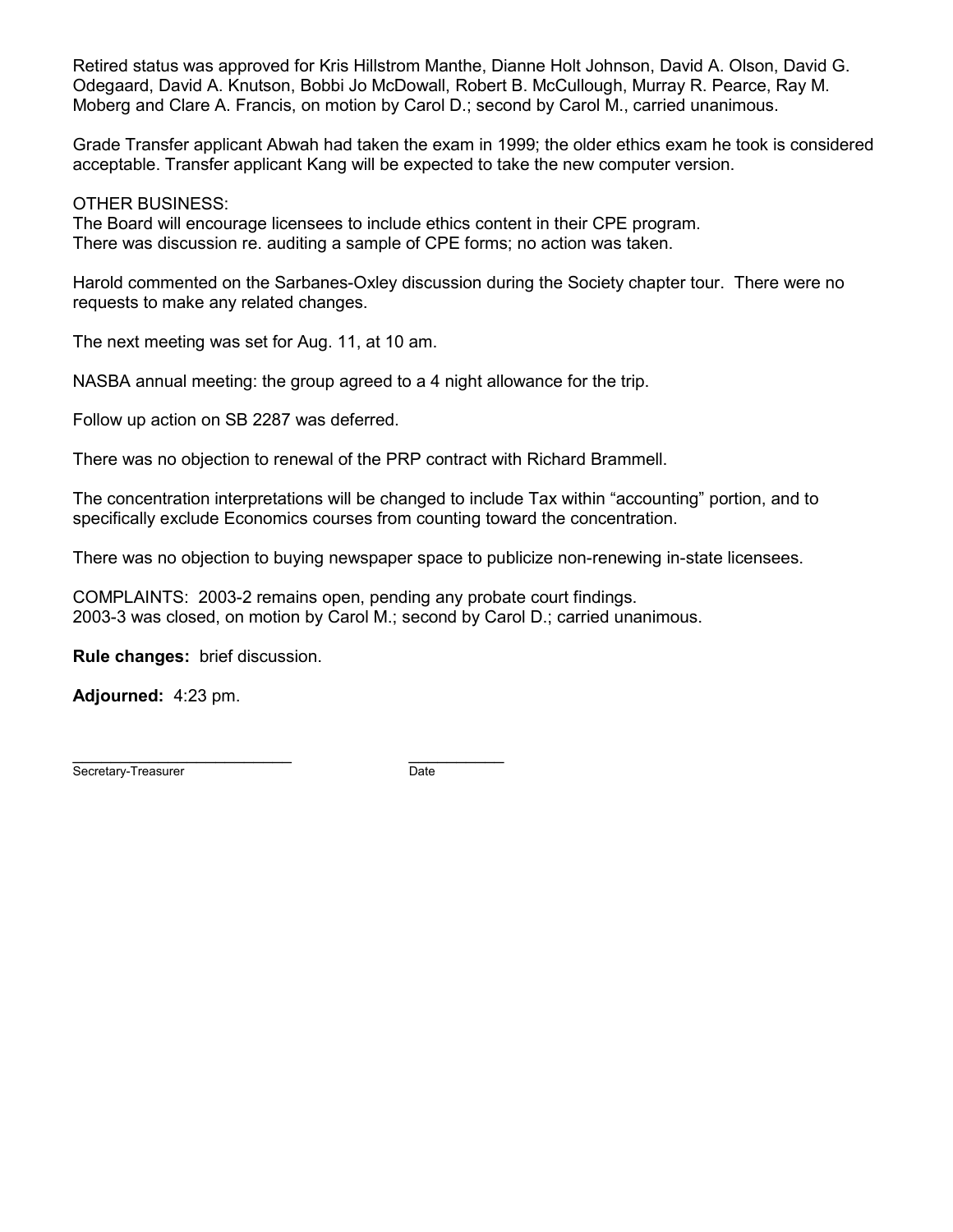Retired status was approved for Kris Hillstrom Manthe, Dianne Holt Johnson, David A. Olson, David G. Odegaard, David A. Knutson, Bobbi Jo McDowall, Robert B. McCullough, Murray R. Pearce, Ray M. Moberg and Clare A. Francis, on motion by Carol D.; second by Carol M., carried unanimous.

Grade Transfer applicant Abwah had taken the exam in 1999; the older ethics exam he took is considered acceptable. Transfer applicant Kang will be expected to take the new computer version.

OTHER BUSINESS:

The Board will encourage licensees to include ethics content in their CPE program. There was discussion re. auditing a sample of CPE forms; no action was taken.

Harold commented on the Sarbanes-Oxley discussion during the Society chapter tour. There were no requests to make any related changes.

The next meeting was set for Aug. 11, at 10 am.

NASBA annual meeting: the group agreed to a 4 night allowance for the trip.

Follow up action on SB 2287 was deferred.

There was no objection to renewal of the PRP contract with Richard Brammell.

The concentration interpretations will be changed to include Tax within "accounting" portion, and to specifically exclude Economics courses from counting toward the concentration.

There was no objection to buying newspaper space to publicize non-renewing in-state licensees.

COMPLAINTS: 2003-2 remains open, pending any probate court findings. 2003-3 was closed, on motion by Carol M.; second by Carol D.; carried unanimous.

**Rule changes:** brief discussion.

**Adjourned:** 4:23 pm.

\_\_\_\_\_\_\_\_\_\_\_\_\_\_\_\_\_\_\_\_\_\_\_ \_\_\_\_\_\_\_\_\_\_ Secretary-Treasurer Date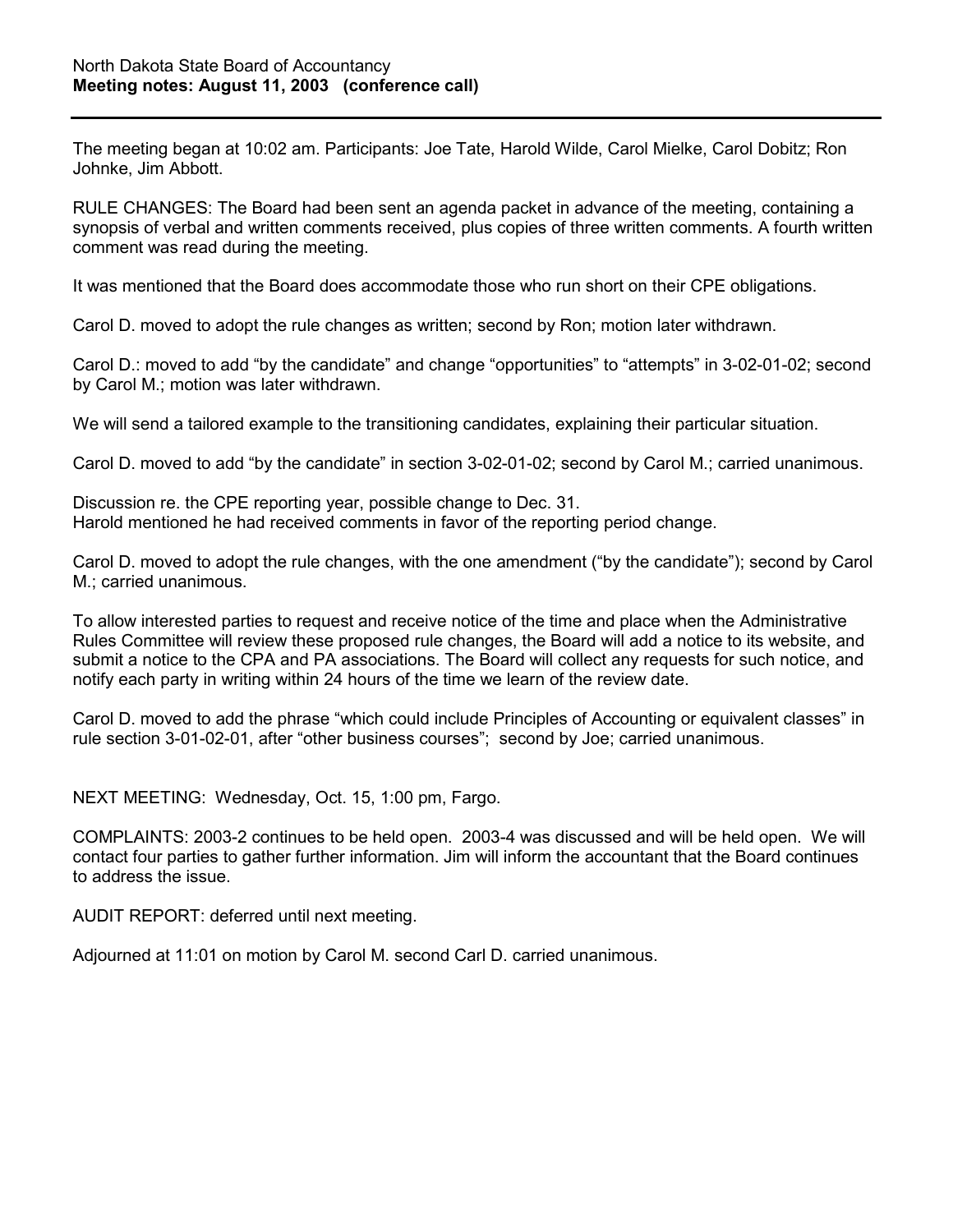The meeting began at 10:02 am. Participants: Joe Tate, Harold Wilde, Carol Mielke, Carol Dobitz; Ron Johnke, Jim Abbott.

RULE CHANGES: The Board had been sent an agenda packet in advance of the meeting, containing a synopsis of verbal and written comments received, plus copies of three written comments. A fourth written comment was read during the meeting.

It was mentioned that the Board does accommodate those who run short on their CPE obligations.

Carol D. moved to adopt the rule changes as written; second by Ron; motion later withdrawn.

Carol D.: moved to add "by the candidate" and change "opportunities" to "attempts" in 3-02-01-02; second by Carol M.; motion was later withdrawn.

We will send a tailored example to the transitioning candidates, explaining their particular situation.

Carol D. moved to add "by the candidate" in section 3-02-01-02; second by Carol M.; carried unanimous.

Discussion re. the CPE reporting year, possible change to Dec. 31. Harold mentioned he had received comments in favor of the reporting period change.

Carol D. moved to adopt the rule changes, with the one amendment ("by the candidate"); second by Carol M.; carried unanimous.

To allow interested parties to request and receive notice of the time and place when the Administrative Rules Committee will review these proposed rule changes, the Board will add a notice to its website, and submit a notice to the CPA and PA associations. The Board will collect any requests for such notice, and notify each party in writing within 24 hours of the time we learn of the review date.

Carol D. moved to add the phrase "which could include Principles of Accounting or equivalent classes" in rule section 3-01-02-01, after "other business courses"; second by Joe; carried unanimous.

NEXT MEETING: Wednesday, Oct. 15, 1:00 pm, Fargo.

COMPLAINTS: 2003-2 continues to be held open. 2003-4 was discussed and will be held open. We will contact four parties to gather further information. Jim will inform the accountant that the Board continues to address the issue.

AUDIT REPORT: deferred until next meeting.

Adjourned at 11:01 on motion by Carol M. second Carl D. carried unanimous.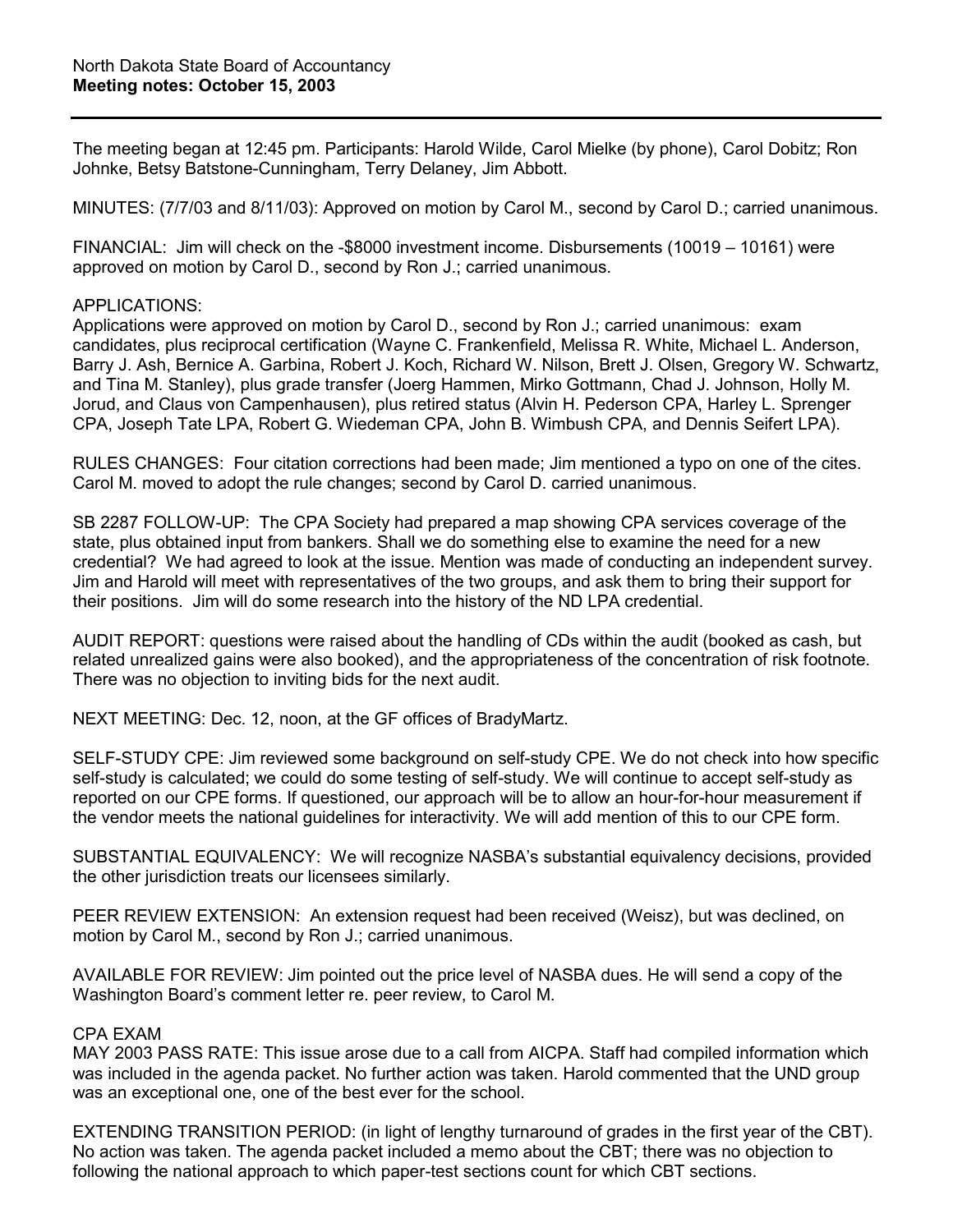The meeting began at 12:45 pm. Participants: Harold Wilde, Carol Mielke (by phone), Carol Dobitz; Ron Johnke, Betsy Batstone-Cunningham, Terry Delaney, Jim Abbott.

MINUTES: (7/7/03 and 8/11/03): Approved on motion by Carol M., second by Carol D.; carried unanimous.

FINANCIAL: Jim will check on the -\$8000 investment income. Disbursements (10019 – 10161) were approved on motion by Carol D., second by Ron J.; carried unanimous.

#### APPLICATIONS:

Applications were approved on motion by Carol D., second by Ron J.; carried unanimous: exam candidates, plus reciprocal certification (Wayne C. Frankenfield, Melissa R. White, Michael L. Anderson, Barry J. Ash, Bernice A. Garbina, Robert J. Koch, Richard W. Nilson, Brett J. Olsen, Gregory W. Schwartz, and Tina M. Stanley), plus grade transfer (Joerg Hammen, Mirko Gottmann, Chad J. Johnson, Holly M. Jorud, and Claus von Campenhausen), plus retired status (Alvin H. Pederson CPA, Harley L. Sprenger CPA, Joseph Tate LPA, Robert G. Wiedeman CPA, John B. Wimbush CPA, and Dennis Seifert LPA).

RULES CHANGES: Four citation corrections had been made; Jim mentioned a typo on one of the cites. Carol M. moved to adopt the rule changes; second by Carol D. carried unanimous.

SB 2287 FOLLOW-UP: The CPA Society had prepared a map showing CPA services coverage of the state, plus obtained input from bankers. Shall we do something else to examine the need for a new credential? We had agreed to look at the issue. Mention was made of conducting an independent survey. Jim and Harold will meet with representatives of the two groups, and ask them to bring their support for their positions. Jim will do some research into the history of the ND LPA credential.

AUDIT REPORT: questions were raised about the handling of CDs within the audit (booked as cash, but related unrealized gains were also booked), and the appropriateness of the concentration of risk footnote. There was no objection to inviting bids for the next audit.

NEXT MEETING: Dec. 12, noon, at the GF offices of BradyMartz.

SELF-STUDY CPE: Jim reviewed some background on self-study CPE. We do not check into how specific self-study is calculated; we could do some testing of self-study. We will continue to accept self-study as reported on our CPE forms. If questioned, our approach will be to allow an hour-for-hour measurement if the vendor meets the national guidelines for interactivity. We will add mention of this to our CPE form.

SUBSTANTIAL EQUIVALENCY: We will recognize NASBA's substantial equivalency decisions, provided the other jurisdiction treats our licensees similarly.

PEER REVIEW EXTENSION: An extension request had been received (Weisz), but was declined, on motion by Carol M., second by Ron J.; carried unanimous.

AVAILABLE FOR REVIEW: Jim pointed out the price level of NASBA dues. He will send a copy of the Washington Board's comment letter re. peer review, to Carol M.

### CPA EXAM

MAY 2003 PASS RATE: This issue arose due to a call from AICPA. Staff had compiled information which was included in the agenda packet. No further action was taken. Harold commented that the UND group was an exceptional one, one of the best ever for the school.

EXTENDING TRANSITION PERIOD: (in light of lengthy turnaround of grades in the first year of the CBT). No action was taken. The agenda packet included a memo about the CBT; there was no objection to following the national approach to which paper-test sections count for which CBT sections.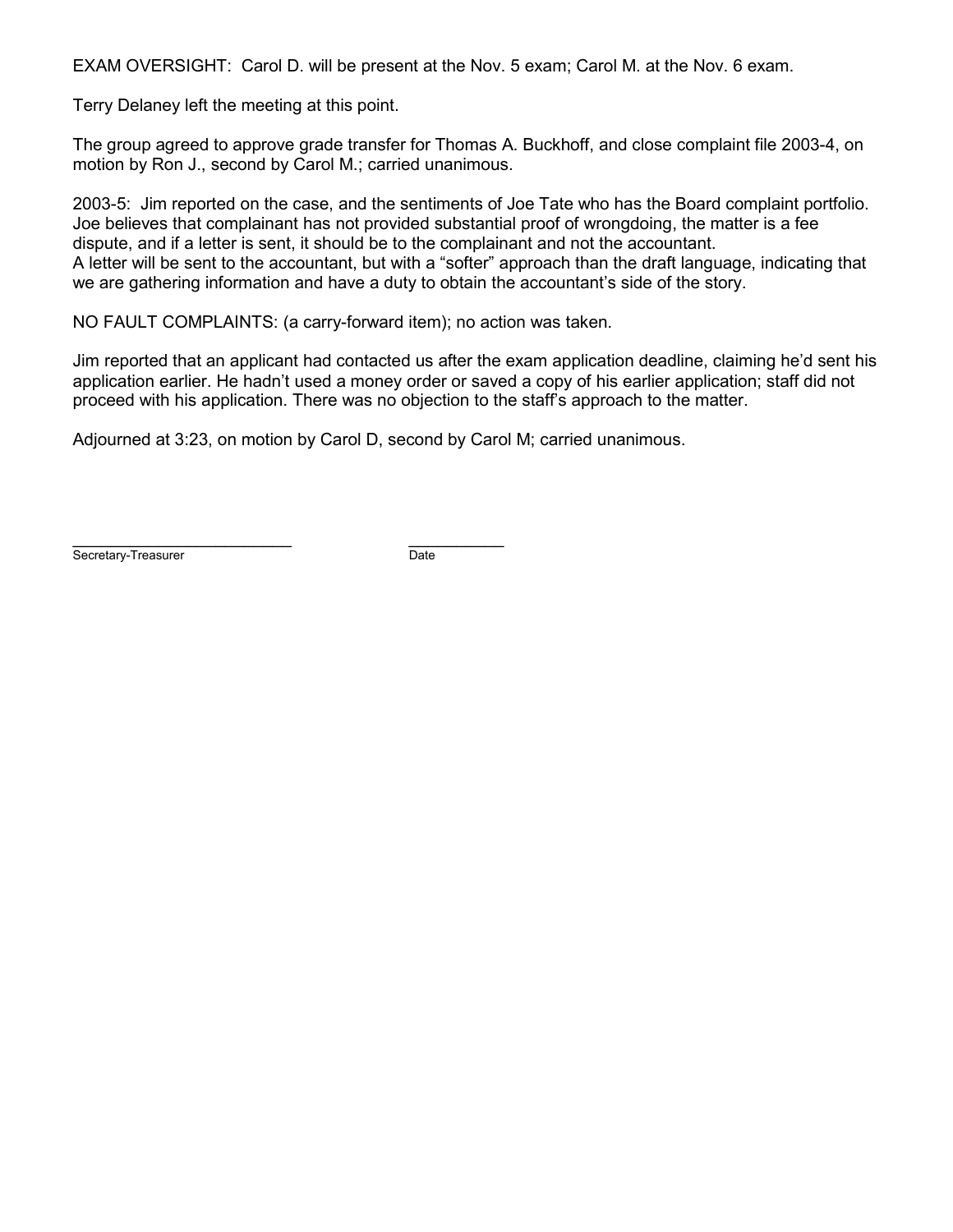EXAM OVERSIGHT: Carol D. will be present at the Nov. 5 exam; Carol M. at the Nov. 6 exam.

Terry Delaney left the meeting at this point.

The group agreed to approve grade transfer for Thomas A. Buckhoff, and close complaint file 2003-4, on motion by Ron J., second by Carol M.; carried unanimous.

2003-5: Jim reported on the case, and the sentiments of Joe Tate who has the Board complaint portfolio. Joe believes that complainant has not provided substantial proof of wrongdoing, the matter is a fee dispute, and if a letter is sent, it should be to the complainant and not the accountant. A letter will be sent to the accountant, but with a "softer" approach than the draft language, indicating that we are gathering information and have a duty to obtain the accountant's side of the story.

NO FAULT COMPLAINTS: (a carry-forward item); no action was taken.

Jim reported that an applicant had contacted us after the exam application deadline, claiming he'd sent his application earlier. He hadn't used a money order or saved a copy of his earlier application; staff did not proceed with his application. There was no objection to the staff's approach to the matter.

Adjourned at 3:23, on motion by Carol D, second by Carol M; carried unanimous.

Secretary-Treasurer **Date** 

\_\_\_\_\_\_\_\_\_\_\_\_\_\_\_\_\_\_\_\_\_\_\_ \_\_\_\_\_\_\_\_\_\_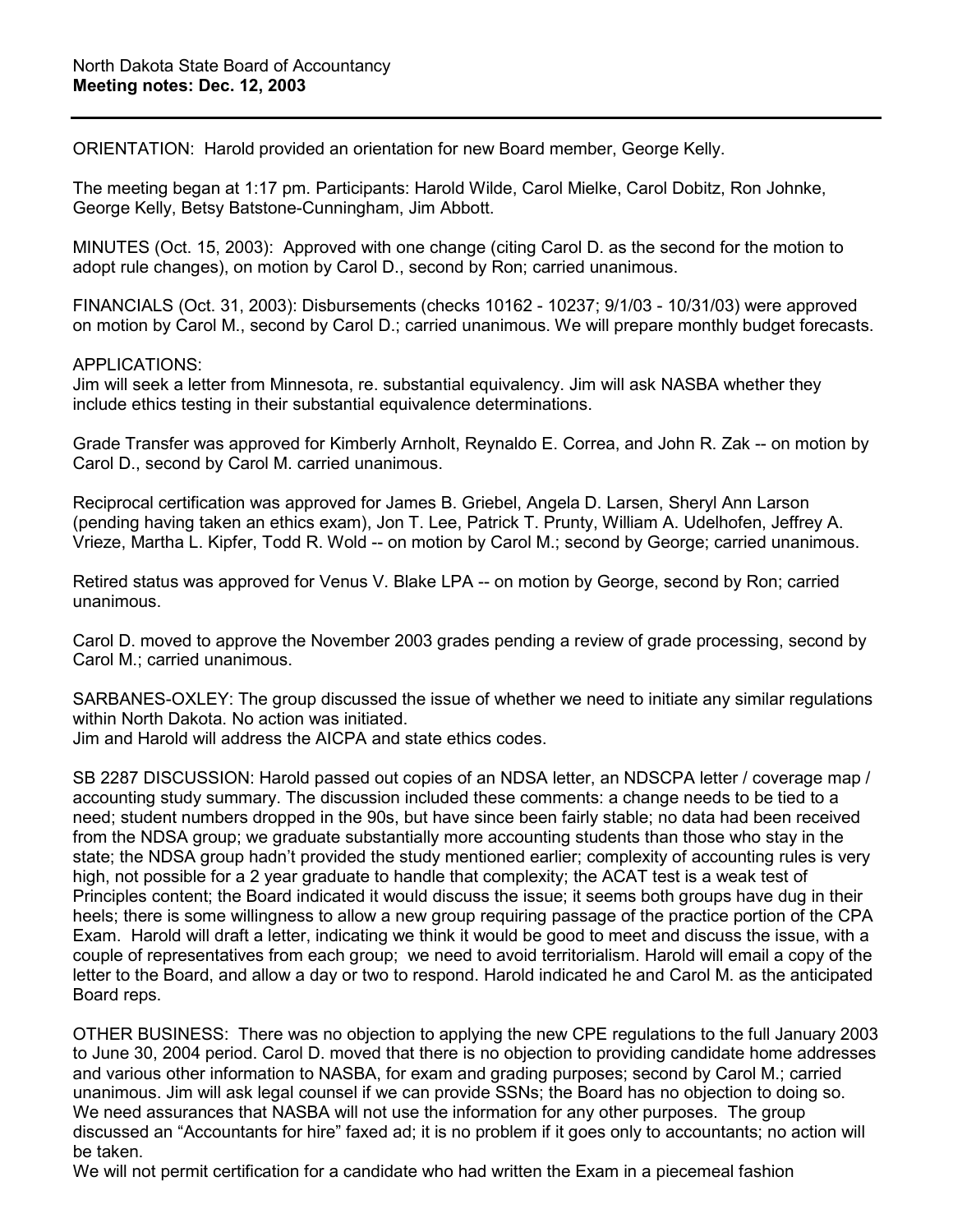ORIENTATION: Harold provided an orientation for new Board member, George Kelly.

The meeting began at 1:17 pm. Participants: Harold Wilde, Carol Mielke, Carol Dobitz, Ron Johnke, George Kelly, Betsy Batstone-Cunningham, Jim Abbott.

MINUTES (Oct. 15, 2003): Approved with one change (citing Carol D. as the second for the motion to adopt rule changes), on motion by Carol D., second by Ron; carried unanimous.

FINANCIALS (Oct. 31, 2003): Disbursements (checks 10162 - 10237; 9/1/03 - 10/31/03) were approved on motion by Carol M., second by Carol D.; carried unanimous. We will prepare monthly budget forecasts.

#### APPLICATIONS:

Jim will seek a letter from Minnesota, re. substantial equivalency. Jim will ask NASBA whether they include ethics testing in their substantial equivalence determinations.

Grade Transfer was approved for Kimberly Arnholt, Reynaldo E. Correa, and John R. Zak -- on motion by Carol D., second by Carol M. carried unanimous.

Reciprocal certification was approved for James B. Griebel, Angela D. Larsen, Sheryl Ann Larson (pending having taken an ethics exam), Jon T. Lee, Patrick T. Prunty, William A. Udelhofen, Jeffrey A. Vrieze, Martha L. Kipfer, Todd R. Wold -- on motion by Carol M.; second by George; carried unanimous.

Retired status was approved for Venus V. Blake LPA -- on motion by George, second by Ron; carried unanimous.

Carol D. moved to approve the November 2003 grades pending a review of grade processing, second by Carol M.; carried unanimous.

SARBANES-OXLEY: The group discussed the issue of whether we need to initiate any similar regulations within North Dakota. No action was initiated.

Jim and Harold will address the AICPA and state ethics codes.

SB 2287 DISCUSSION: Harold passed out copies of an NDSA letter, an NDSCPA letter / coverage map / accounting study summary. The discussion included these comments: a change needs to be tied to a need; student numbers dropped in the 90s, but have since been fairly stable; no data had been received from the NDSA group; we graduate substantially more accounting students than those who stay in the state; the NDSA group hadn't provided the study mentioned earlier; complexity of accounting rules is very high, not possible for a 2 year graduate to handle that complexity; the ACAT test is a weak test of Principles content; the Board indicated it would discuss the issue; it seems both groups have dug in their heels; there is some willingness to allow a new group requiring passage of the practice portion of the CPA Exam. Harold will draft a letter, indicating we think it would be good to meet and discuss the issue, with a couple of representatives from each group; we need to avoid territorialism. Harold will email a copy of the letter to the Board, and allow a day or two to respond. Harold indicated he and Carol M. as the anticipated Board reps.

OTHER BUSINESS: There was no objection to applying the new CPE regulations to the full January 2003 to June 30, 2004 period. Carol D. moved that there is no objection to providing candidate home addresses and various other information to NASBA, for exam and grading purposes; second by Carol M.; carried unanimous. Jim will ask legal counsel if we can provide SSNs; the Board has no objection to doing so. We need assurances that NASBA will not use the information for any other purposes. The group discussed an "Accountants for hire" faxed ad; it is no problem if it goes only to accountants; no action will be taken.

We will not permit certification for a candidate who had written the Exam in a piecemeal fashion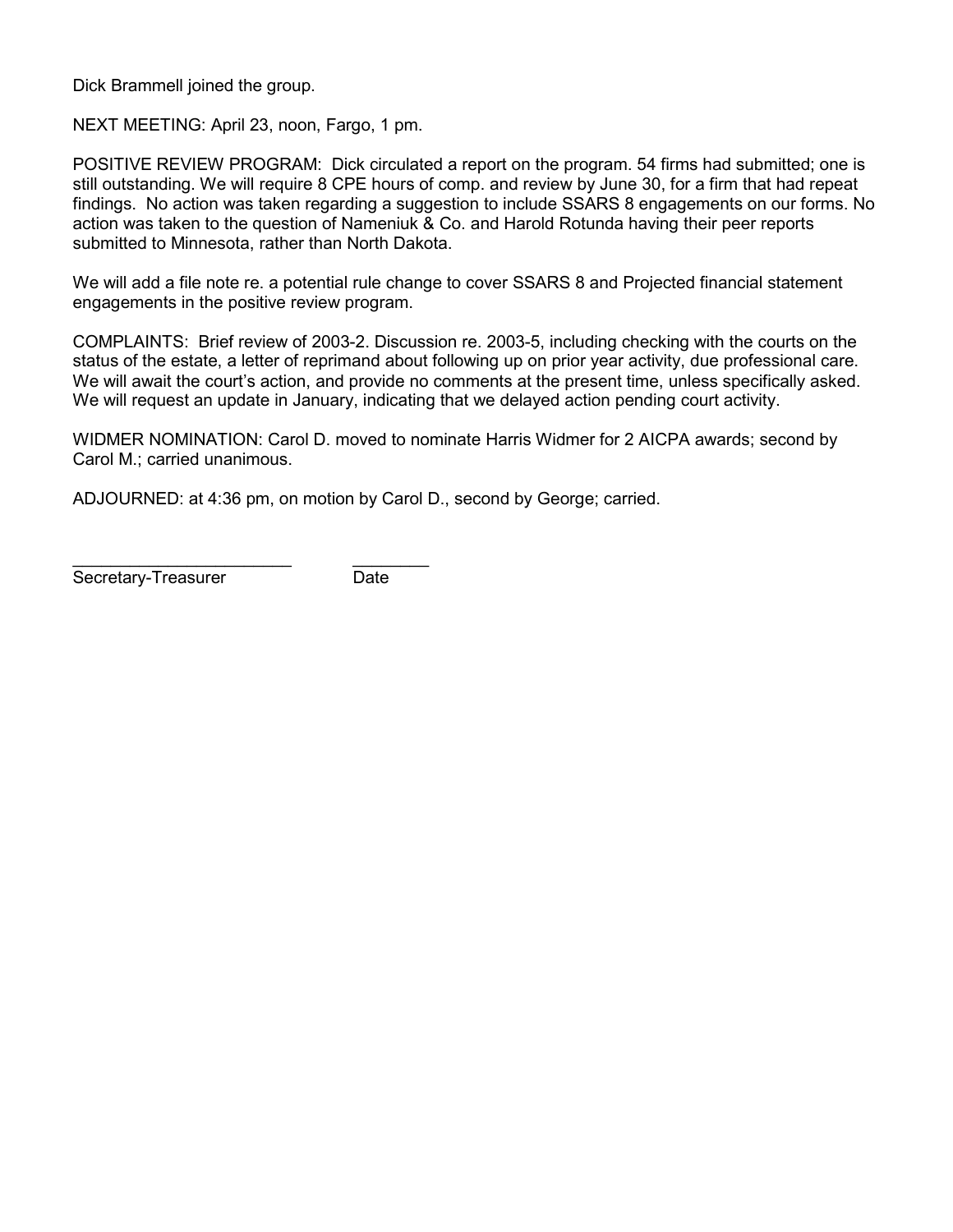Dick Brammell joined the group.

NEXT MEETING: April 23, noon, Fargo, 1 pm.

POSITIVE REVIEW PROGRAM: Dick circulated a report on the program. 54 firms had submitted; one is still outstanding. We will require 8 CPE hours of comp. and review by June 30, for a firm that had repeat findings. No action was taken regarding a suggestion to include SSARS 8 engagements on our forms. No action was taken to the question of Nameniuk & Co. and Harold Rotunda having their peer reports submitted to Minnesota, rather than North Dakota.

We will add a file note re. a potential rule change to cover SSARS 8 and Projected financial statement engagements in the positive review program.

COMPLAINTS: Brief review of 2003-2. Discussion re. 2003-5, including checking with the courts on the status of the estate, a letter of reprimand about following up on prior year activity, due professional care. We will await the court's action, and provide no comments at the present time, unless specifically asked. We will request an update in January, indicating that we delayed action pending court activity.

WIDMER NOMINATION: Carol D. moved to nominate Harris Widmer for 2 AICPA awards; second by Carol M.; carried unanimous.

ADJOURNED: at 4:36 pm, on motion by Carol D., second by George; carried.

\_\_\_\_\_\_\_\_\_\_\_\_\_\_\_\_\_\_\_\_\_\_\_ \_\_\_\_\_\_\_\_ Secretary-Treasurer Date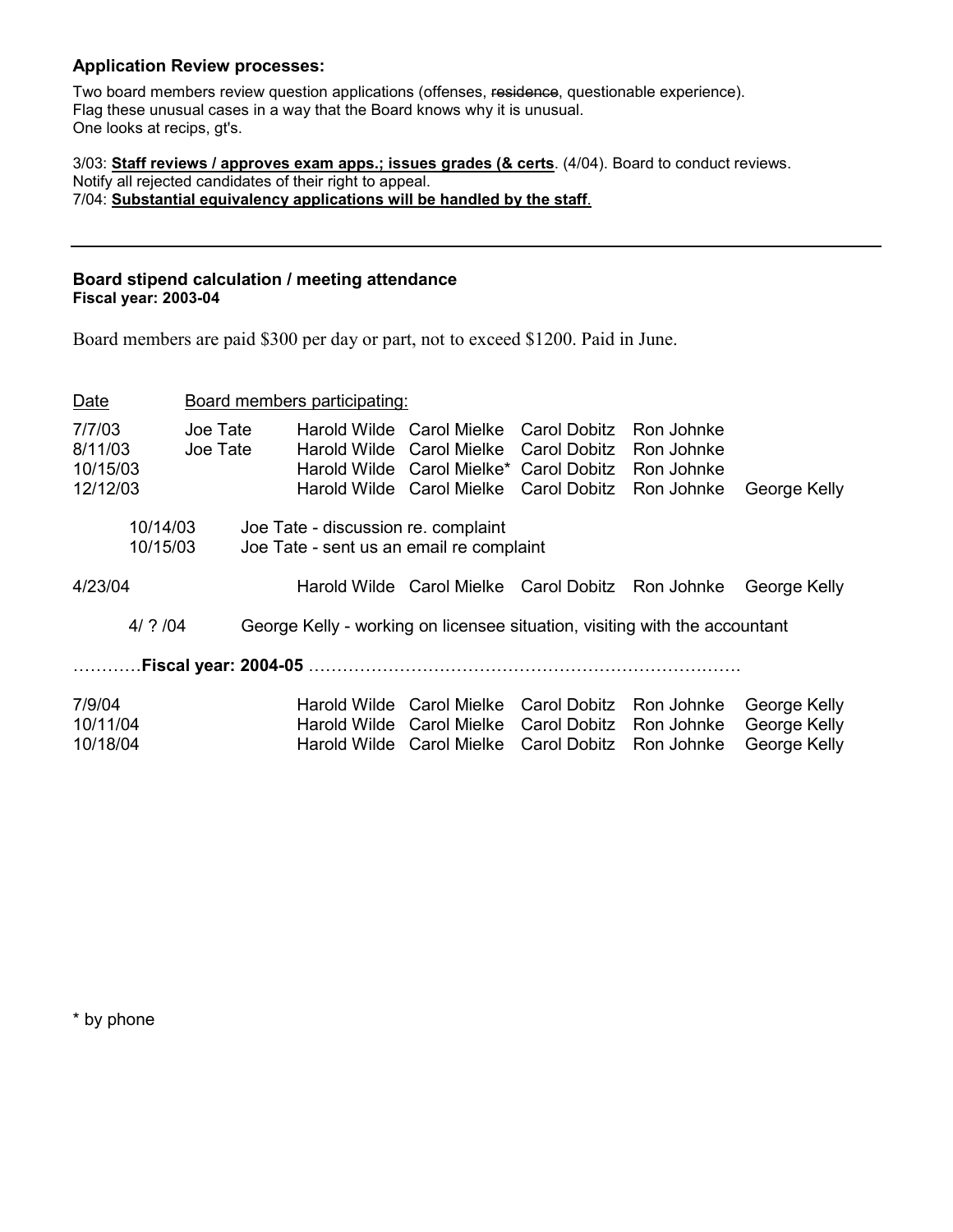#### **Application Review processes:**

Two board members review question applications (offenses, residence, questionable experience). Flag these unusual cases in a way that the Board knows why it is unusual. One looks at recips, gt's.

3/03: **Staff reviews / approves exam apps.; issues grades (& certs**. (4/04). Board to conduct reviews. Notify all rejected candidates of their right to appeal. 7/04: **Substantial equivalency applications will be handled by the staff**.

#### **Board stipend calculation / meeting attendance Fiscal year: 2003-04**

Board members are paid \$300 per day or part, not to exceed \$1200. Paid in June.

| Date                                      |                      | Board members participating:                                                    |                                                                                                                                                                       |                              |                                                      |                                              |
|-------------------------------------------|----------------------|---------------------------------------------------------------------------------|-----------------------------------------------------------------------------------------------------------------------------------------------------------------------|------------------------------|------------------------------------------------------|----------------------------------------------|
| 7/7/03<br>8/11/03<br>10/15/03<br>12/12/03 | Joe Tate<br>Joe Tate |                                                                                 | Harold Wilde Carol Mielke Carol Dobitz<br>Harold Wilde Carol Mielke Carol Dobitz<br>Harold Wilde Carol Mielke* Carol Dobitz<br>Harold Wilde Carol Mielke Carol Dobitz |                              | Ron Johnke<br>Ron Johnke<br>Ron Johnke<br>Ron Johnke | George Kelly                                 |
| 10/14/03<br>10/15/03                      |                      | Joe Tate - discussion re. complaint<br>Joe Tate - sent us an email re complaint |                                                                                                                                                                       |                              |                                                      |                                              |
| 4/23/04                                   |                      |                                                                                 | Harold Wilde Carol Mielke Carol Dobitz Ron Johnke                                                                                                                     |                              |                                                      | George Kelly                                 |
| $4/$ ? $/04$                              |                      | George Kelly - working on licensee situation, visiting with the accountant      |                                                                                                                                                                       |                              |                                                      |                                              |
|                                           |                      | Fiscal year: 2004-05 …………………………………………………………                                     |                                                                                                                                                                       |                              |                                                      |                                              |
| 7/9/04<br>10/11/04<br>10/18/04            |                      | Harold Wilde Carol Mielke<br>Harold Wilde Carol Mielke                          | Harold Wilde Carol Mielke Carol Dobitz                                                                                                                                | Carol Dobitz<br>Carol Dobitz | Ron Johnke<br>Ron Johnke<br>Ron Johnke               | George Kelly<br>George Kelly<br>George Kelly |

\* by phone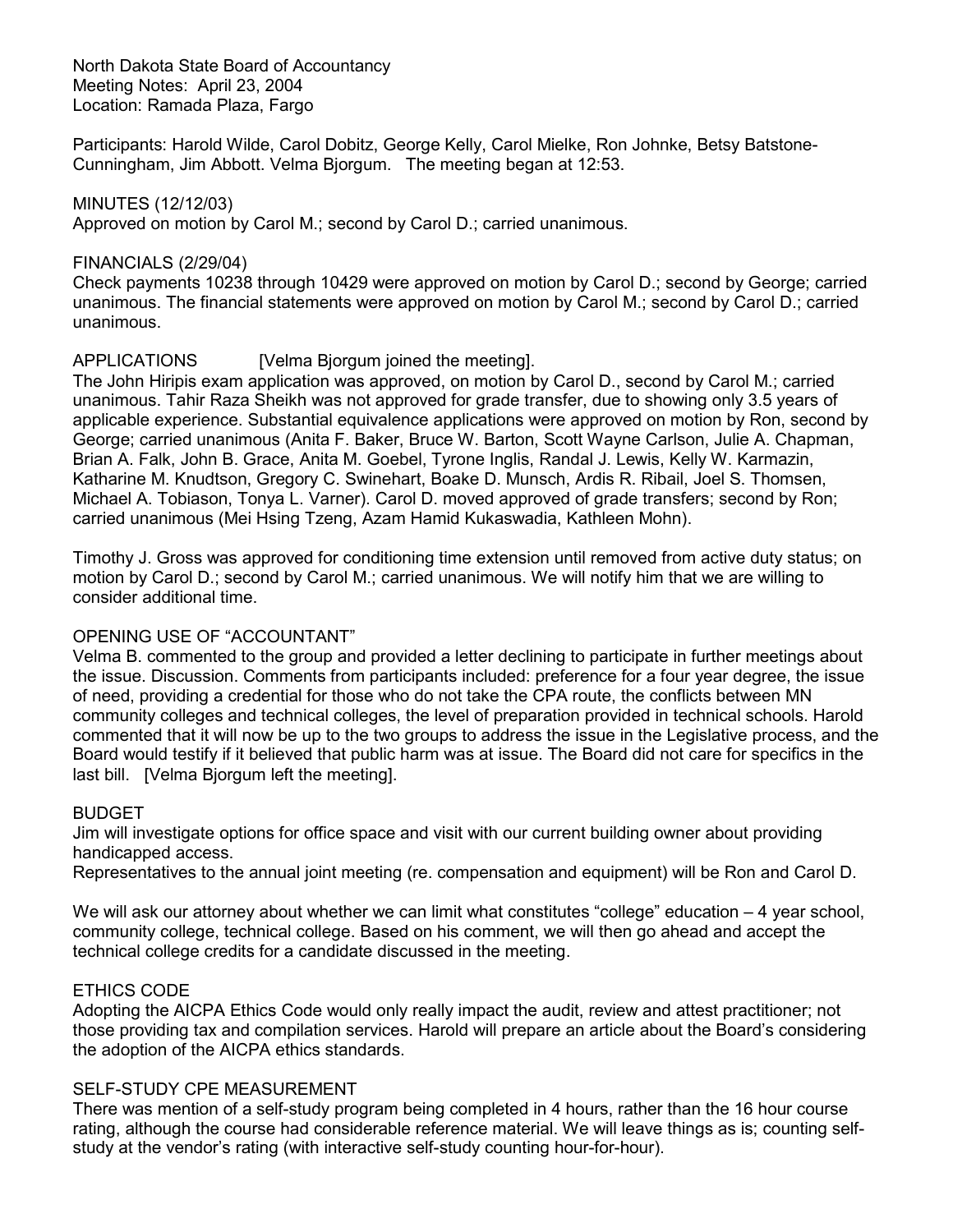North Dakota State Board of Accountancy Meeting Notes: April 23, 2004 Location: Ramada Plaza, Fargo

Participants: Harold Wilde, Carol Dobitz, George Kelly, Carol Mielke, Ron Johnke, Betsy Batstone-Cunningham, Jim Abbott. Velma Bjorgum. The meeting began at 12:53.

MINUTES (12/12/03) Approved on motion by Carol M.; second by Carol D.; carried unanimous.

#### FINANCIALS (2/29/04)

Check payments 10238 through 10429 were approved on motion by Carol D.; second by George; carried unanimous. The financial statements were approved on motion by Carol M.; second by Carol D.; carried unanimous.

### APPLICATIONS [Velma Bjorgum joined the meeting].

The John Hiripis exam application was approved, on motion by Carol D., second by Carol M.; carried unanimous. Tahir Raza Sheikh was not approved for grade transfer, due to showing only 3.5 years of applicable experience. Substantial equivalence applications were approved on motion by Ron, second by George; carried unanimous (Anita F. Baker, Bruce W. Barton, Scott Wayne Carlson, Julie A. Chapman, Brian A. Falk, John B. Grace, Anita M. Goebel, Tyrone Inglis, Randal J. Lewis, Kelly W. Karmazin, Katharine M. Knudtson, Gregory C. Swinehart, Boake D. Munsch, Ardis R. Ribail, Joel S. Thomsen, Michael A. Tobiason, Tonya L. Varner). Carol D. moved approved of grade transfers; second by Ron; carried unanimous (Mei Hsing Tzeng, Azam Hamid Kukaswadia, Kathleen Mohn).

Timothy J. Gross was approved for conditioning time extension until removed from active duty status; on motion by Carol D.; second by Carol M.; carried unanimous. We will notify him that we are willing to consider additional time.

### OPENING USE OF "ACCOUNTANT"

Velma B. commented to the group and provided a letter declining to participate in further meetings about the issue. Discussion. Comments from participants included: preference for a four year degree, the issue of need, providing a credential for those who do not take the CPA route, the conflicts between MN community colleges and technical colleges, the level of preparation provided in technical schools. Harold commented that it will now be up to the two groups to address the issue in the Legislative process, and the Board would testify if it believed that public harm was at issue. The Board did not care for specifics in the last bill. [Velma Bjorgum left the meeting].

### BUDGET

Jim will investigate options for office space and visit with our current building owner about providing handicapped access.

Representatives to the annual joint meeting (re. compensation and equipment) will be Ron and Carol D.

We will ask our attorney about whether we can limit what constitutes "college" education – 4 year school, community college, technical college. Based on his comment, we will then go ahead and accept the technical college credits for a candidate discussed in the meeting.

### ETHICS CODE

Adopting the AICPA Ethics Code would only really impact the audit, review and attest practitioner; not those providing tax and compilation services. Harold will prepare an article about the Board's considering the adoption of the AICPA ethics standards.

#### SELF-STUDY CPE MEASUREMENT

There was mention of a self-study program being completed in 4 hours, rather than the 16 hour course rating, although the course had considerable reference material. We will leave things as is; counting selfstudy at the vendor's rating (with interactive self-study counting hour-for-hour).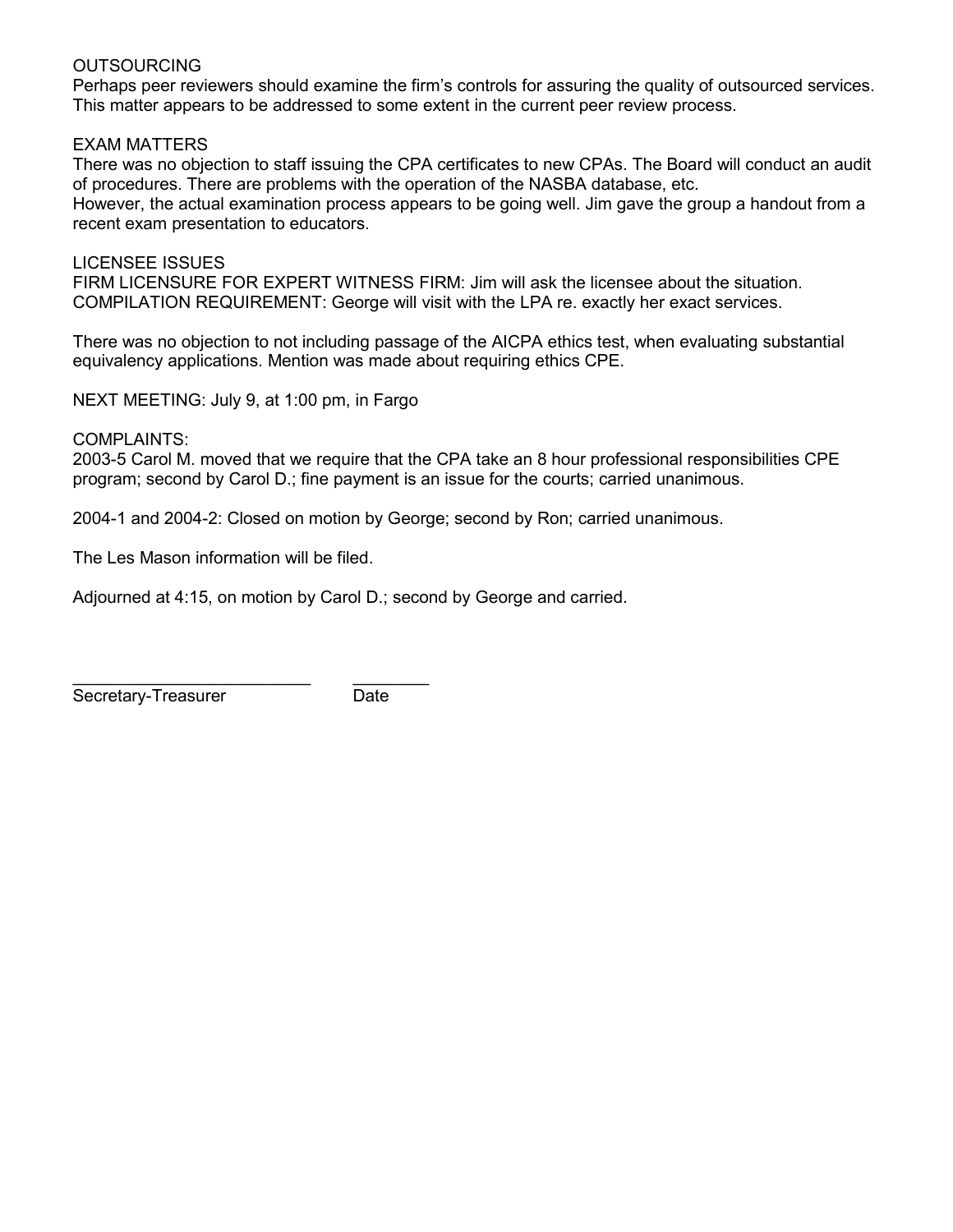### OUTSOURCING

Perhaps peer reviewers should examine the firm's controls for assuring the quality of outsourced services. This matter appears to be addressed to some extent in the current peer review process.

### EXAM MATTERS

There was no objection to staff issuing the CPA certificates to new CPAs. The Board will conduct an audit of procedures. There are problems with the operation of the NASBA database, etc.

However, the actual examination process appears to be going well. Jim gave the group a handout from a recent exam presentation to educators.

LICENSEE ISSUES FIRM LICENSURE FOR EXPERT WITNESS FIRM: Jim will ask the licensee about the situation. COMPILATION REQUIREMENT: George will visit with the LPA re. exactly her exact services.

There was no objection to not including passage of the AICPA ethics test, when evaluating substantial equivalency applications. Mention was made about requiring ethics CPE.

NEXT MEETING: July 9, at 1:00 pm, in Fargo

COMPLAINTS:

2003-5 Carol M. moved that we require that the CPA take an 8 hour professional responsibilities CPE program; second by Carol D.; fine payment is an issue for the courts; carried unanimous.

2004-1 and 2004-2: Closed on motion by George; second by Ron; carried unanimous.

The Les Mason information will be filed.

Adjourned at 4:15, on motion by Carol D.; second by George and carried.

\_\_\_\_\_\_\_\_\_\_\_\_\_\_\_\_\_\_\_\_\_\_\_\_\_ \_\_\_\_\_\_\_\_ Secretary-Treasurer **Date**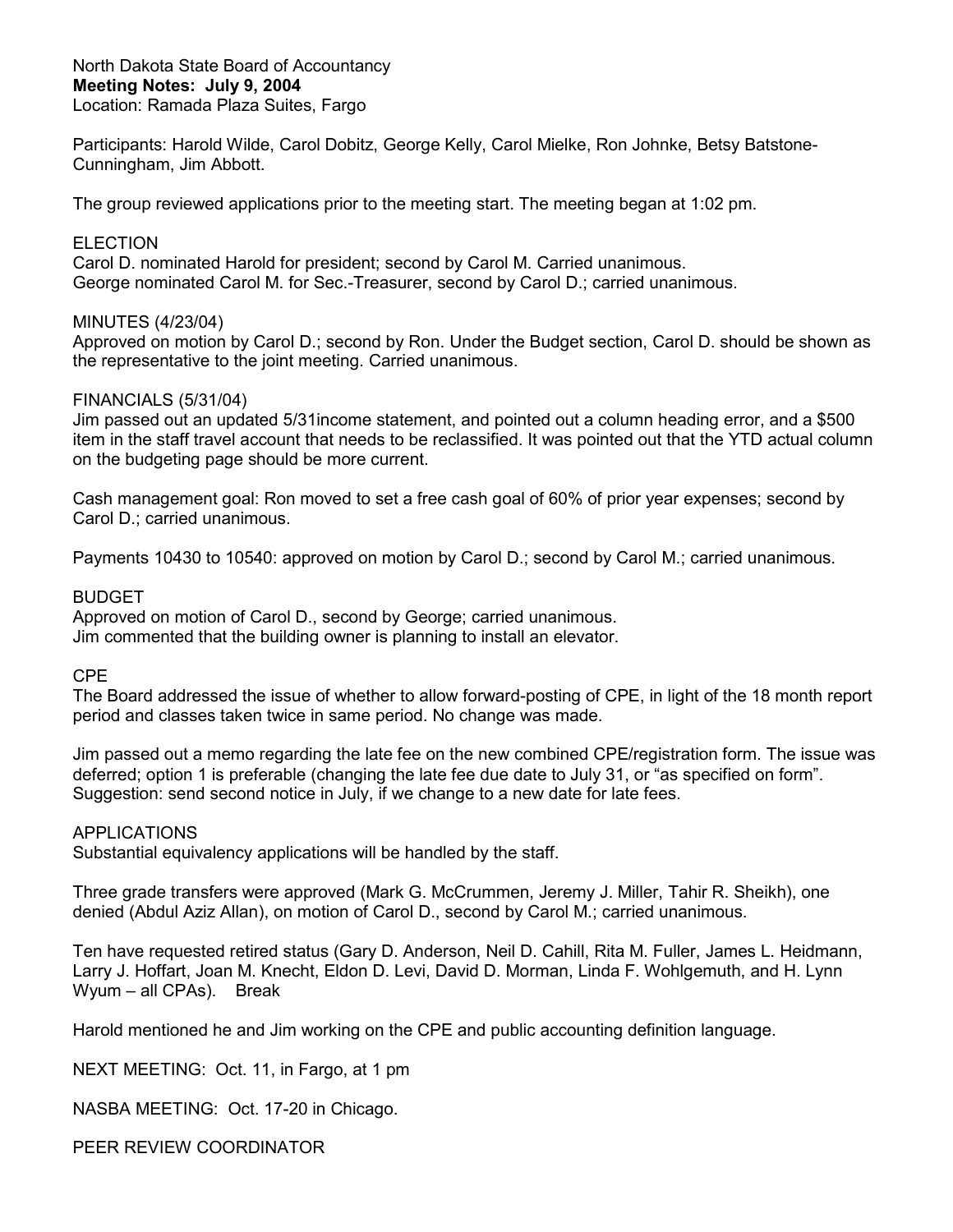North Dakota State Board of Accountancy **Meeting Notes: July 9, 2004** Location: Ramada Plaza Suites, Fargo

Participants: Harold Wilde, Carol Dobitz, George Kelly, Carol Mielke, Ron Johnke, Betsy Batstone-Cunningham, Jim Abbott.

The group reviewed applications prior to the meeting start. The meeting began at 1:02 pm.

#### **ELECTION**

Carol D. nominated Harold for president; second by Carol M. Carried unanimous. George nominated Carol M. for Sec.-Treasurer, second by Carol D.; carried unanimous.

#### MINUTES (4/23/04)

Approved on motion by Carol D.; second by Ron. Under the Budget section, Carol D. should be shown as the representative to the joint meeting. Carried unanimous.

#### FINANCIALS (5/31/04)

Jim passed out an updated 5/31income statement, and pointed out a column heading error, and a \$500 item in the staff travel account that needs to be reclassified. It was pointed out that the YTD actual column on the budgeting page should be more current.

Cash management goal: Ron moved to set a free cash goal of 60% of prior year expenses; second by Carol D.; carried unanimous.

Payments 10430 to 10540: approved on motion by Carol D.; second by Carol M.; carried unanimous.

#### BUDGET

Approved on motion of Carol D., second by George; carried unanimous. Jim commented that the building owner is planning to install an elevator.

#### CPE

The Board addressed the issue of whether to allow forward-posting of CPE, in light of the 18 month report period and classes taken twice in same period. No change was made.

Jim passed out a memo regarding the late fee on the new combined CPE/registration form. The issue was deferred; option 1 is preferable (changing the late fee due date to July 31, or "as specified on form". Suggestion: send second notice in July, if we change to a new date for late fees.

#### APPLICATIONS

Substantial equivalency applications will be handled by the staff.

Three grade transfers were approved (Mark G. McCrummen, Jeremy J. Miller, Tahir R. Sheikh), one denied (Abdul Aziz Allan), on motion of Carol D., second by Carol M.; carried unanimous.

Ten have requested retired status (Gary D. Anderson, Neil D. Cahill, Rita M. Fuller, James L. Heidmann, Larry J. Hoffart, Joan M. Knecht, Eldon D. Levi, David D. Morman, Linda F. Wohlgemuth, and H. Lynn Wyum – all CPAs). Break

Harold mentioned he and Jim working on the CPE and public accounting definition language.

NEXT MEETING: Oct. 11, in Fargo, at 1 pm

NASBA MEETING: Oct. 17-20 in Chicago.

PEER REVIEW COORDINATOR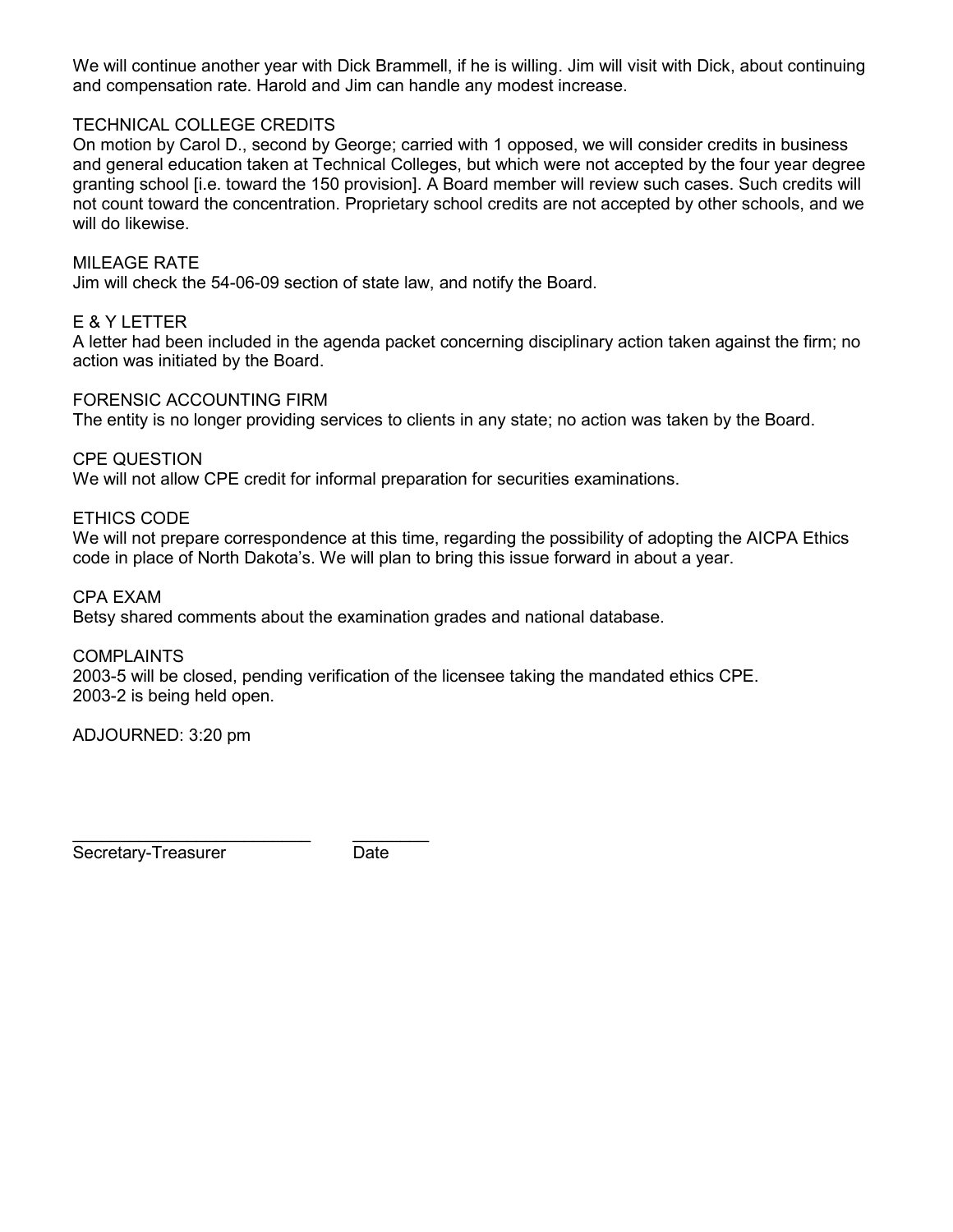We will continue another year with Dick Brammell, if he is willing. Jim will visit with Dick, about continuing and compensation rate. Harold and Jim can handle any modest increase.

### TECHNICAL COLLEGE CREDITS

On motion by Carol D., second by George; carried with 1 opposed, we will consider credits in business and general education taken at Technical Colleges, but which were not accepted by the four year degree granting school [i.e. toward the 150 provision]. A Board member will review such cases. Such credits will not count toward the concentration. Proprietary school credits are not accepted by other schools, and we will do likewise.

#### MILEAGE RATE

Jim will check the 54-06-09 section of state law, and notify the Board.

#### E & Y LETTER

A letter had been included in the agenda packet concerning disciplinary action taken against the firm; no action was initiated by the Board.

#### FORENSIC ACCOUNTING FIRM

The entity is no longer providing services to clients in any state; no action was taken by the Board.

CPE QUESTION

We will not allow CPE credit for informal preparation for securities examinations.

ETHICS CODE

We will not prepare correspondence at this time, regarding the possibility of adopting the AICPA Ethics code in place of North Dakota's. We will plan to bring this issue forward in about a year.

CPA EXAM Betsy shared comments about the examination grades and national database.

COMPLAINTS

2003-5 will be closed, pending verification of the licensee taking the mandated ethics CPE. 2003-2 is being held open.

ADJOURNED: 3:20 pm

\_\_\_\_\_\_\_\_\_\_\_\_\_\_\_\_\_\_\_\_\_\_\_\_\_ \_\_\_\_\_\_\_\_ Secretary-Treasurer Date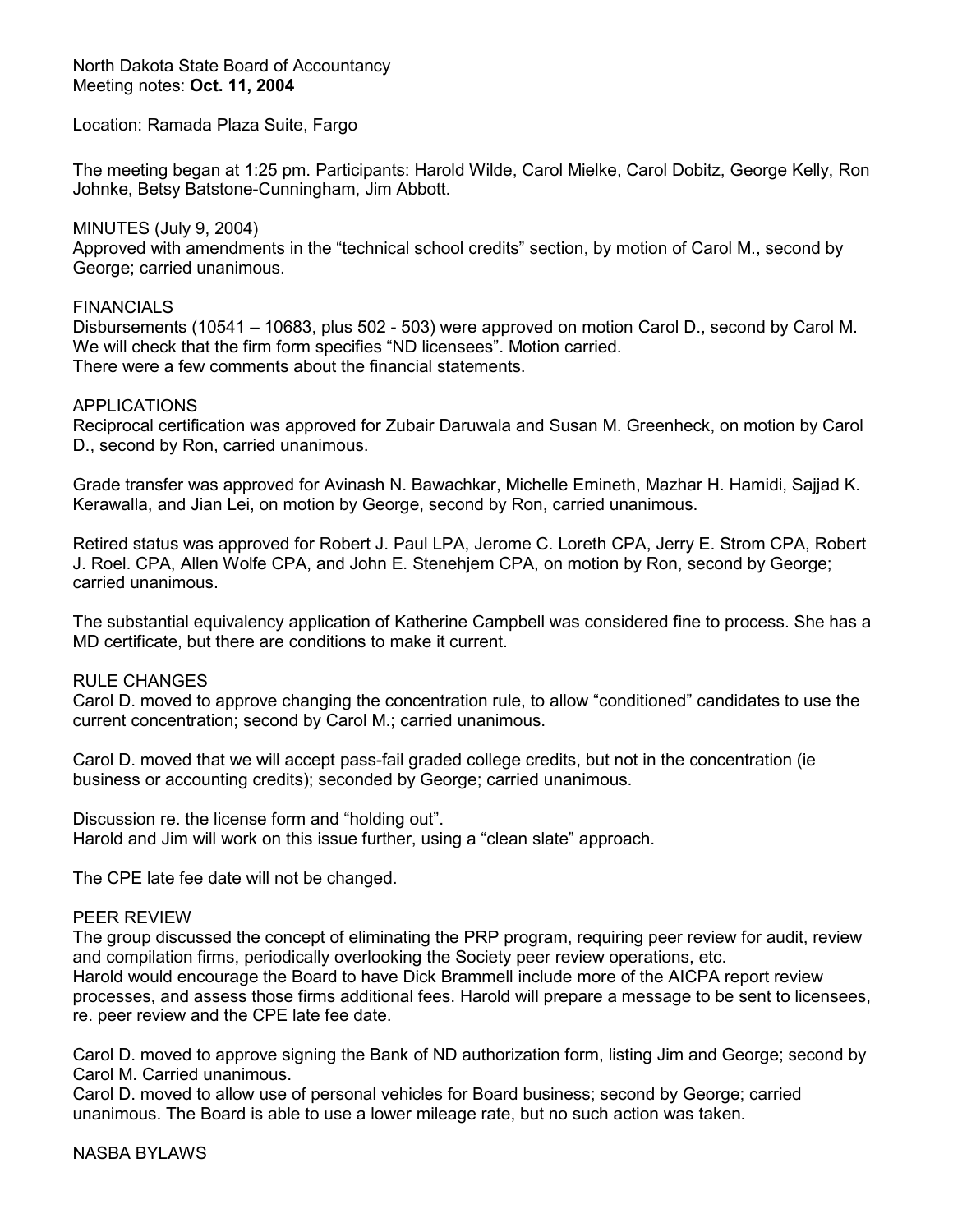North Dakota State Board of Accountancy Meeting notes: **Oct. 11, 2004**

Location: Ramada Plaza Suite, Fargo

The meeting began at 1:25 pm. Participants: Harold Wilde, Carol Mielke, Carol Dobitz, George Kelly, Ron Johnke, Betsy Batstone-Cunningham, Jim Abbott.

MINUTES (July 9, 2004) Approved with amendments in the "technical school credits" section, by motion of Carol M., second by George; carried unanimous.

#### FINANCIALS

Disbursements (10541 – 10683, plus 502 - 503) were approved on motion Carol D., second by Carol M. We will check that the firm form specifies "ND licensees". Motion carried. There were a few comments about the financial statements.

#### APPLICATIONS

Reciprocal certification was approved for Zubair Daruwala and Susan M. Greenheck, on motion by Carol D., second by Ron, carried unanimous.

Grade transfer was approved for Avinash N. Bawachkar, Michelle Emineth, Mazhar H. Hamidi, Sajjad K. Kerawalla, and Jian Lei, on motion by George, second by Ron, carried unanimous.

Retired status was approved for Robert J. Paul LPA, Jerome C. Loreth CPA, Jerry E. Strom CPA, Robert J. Roel. CPA, Allen Wolfe CPA, and John E. Stenehjem CPA, on motion by Ron, second by George; carried unanimous.

The substantial equivalency application of Katherine Campbell was considered fine to process. She has a MD certificate, but there are conditions to make it current.

### RULE CHANGES

Carol D. moved to approve changing the concentration rule, to allow "conditioned" candidates to use the current concentration; second by Carol M.; carried unanimous.

Carol D. moved that we will accept pass-fail graded college credits, but not in the concentration (ie business or accounting credits); seconded by George; carried unanimous.

Discussion re. the license form and "holding out". Harold and Jim will work on this issue further, using a "clean slate" approach.

The CPE late fee date will not be changed.

#### PEER REVIEW

The group discussed the concept of eliminating the PRP program, requiring peer review for audit, review and compilation firms, periodically overlooking the Society peer review operations, etc. Harold would encourage the Board to have Dick Brammell include more of the AICPA report review processes, and assess those firms additional fees. Harold will prepare a message to be sent to licensees, re. peer review and the CPE late fee date.

Carol D. moved to approve signing the Bank of ND authorization form, listing Jim and George; second by Carol M. Carried unanimous.

Carol D. moved to allow use of personal vehicles for Board business; second by George; carried unanimous. The Board is able to use a lower mileage rate, but no such action was taken.

#### NASBA BYLAWS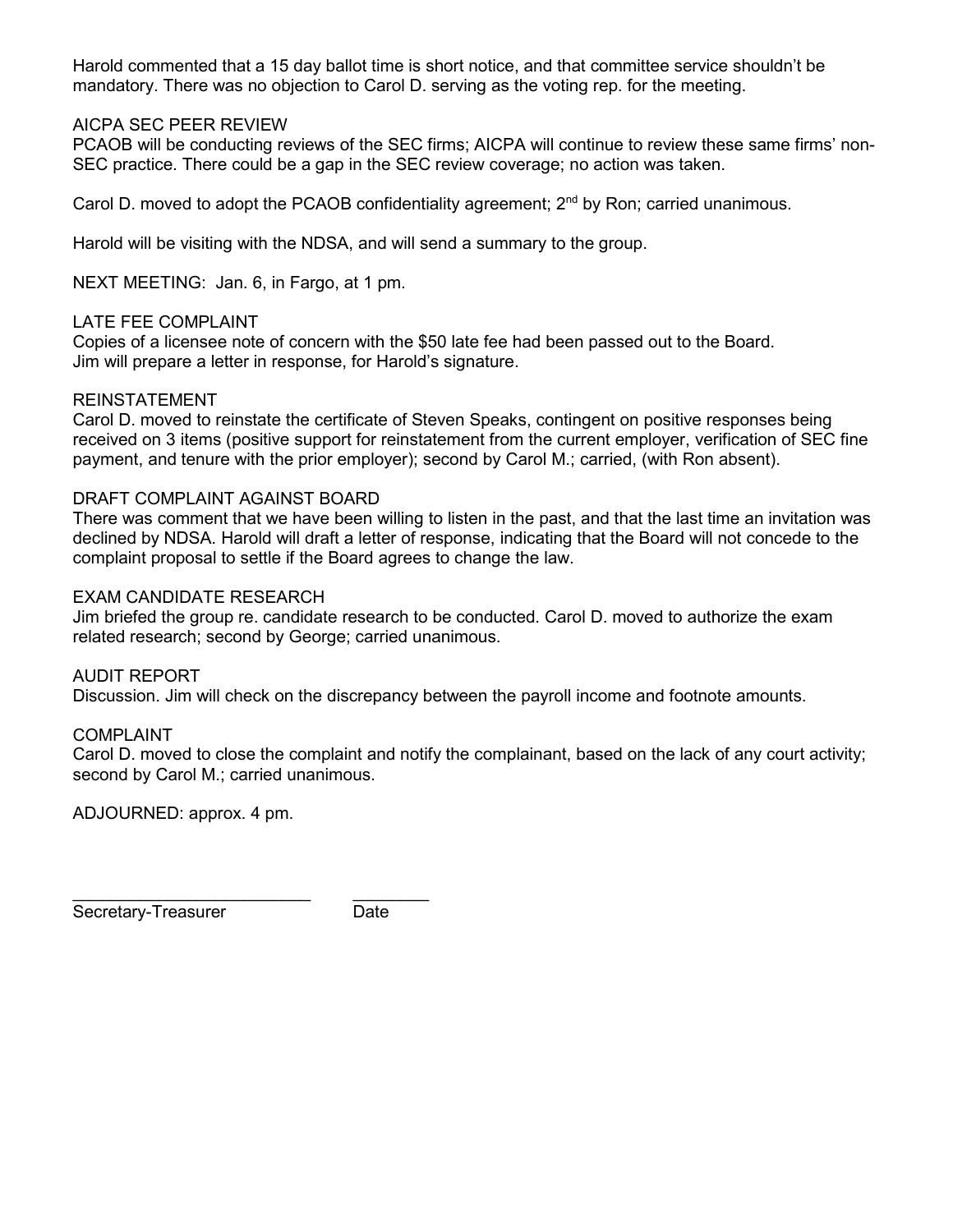Harold commented that a 15 day ballot time is short notice, and that committee service shouldn't be mandatory. There was no objection to Carol D. serving as the voting rep. for the meeting.

### AICPA SEC PEER REVIEW

PCAOB will be conducting reviews of the SEC firms; AICPA will continue to review these same firms' non-SEC practice. There could be a gap in the SEC review coverage; no action was taken.

Carol D. moved to adopt the PCAOB confidentiality agreement;  $2<sup>nd</sup>$  by Ron; carried unanimous.

Harold will be visiting with the NDSA, and will send a summary to the group.

NEXT MEETING: Jan. 6, in Fargo, at 1 pm.

### LATE FEE COMPLAINT

Copies of a licensee note of concern with the \$50 late fee had been passed out to the Board. Jim will prepare a letter in response, for Harold's signature.

#### REINSTATEMENT

Carol D. moved to reinstate the certificate of Steven Speaks, contingent on positive responses being received on 3 items (positive support for reinstatement from the current employer, verification of SEC fine payment, and tenure with the prior employer); second by Carol M.; carried, (with Ron absent).

#### DRAFT COMPLAINT AGAINST BOARD

There was comment that we have been willing to listen in the past, and that the last time an invitation was declined by NDSA. Harold will draft a letter of response, indicating that the Board will not concede to the complaint proposal to settle if the Board agrees to change the law.

#### EXAM CANDIDATE RESEARCH

Jim briefed the group re. candidate research to be conducted. Carol D. moved to authorize the exam related research; second by George; carried unanimous.

#### AUDIT REPORT

Discussion. Jim will check on the discrepancy between the payroll income and footnote amounts.

### COMPLAINT

Carol D. moved to close the complaint and notify the complainant, based on the lack of any court activity; second by Carol M.; carried unanimous.

ADJOURNED: approx. 4 pm.

\_\_\_\_\_\_\_\_\_\_\_\_\_\_\_\_\_\_\_\_\_\_\_\_\_ \_\_\_\_\_\_\_\_

Secretary-Treasurer Date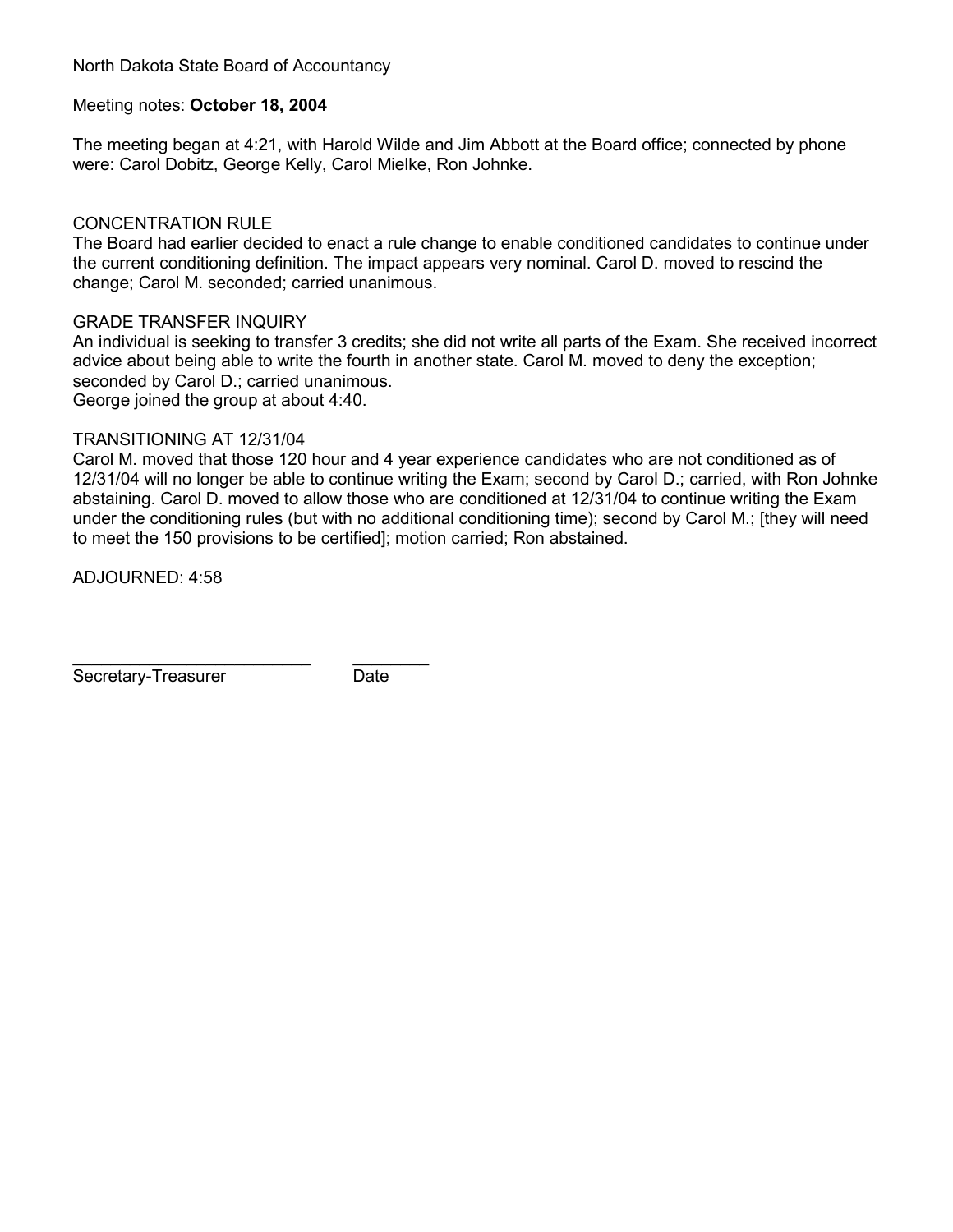North Dakota State Board of Accountancy

#### Meeting notes: **October 18, 2004**

The meeting began at 4:21, with Harold Wilde and Jim Abbott at the Board office; connected by phone were: Carol Dobitz, George Kelly, Carol Mielke, Ron Johnke.

#### CONCENTRATION RULE

The Board had earlier decided to enact a rule change to enable conditioned candidates to continue under the current conditioning definition. The impact appears very nominal. Carol D. moved to rescind the change; Carol M. seconded; carried unanimous.

#### GRADE TRANSFER INQUIRY

An individual is seeking to transfer 3 credits; she did not write all parts of the Exam. She received incorrect advice about being able to write the fourth in another state. Carol M. moved to deny the exception; seconded by Carol D.; carried unanimous. George joined the group at about 4:40.

#### TRANSITIONING AT 12/31/04

\_\_\_\_\_\_\_\_\_\_\_\_\_\_\_\_\_\_\_\_\_\_\_\_\_ \_\_\_\_\_\_\_\_

Carol M. moved that those 120 hour and 4 year experience candidates who are not conditioned as of 12/31/04 will no longer be able to continue writing the Exam; second by Carol D.; carried, with Ron Johnke abstaining. Carol D. moved to allow those who are conditioned at 12/31/04 to continue writing the Exam under the conditioning rules (but with no additional conditioning time); second by Carol M.; [they will need to meet the 150 provisions to be certified]; motion carried; Ron abstained.

ADJOURNED: 4:58

Secretary-Treasurer Date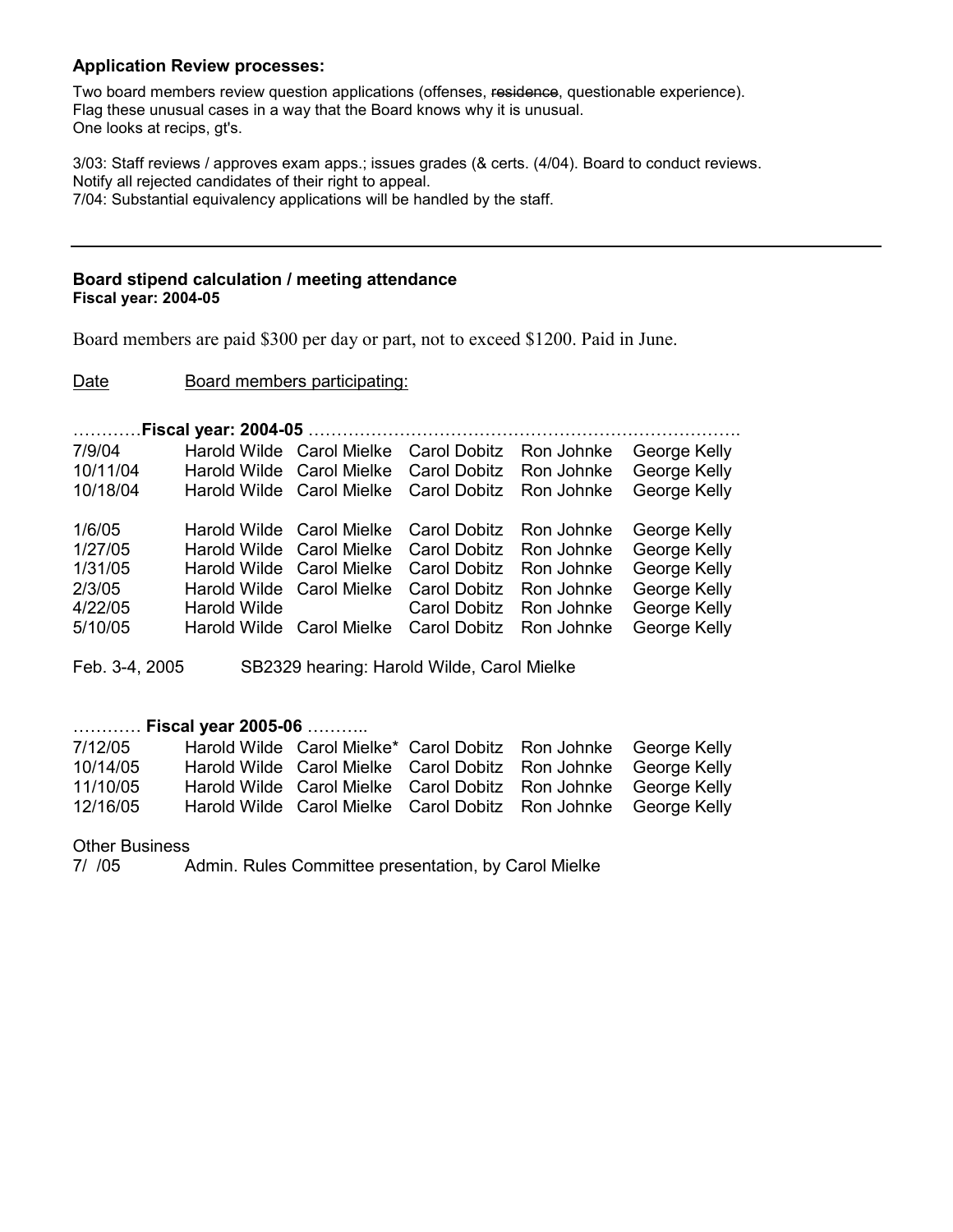#### **Application Review processes:**

Two board members review question applications (offenses, residence, questionable experience). Flag these unusual cases in a way that the Board knows why it is unusual. One looks at recips, gt's.

3/03: Staff reviews / approves exam apps.; issues grades (& certs. (4/04). Board to conduct reviews. Notify all rejected candidates of their right to appeal. 7/04: Substantial equivalency applications will be handled by the staff.

#### **Board stipend calculation / meeting attendance Fiscal year: 2004-05**

Board members are paid \$300 per day or part, not to exceed \$1200. Paid in June.

#### Date Board members participating:

…………**Fiscal year: 2004-05** ………………………………………………………………….

| 1/6/05<br>Harold Wilde Carol Mielke Carol Dobitz Ron Johnke<br>1/27/05<br>Harold Wilde Carol Mielke Carol Dobitz Ron Johnke<br>1/31/05<br>Harold Wilde Carol Mielke Carol Dobitz<br>Ron Johnke<br>2/3/05<br>Harold Wilde Carol Mielke Carol Dobitz<br>Ron Johnke<br>4/22/05<br>Ron Johnke<br>Harold Wilde<br>Carol Dobitz | 7/9/04<br>10/11/04<br>10/18/04 |  | Harold Wilde Carol Mielke Carol Dobitz Ron Johnke<br>Harold Wilde Carol Mielke Carol Dobitz Ron Johnke George Kelly<br>Harold Wilde Carol Mielke Carol Dobitz Ron Johnke | George Kelly<br>George Kelly                                                                 |
|---------------------------------------------------------------------------------------------------------------------------------------------------------------------------------------------------------------------------------------------------------------------------------------------------------------------------|--------------------------------|--|--------------------------------------------------------------------------------------------------------------------------------------------------------------------------|----------------------------------------------------------------------------------------------|
| 5/10/05<br>Harold Wilde Carol Mielke Carol Dobitz Ron Johnke                                                                                                                                                                                                                                                              |                                |  |                                                                                                                                                                          | George Kelly<br>George Kelly<br>George Kelly<br>George Kelly<br>George Kelly<br>George Kelly |
|                                                                                                                                                                                                                                                                                                                           |                                |  |                                                                                                                                                                          |                                                                                              |

Feb. 3-4, 2005 SB2329 hearing: Harold Wilde, Carol Mielke

### ………… **Fiscal year 2005-06** ………..

| 7/12/05  | Harold Wilde Carol Mielke* Carol Dobitz Ron Johnke George Kelly |  |  |
|----------|-----------------------------------------------------------------|--|--|
| 10/14/05 | Harold Wilde Carol Mielke Carol Dobitz Ron Johnke George Kelly  |  |  |
| 11/10/05 | Harold Wilde Carol Mielke Carol Dobitz Ron Johnke George Kelly  |  |  |
| 12/16/05 | Harold Wilde Carol Mielke Carol Dobitz Ron Johnke George Kelly  |  |  |

Other Business<br> $7/705$ 

Admin. Rules Committee presentation, by Carol Mielke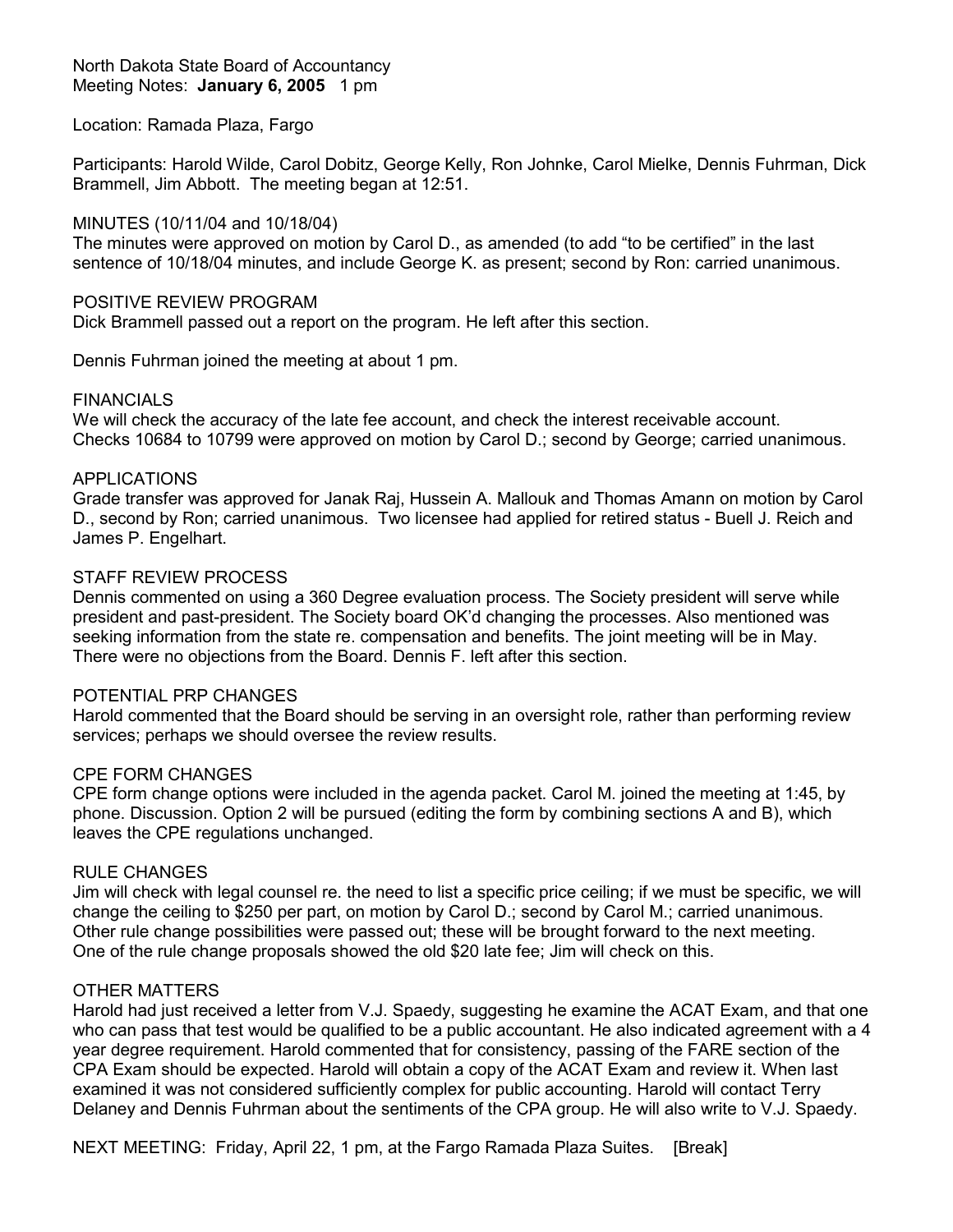#### North Dakota State Board of Accountancy Meeting Notes: **January 6, 2005** 1 pm

#### Location: Ramada Plaza, Fargo

Participants: Harold Wilde, Carol Dobitz, George Kelly, Ron Johnke, Carol Mielke, Dennis Fuhrman, Dick Brammell, Jim Abbott. The meeting began at 12:51.

### MINUTES (10/11/04 and 10/18/04)

The minutes were approved on motion by Carol D., as amended (to add "to be certified" in the last sentence of 10/18/04 minutes, and include George K. as present; second by Ron: carried unanimous.

#### POSITIVE REVIEW PROGRAM

Dick Brammell passed out a report on the program. He left after this section.

Dennis Fuhrman joined the meeting at about 1 pm.

#### FINANCIALS

We will check the accuracy of the late fee account, and check the interest receivable account. Checks 10684 to 10799 were approved on motion by Carol D.; second by George; carried unanimous.

#### APPLICATIONS

Grade transfer was approved for Janak Raj, Hussein A. Mallouk and Thomas Amann on motion by Carol D., second by Ron; carried unanimous. Two licensee had applied for retired status - Buell J. Reich and James P. Engelhart.

#### STAFF REVIEW PROCESS

Dennis commented on using a 360 Degree evaluation process. The Society president will serve while president and past-president. The Society board OK'd changing the processes. Also mentioned was seeking information from the state re. compensation and benefits. The joint meeting will be in May. There were no objections from the Board. Dennis F. left after this section.

#### POTENTIAL PRP CHANGES

Harold commented that the Board should be serving in an oversight role, rather than performing review services; perhaps we should oversee the review results.

#### CPE FORM CHANGES

CPE form change options were included in the agenda packet. Carol M. joined the meeting at 1:45, by phone. Discussion. Option 2 will be pursued (editing the form by combining sections A and B), which leaves the CPE regulations unchanged.

#### RULE CHANGES

Jim will check with legal counsel re. the need to list a specific price ceiling; if we must be specific, we will change the ceiling to \$250 per part, on motion by Carol D.; second by Carol M.; carried unanimous. Other rule change possibilities were passed out; these will be brought forward to the next meeting. One of the rule change proposals showed the old \$20 late fee; Jim will check on this.

#### OTHER MATTERS

Harold had just received a letter from V.J. Spaedy, suggesting he examine the ACAT Exam, and that one who can pass that test would be qualified to be a public accountant. He also indicated agreement with a 4 year degree requirement. Harold commented that for consistency, passing of the FARE section of the CPA Exam should be expected. Harold will obtain a copy of the ACAT Exam and review it. When last examined it was not considered sufficiently complex for public accounting. Harold will contact Terry Delaney and Dennis Fuhrman about the sentiments of the CPA group. He will also write to V.J. Spaedy.

NEXT MEETING: Friday, April 22, 1 pm, at the Fargo Ramada Plaza Suites. [Break]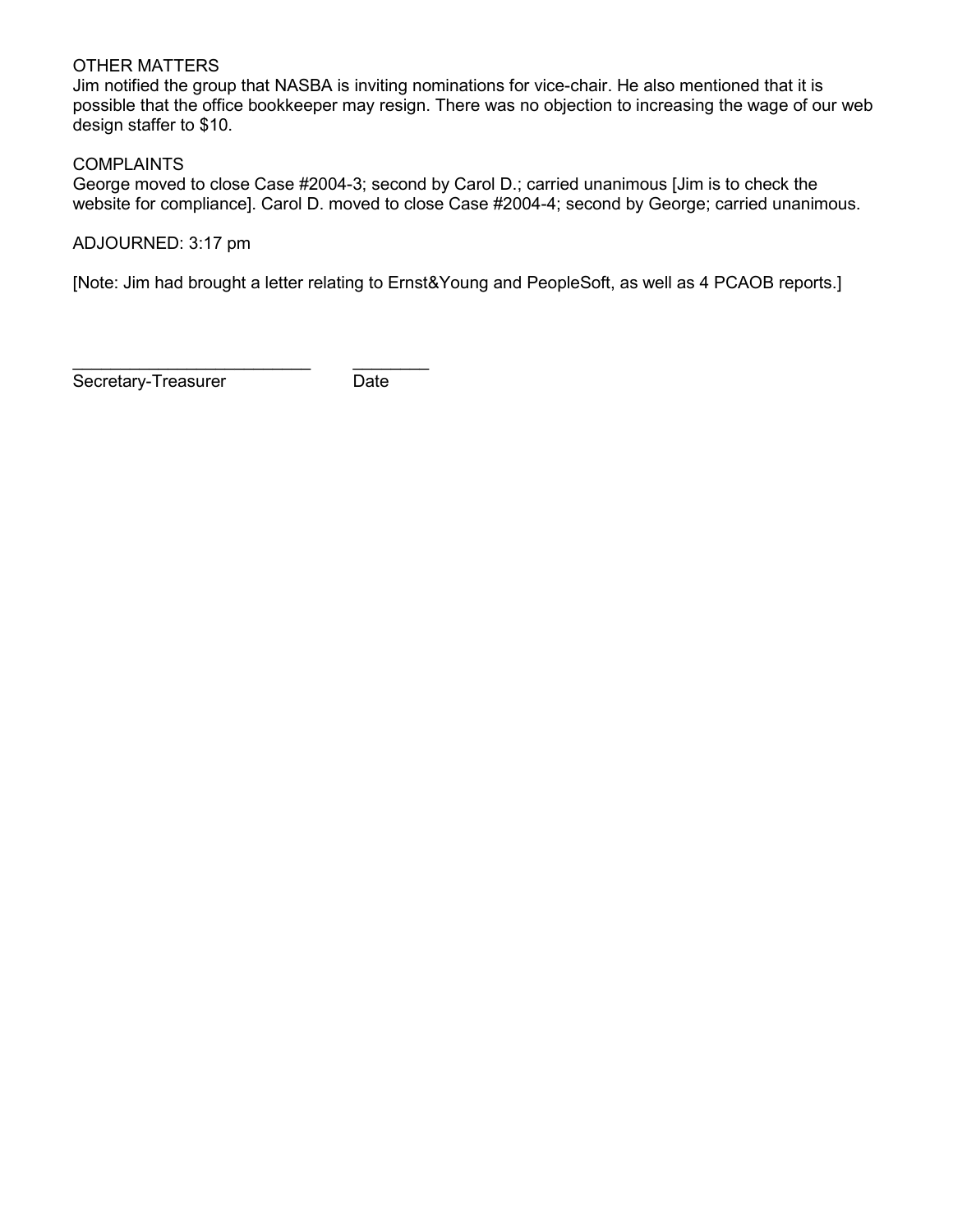#### OTHER MATTERS

Jim notified the group that NASBA is inviting nominations for vice-chair. He also mentioned that it is possible that the office bookkeeper may resign. There was no objection to increasing the wage of our web design staffer to \$10.

### **COMPLAINTS**

George moved to close Case #2004-3; second by Carol D.; carried unanimous [Jim is to check the website for compliance]. Carol D. moved to close Case #2004-4; second by George; carried unanimous.

ADJOURNED: 3:17 pm

[Note: Jim had brought a letter relating to Ernst&Young and PeopleSoft, as well as 4 PCAOB reports.]

Secretary-Treasurer Date

\_\_\_\_\_\_\_\_\_\_\_\_\_\_\_\_\_\_\_\_\_\_\_\_\_ \_\_\_\_\_\_\_\_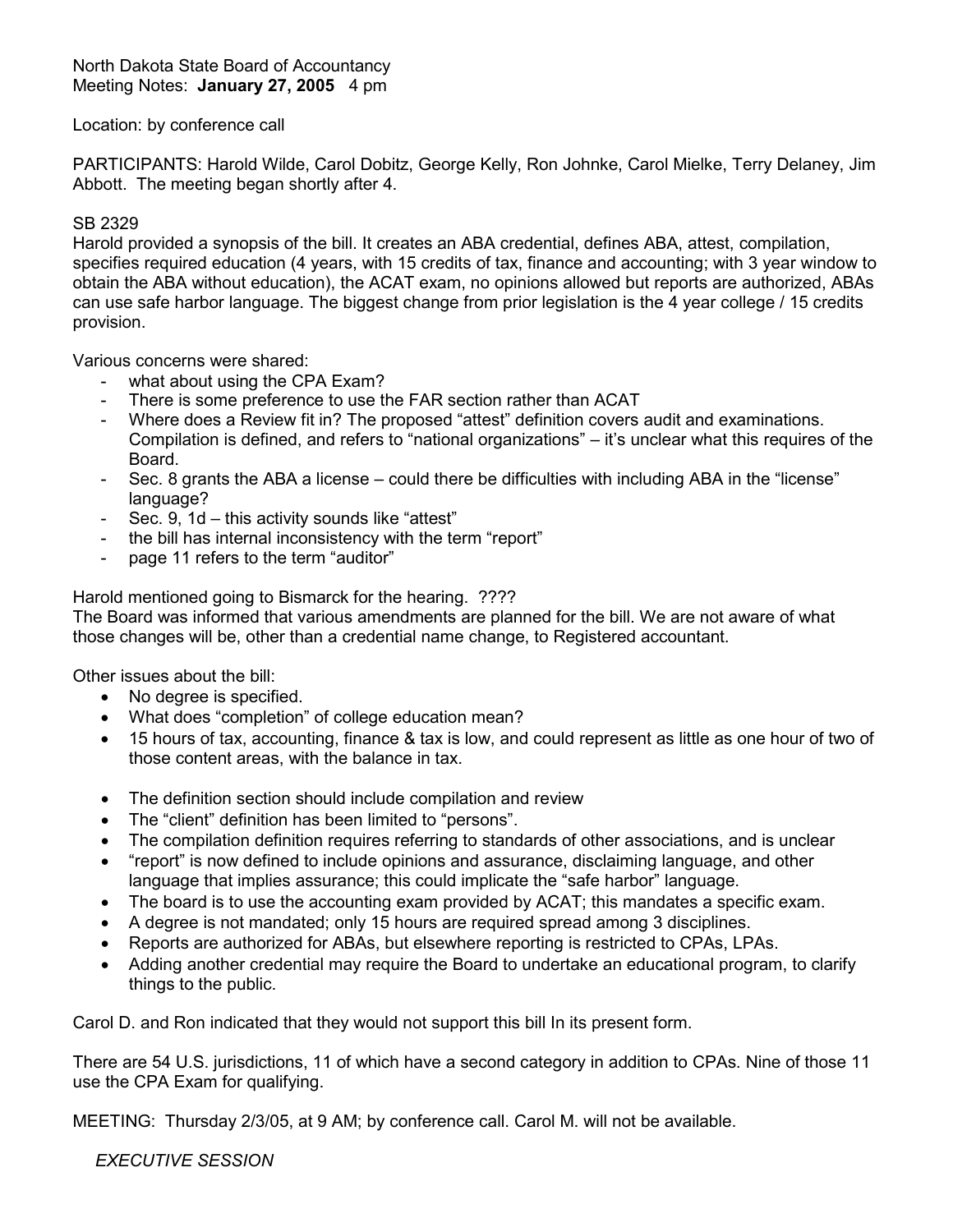#### North Dakota State Board of Accountancy Meeting Notes: **January 27, 2005** 4 pm

### Location: by conference call

PARTICIPANTS: Harold Wilde, Carol Dobitz, George Kelly, Ron Johnke, Carol Mielke, Terry Delaney, Jim Abbott. The meeting began shortly after 4.

#### SB 2329

Harold provided a synopsis of the bill. It creates an ABA credential, defines ABA, attest, compilation, specifies required education (4 years, with 15 credits of tax, finance and accounting; with 3 year window to obtain the ABA without education), the ACAT exam, no opinions allowed but reports are authorized, ABAs can use safe harbor language. The biggest change from prior legislation is the 4 year college / 15 credits provision.

Various concerns were shared:

- what about using the CPA Exam?
- There is some preference to use the FAR section rather than ACAT
- Where does a Review fit in? The proposed "attest" definition covers audit and examinations. Compilation is defined, and refers to "national organizations" – it's unclear what this requires of the Board.
- Sec. 8 grants the ABA a license could there be difficulties with including ABA in the "license" language?
- Sec. 9, 1d this activity sounds like "attest"
- the bill has internal inconsistency with the term "report"
- page 11 refers to the term "auditor"

Harold mentioned going to Bismarck for the hearing. ????

The Board was informed that various amendments are planned for the bill. We are not aware of what those changes will be, other than a credential name change, to Registered accountant.

Other issues about the bill:

- No degree is specified.
- What does "completion" of college education mean?
- 15 hours of tax, accounting, finance & tax is low, and could represent as little as one hour of two of those content areas, with the balance in tax.
- The definition section should include compilation and review
- The "client" definition has been limited to "persons".
- The compilation definition requires referring to standards of other associations, and is unclear
- "report" is now defined to include opinions and assurance, disclaiming language, and other language that implies assurance; this could implicate the "safe harbor" language.
- The board is to use the accounting exam provided by ACAT; this mandates a specific exam.
- A degree is not mandated; only 15 hours are required spread among 3 disciplines.
- Reports are authorized for ABAs, but elsewhere reporting is restricted to CPAs, LPAs.
- Adding another credential may require the Board to undertake an educational program, to clarify things to the public.

Carol D. and Ron indicated that they would not support this bill In its present form.

There are 54 U.S. jurisdictions, 11 of which have a second category in addition to CPAs. Nine of those 11 use the CPA Exam for qualifying.

MEETING: Thursday 2/3/05, at 9 AM; by conference call. Carol M. will not be available.

*EXECUTIVE SESSION*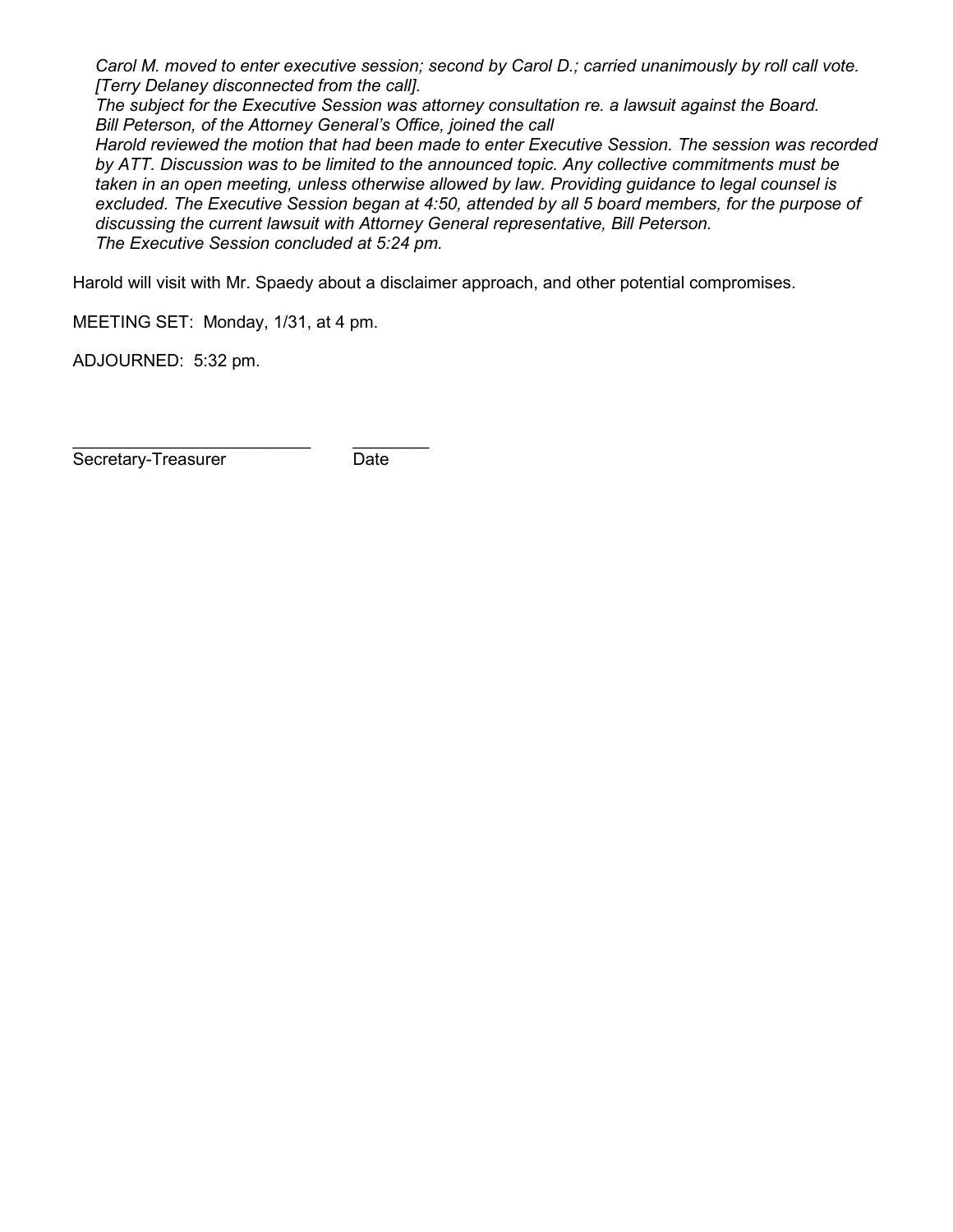*Carol M. moved to enter executive session; second by Carol D.; carried unanimously by roll call vote. [Terry Delaney disconnected from the call].* 

*The subject for the Executive Session was attorney consultation re. a lawsuit against the Board. Bill Peterson, of the Attorney General's Office, joined the call*

*Harold reviewed the motion that had been made to enter Executive Session. The session was recorded by ATT. Discussion was to be limited to the announced topic. Any collective commitments must be taken in an open meeting, unless otherwise allowed by law. Providing guidance to legal counsel is excluded. The Executive Session began at 4:50, attended by all 5 board members, for the purpose of discussing the current lawsuit with Attorney General representative, Bill Peterson. The Executive Session concluded at 5:24 pm.*

Harold will visit with Mr. Spaedy about a disclaimer approach, and other potential compromises.

MEETING SET: Monday, 1/31, at 4 pm.

ADJOURNED: 5:32 pm.

\_\_\_\_\_\_\_\_\_\_\_\_\_\_\_\_\_\_\_\_\_\_\_\_\_ \_\_\_\_\_\_\_\_ Secretary-Treasurer Date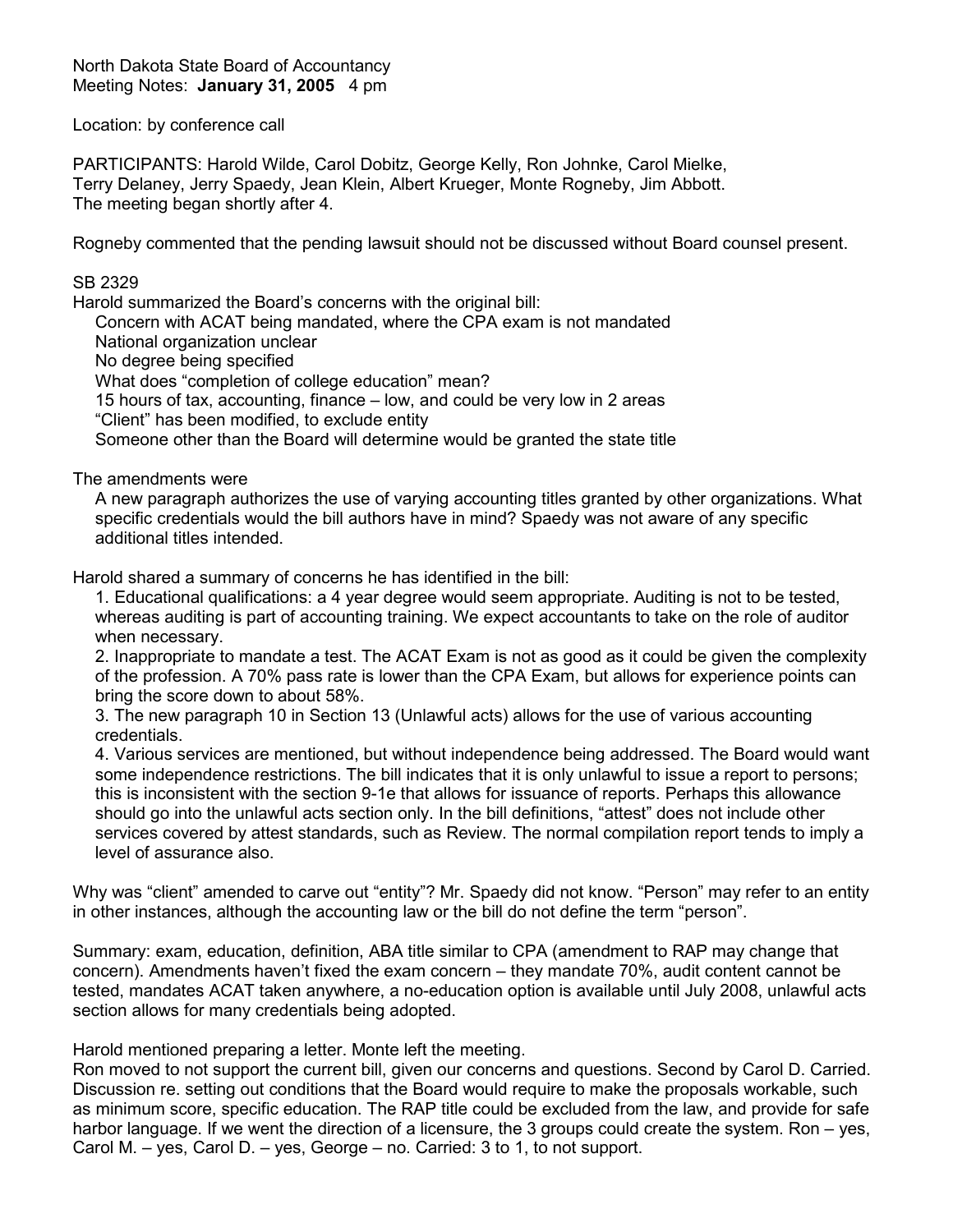North Dakota State Board of Accountancy Meeting Notes: **January 31, 2005** 4 pm

Location: by conference call

PARTICIPANTS: Harold Wilde, Carol Dobitz, George Kelly, Ron Johnke, Carol Mielke, Terry Delaney, Jerry Spaedy, Jean Klein, Albert Krueger, Monte Rogneby, Jim Abbott. The meeting began shortly after 4.

Rogneby commented that the pending lawsuit should not be discussed without Board counsel present.

### SB 2329

Harold summarized the Board's concerns with the original bill:

Concern with ACAT being mandated, where the CPA exam is not mandated

National organization unclear

No degree being specified

What does "completion of college education" mean?

15 hours of tax, accounting, finance – low, and could be very low in 2 areas

"Client" has been modified, to exclude entity

Someone other than the Board will determine would be granted the state title

The amendments were

A new paragraph authorizes the use of varying accounting titles granted by other organizations. What specific credentials would the bill authors have in mind? Spaedy was not aware of any specific additional titles intended.

Harold shared a summary of concerns he has identified in the bill:

1. Educational qualifications: a 4 year degree would seem appropriate. Auditing is not to be tested, whereas auditing is part of accounting training. We expect accountants to take on the role of auditor when necessary.

2. Inappropriate to mandate a test. The ACAT Exam is not as good as it could be given the complexity of the profession. A 70% pass rate is lower than the CPA Exam, but allows for experience points can bring the score down to about 58%.

3. The new paragraph 10 in Section 13 (Unlawful acts) allows for the use of various accounting credentials.

4. Various services are mentioned, but without independence being addressed. The Board would want some independence restrictions. The bill indicates that it is only unlawful to issue a report to persons; this is inconsistent with the section 9-1e that allows for issuance of reports. Perhaps this allowance should go into the unlawful acts section only. In the bill definitions, "attest" does not include other services covered by attest standards, such as Review. The normal compilation report tends to imply a level of assurance also.

Why was "client" amended to carve out "entity"? Mr. Spaedy did not know. "Person" may refer to an entity in other instances, although the accounting law or the bill do not define the term "person".

Summary: exam, education, definition, ABA title similar to CPA (amendment to RAP may change that concern). Amendments haven't fixed the exam concern – they mandate 70%, audit content cannot be tested, mandates ACAT taken anywhere, a no-education option is available until July 2008, unlawful acts section allows for many credentials being adopted.

Harold mentioned preparing a letter. Monte left the meeting.

Ron moved to not support the current bill, given our concerns and questions. Second by Carol D. Carried. Discussion re. setting out conditions that the Board would require to make the proposals workable, such as minimum score, specific education. The RAP title could be excluded from the law, and provide for safe harbor language. If we went the direction of a licensure, the 3 groups could create the system. Ron – yes, Carol M. – yes, Carol D. – yes, George – no. Carried: 3 to 1, to not support.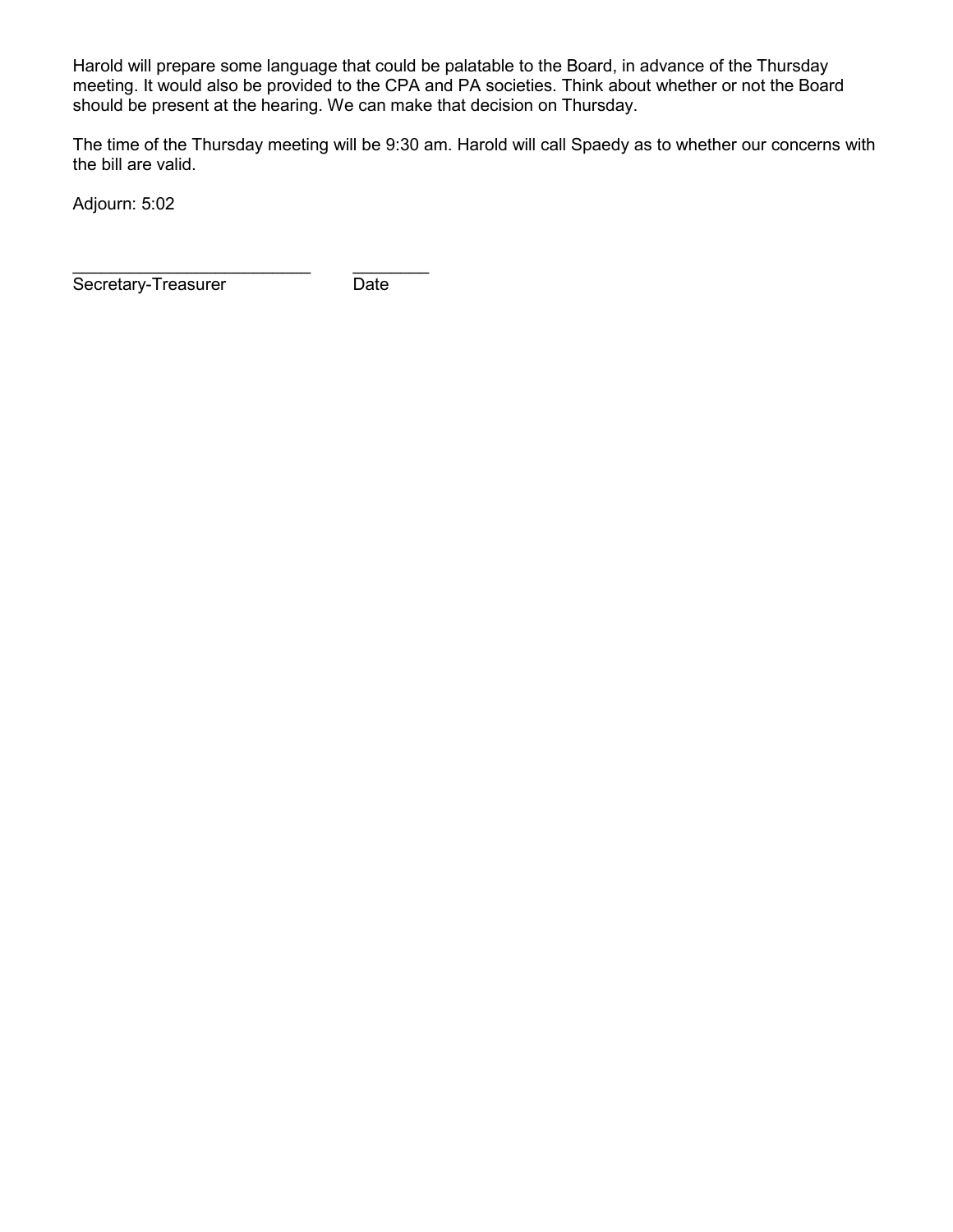Harold will prepare some language that could be palatable to the Board, in advance of the Thursday meeting. It would also be provided to the CPA and PA societies. Think about whether or not the Board should be present at the hearing. We can make that decision on Thursday.

The time of the Thursday meeting will be 9:30 am. Harold will call Spaedy as to whether our concerns with the bill are valid.

Adjourn: 5:02

\_\_\_\_\_\_\_\_\_\_\_\_\_\_\_\_\_\_\_\_\_\_\_\_\_ \_\_\_\_\_\_\_\_ Secretary-Treasurer Date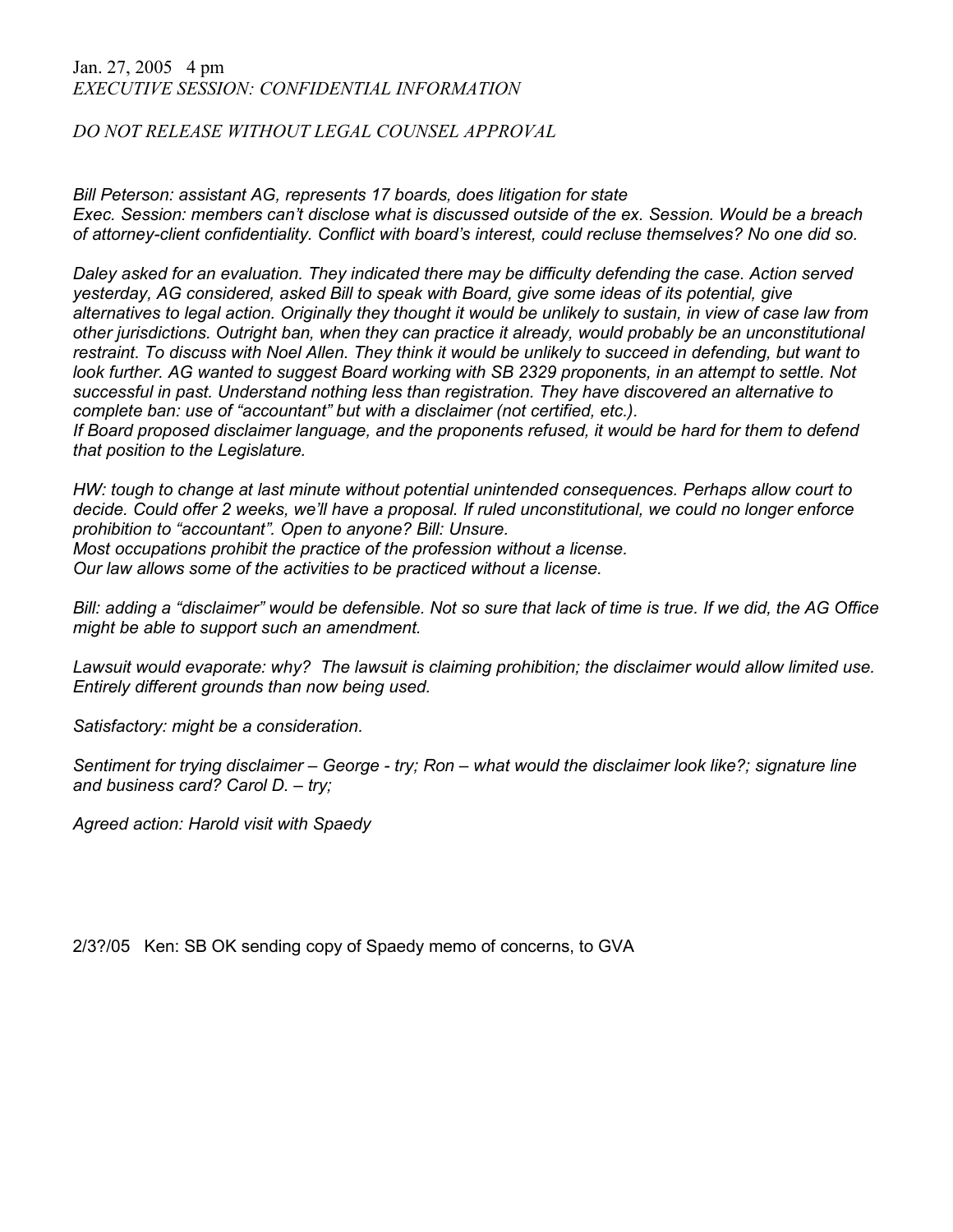#### Jan. 27, 2005 4 pm *EXECUTIVE SESSION: CONFIDENTIAL INFORMATION*

## *DO NOT RELEASE WITHOUT LEGAL COUNSEL APPROVAL*

*Bill Peterson: assistant AG, represents 17 boards, does litigation for state Exec. Session: members can't disclose what is discussed outside of the ex. Session. Would be a breach of attorney-client confidentiality. Conflict with board's interest, could recluse themselves? No one did so.*

*Daley asked for an evaluation. They indicated there may be difficulty defending the case. Action served yesterday, AG considered, asked Bill to speak with Board, give some ideas of its potential, give alternatives to legal action. Originally they thought it would be unlikely to sustain, in view of case law from other jurisdictions. Outright ban, when they can practice it already, would probably be an unconstitutional restraint. To discuss with Noel Allen. They think it would be unlikely to succeed in defending, but want to look further. AG wanted to suggest Board working with SB 2329 proponents, in an attempt to settle. Not successful in past. Understand nothing less than registration. They have discovered an alternative to complete ban: use of "accountant" but with a disclaimer (not certified, etc.).* 

*If Board proposed disclaimer language, and the proponents refused, it would be hard for them to defend that position to the Legislature.* 

*HW: tough to change at last minute without potential unintended consequences. Perhaps allow court to decide. Could offer 2 weeks, we'll have a proposal. If ruled unconstitutional, we could no longer enforce prohibition to "accountant". Open to anyone? Bill: Unsure.* 

*Most occupations prohibit the practice of the profession without a license.* 

*Our law allows some of the activities to be practiced without a license.* 

*Bill: adding a "disclaimer" would be defensible. Not so sure that lack of time is true. If we did, the AG Office might be able to support such an amendment.*

*Lawsuit would evaporate: why? The lawsuit is claiming prohibition; the disclaimer would allow limited use. Entirely different grounds than now being used.* 

*Satisfactory: might be a consideration.* 

*Sentiment for trying disclaimer – George - try; Ron – what would the disclaimer look like?; signature line and business card? Carol D. – try;* 

*Agreed action: Harold visit with Spaedy*

2/3?/05 Ken: SB OK sending copy of Spaedy memo of concerns, to GVA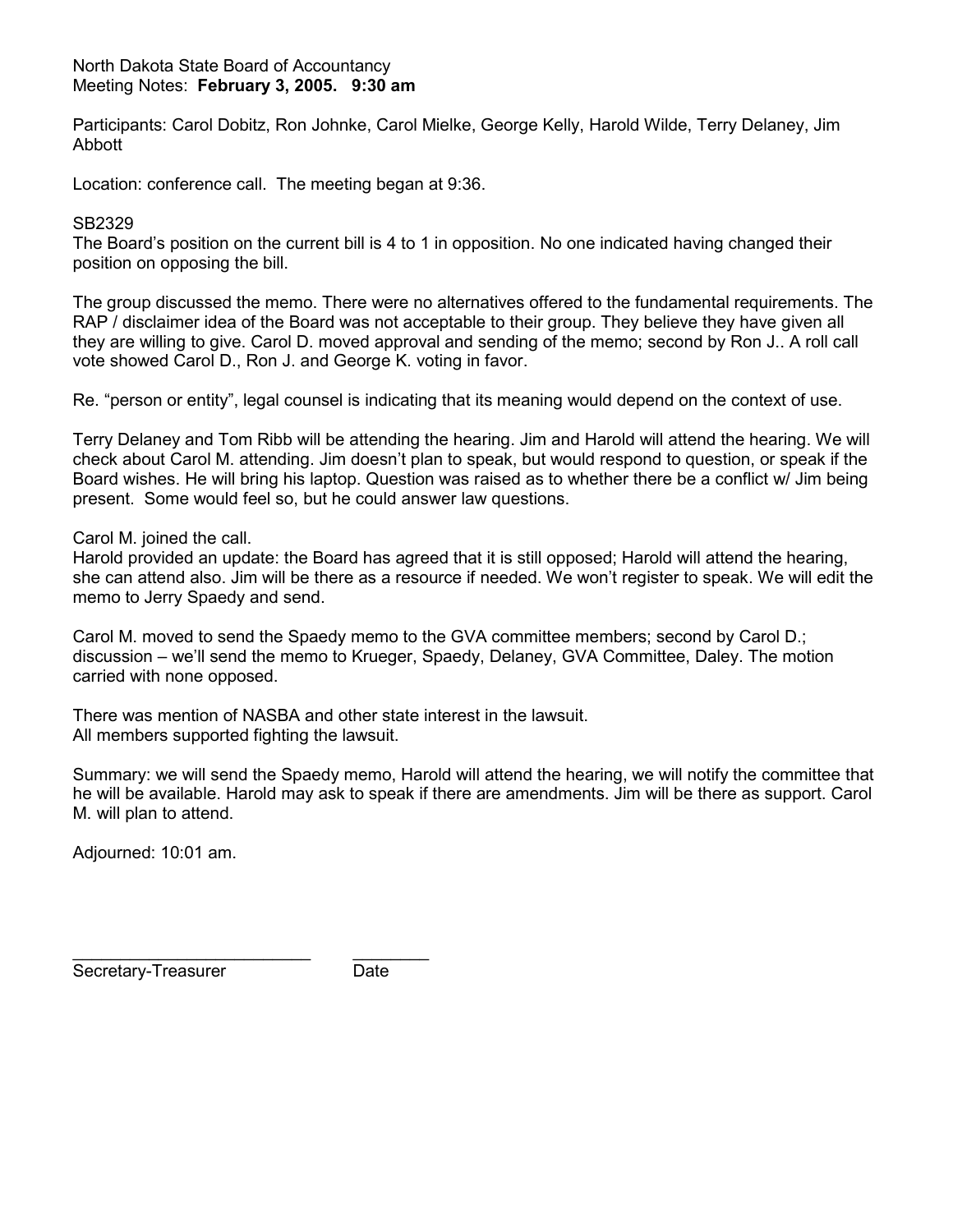#### North Dakota State Board of Accountancy Meeting Notes: **February 3, 2005. 9:30 am**

Participants: Carol Dobitz, Ron Johnke, Carol Mielke, George Kelly, Harold Wilde, Terry Delaney, Jim Abbott

Location: conference call. The meeting began at 9:36.

#### SB2329

The Board's position on the current bill is 4 to 1 in opposition. No one indicated having changed their position on opposing the bill.

The group discussed the memo. There were no alternatives offered to the fundamental requirements. The RAP / disclaimer idea of the Board was not acceptable to their group. They believe they have given all they are willing to give. Carol D. moved approval and sending of the memo; second by Ron J.. A roll call vote showed Carol D., Ron J. and George K. voting in favor.

Re. "person or entity", legal counsel is indicating that its meaning would depend on the context of use.

Terry Delaney and Tom Ribb will be attending the hearing. Jim and Harold will attend the hearing. We will check about Carol M. attending. Jim doesn't plan to speak, but would respond to question, or speak if the Board wishes. He will bring his laptop. Question was raised as to whether there be a conflict w/ Jim being present. Some would feel so, but he could answer law questions.

Carol M. joined the call.

Harold provided an update: the Board has agreed that it is still opposed; Harold will attend the hearing, she can attend also. Jim will be there as a resource if needed. We won't register to speak. We will edit the memo to Jerry Spaedy and send.

Carol M. moved to send the Spaedy memo to the GVA committee members; second by Carol D.; discussion – we'll send the memo to Krueger, Spaedy, Delaney, GVA Committee, Daley. The motion carried with none opposed.

There was mention of NASBA and other state interest in the lawsuit. All members supported fighting the lawsuit.

Summary: we will send the Spaedy memo, Harold will attend the hearing, we will notify the committee that he will be available. Harold may ask to speak if there are amendments. Jim will be there as support. Carol M. will plan to attend.

Adjourned: 10:01 am.

\_\_\_\_\_\_\_\_\_\_\_\_\_\_\_\_\_\_\_\_\_\_\_\_\_ \_\_\_\_\_\_\_\_ Secretary-Treasurer **Date**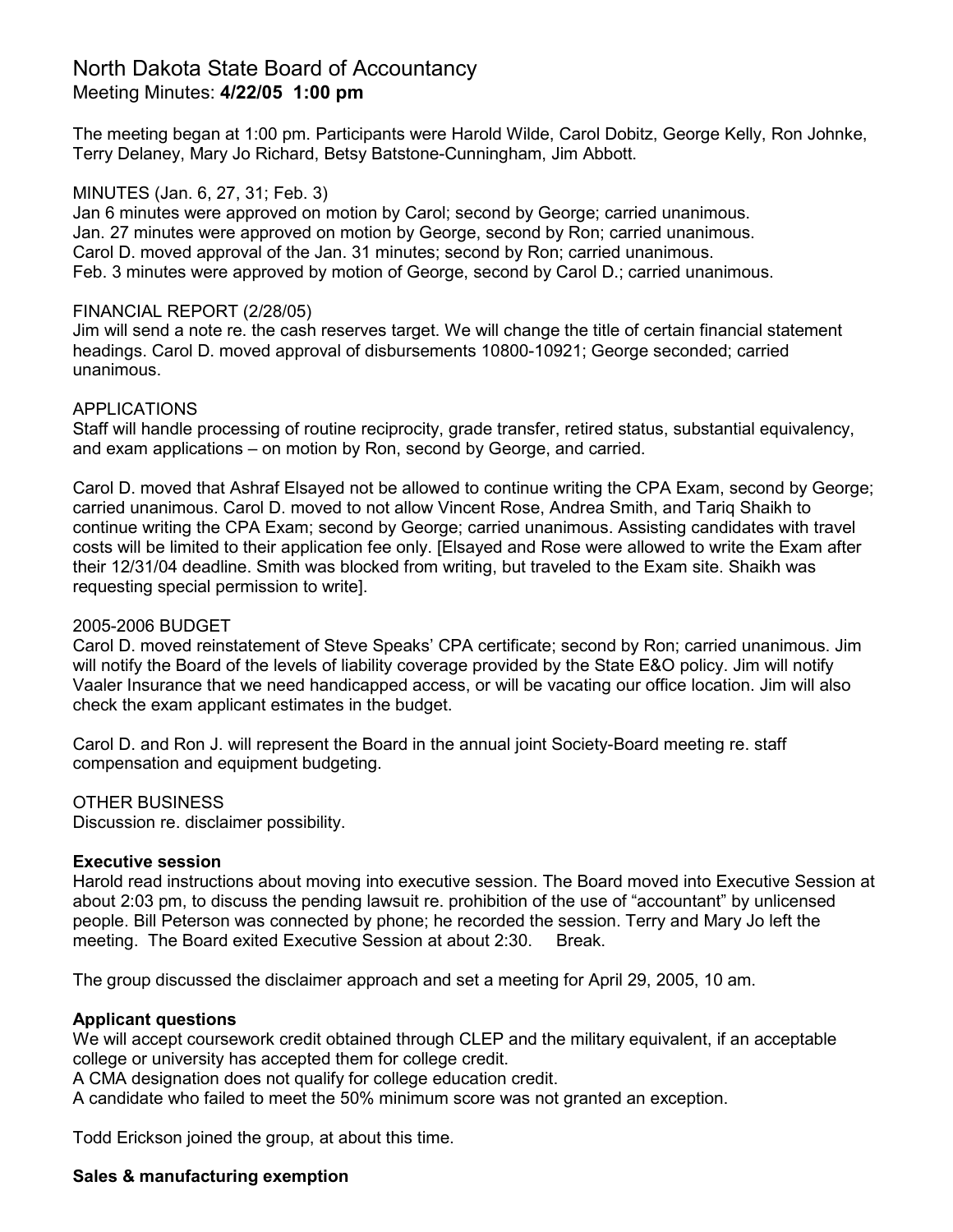# North Dakota State Board of Accountancy Meeting Minutes: **4/22/05 1:00 pm**

The meeting began at 1:00 pm. Participants were Harold Wilde, Carol Dobitz, George Kelly, Ron Johnke, Terry Delaney, Mary Jo Richard, Betsy Batstone-Cunningham, Jim Abbott.

### MINUTES (Jan. 6, 27, 31; Feb. 3)

Jan 6 minutes were approved on motion by Carol; second by George; carried unanimous. Jan. 27 minutes were approved on motion by George, second by Ron; carried unanimous. Carol D. moved approval of the Jan. 31 minutes; second by Ron; carried unanimous. Feb. 3 minutes were approved by motion of George, second by Carol D.; carried unanimous.

#### FINANCIAL REPORT (2/28/05)

Jim will send a note re. the cash reserves target. We will change the title of certain financial statement headings. Carol D. moved approval of disbursements 10800-10921; George seconded; carried unanimous.

#### APPLICATIONS

Staff will handle processing of routine reciprocity, grade transfer, retired status, substantial equivalency, and exam applications – on motion by Ron, second by George, and carried.

Carol D. moved that Ashraf Elsayed not be allowed to continue writing the CPA Exam, second by George; carried unanimous. Carol D. moved to not allow Vincent Rose, Andrea Smith, and Tariq Shaikh to continue writing the CPA Exam; second by George; carried unanimous. Assisting candidates with travel costs will be limited to their application fee only. [Elsayed and Rose were allowed to write the Exam after their 12/31/04 deadline. Smith was blocked from writing, but traveled to the Exam site. Shaikh was requesting special permission to write].

#### 2005-2006 BUDGET

Carol D. moved reinstatement of Steve Speaks' CPA certificate; second by Ron; carried unanimous. Jim will notify the Board of the levels of liability coverage provided by the State E&O policy. Jim will notify Vaaler Insurance that we need handicapped access, or will be vacating our office location. Jim will also check the exam applicant estimates in the budget.

Carol D. and Ron J. will represent the Board in the annual joint Society-Board meeting re. staff compensation and equipment budgeting.

#### OTHER BUSINESS

Discussion re. disclaimer possibility.

#### **Executive session**

Harold read instructions about moving into executive session. The Board moved into Executive Session at about 2:03 pm, to discuss the pending lawsuit re. prohibition of the use of "accountant" by unlicensed people. Bill Peterson was connected by phone; he recorded the session. Terry and Mary Jo left the meeting. The Board exited Executive Session at about 2:30. Break.

The group discussed the disclaimer approach and set a meeting for April 29, 2005, 10 am.

#### **Applicant questions**

We will accept coursework credit obtained through CLEP and the military equivalent, if an acceptable college or university has accepted them for college credit.

A CMA designation does not qualify for college education credit.

A candidate who failed to meet the 50% minimum score was not granted an exception.

Todd Erickson joined the group, at about this time.

### **Sales & manufacturing exemption**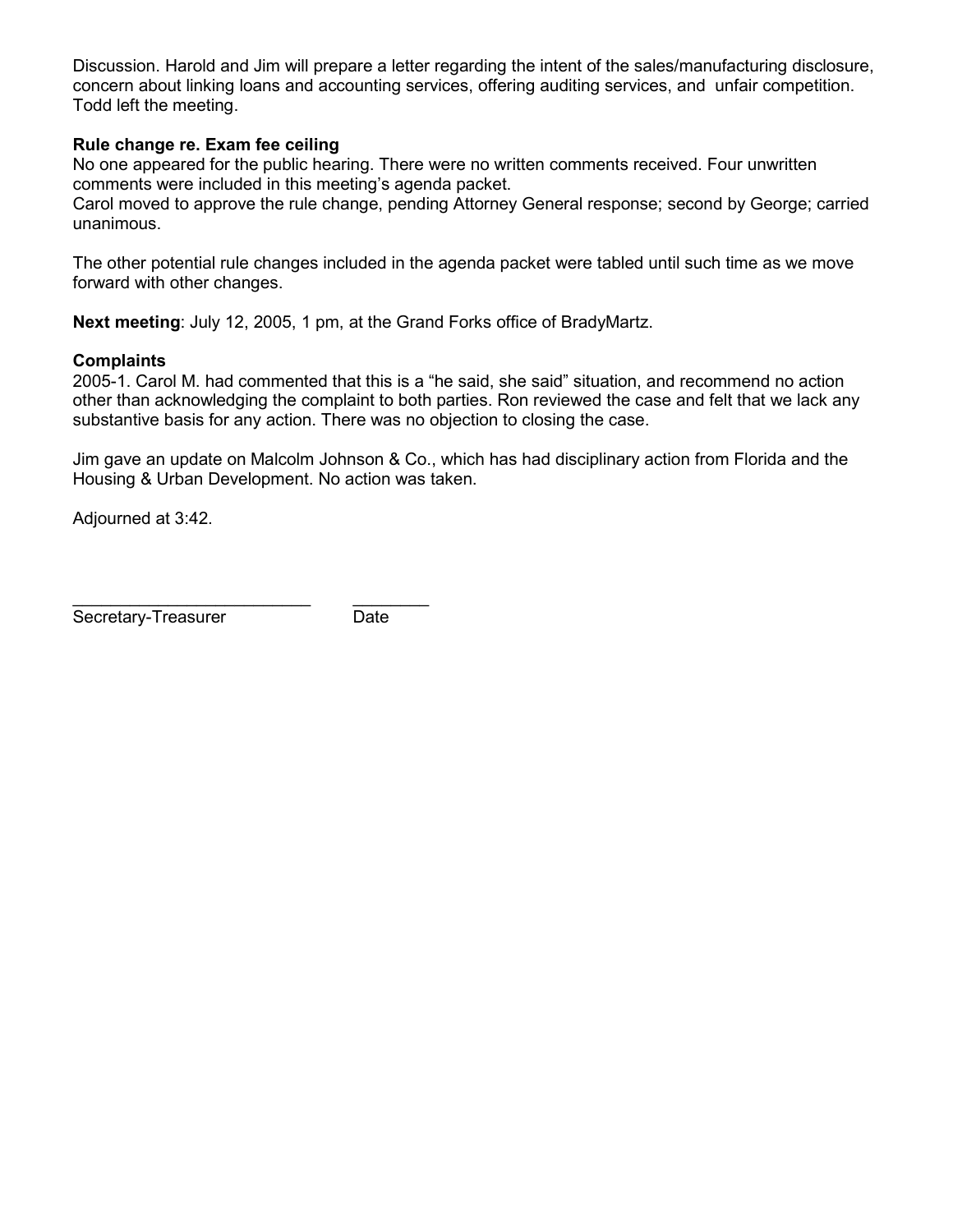Discussion. Harold and Jim will prepare a letter regarding the intent of the sales/manufacturing disclosure, concern about linking loans and accounting services, offering auditing services, and unfair competition. Todd left the meeting.

### **Rule change re. Exam fee ceiling**

No one appeared for the public hearing. There were no written comments received. Four unwritten comments were included in this meeting's agenda packet.

Carol moved to approve the rule change, pending Attorney General response; second by George; carried unanimous.

The other potential rule changes included in the agenda packet were tabled until such time as we move forward with other changes.

**Next meeting**: July 12, 2005, 1 pm, at the Grand Forks office of BradyMartz.

#### **Complaints**

2005-1. Carol M. had commented that this is a "he said, she said" situation, and recommend no action other than acknowledging the complaint to both parties. Ron reviewed the case and felt that we lack any substantive basis for any action. There was no objection to closing the case.

Jim gave an update on Malcolm Johnson & Co., which has had disciplinary action from Florida and the Housing & Urban Development. No action was taken.

Adjourned at 3:42.

Secretary-Treasurer Date

\_\_\_\_\_\_\_\_\_\_\_\_\_\_\_\_\_\_\_\_\_\_\_\_\_ \_\_\_\_\_\_\_\_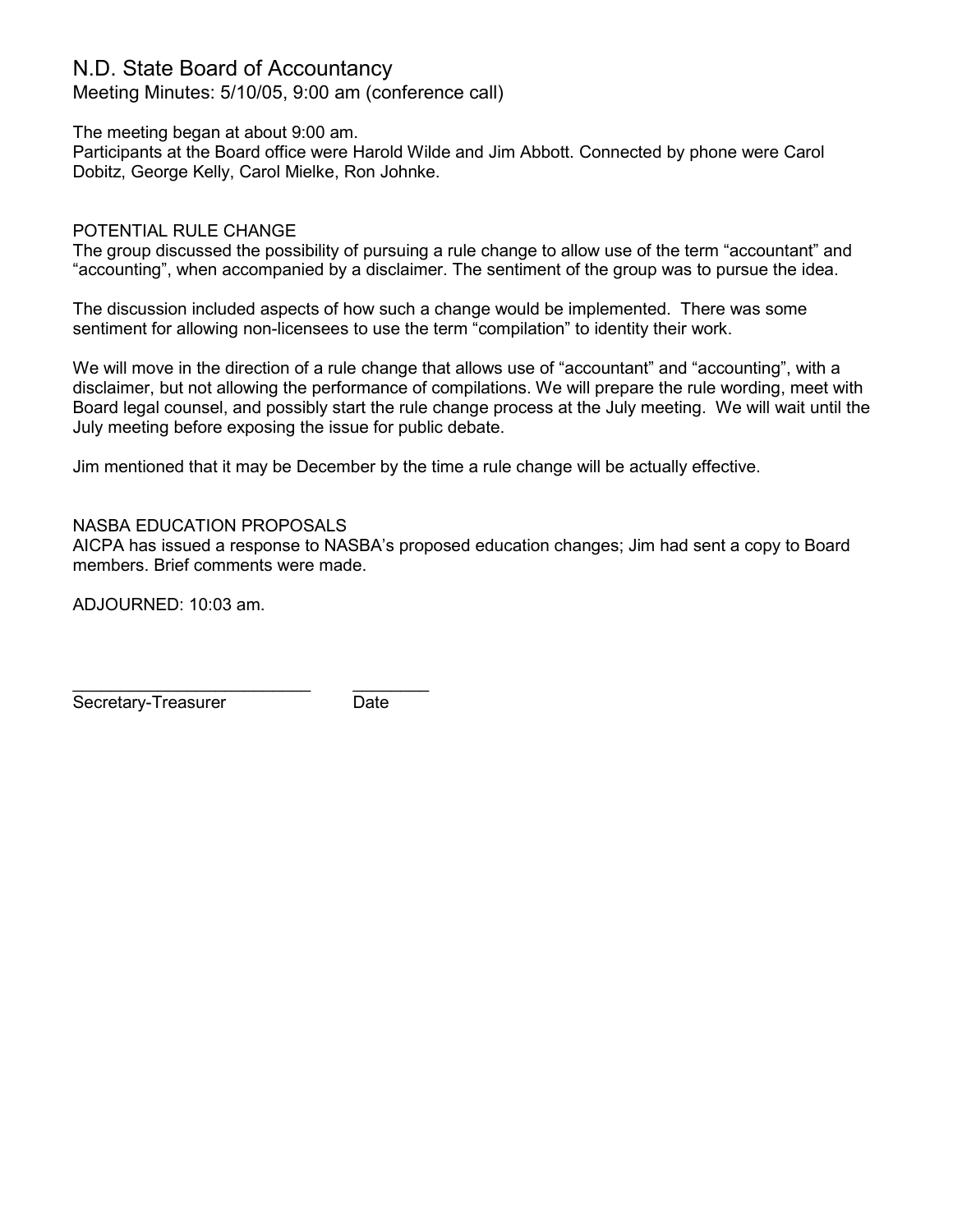# N.D. State Board of Accountancy

Meeting Minutes: 5/10/05, 9:00 am (conference call)

The meeting began at about 9:00 am.

Participants at the Board office were Harold Wilde and Jim Abbott. Connected by phone were Carol Dobitz, George Kelly, Carol Mielke, Ron Johnke.

### POTENTIAL RULE CHANGE

The group discussed the possibility of pursuing a rule change to allow use of the term "accountant" and "accounting", when accompanied by a disclaimer. The sentiment of the group was to pursue the idea.

The discussion included aspects of how such a change would be implemented. There was some sentiment for allowing non-licensees to use the term "compilation" to identity their work.

We will move in the direction of a rule change that allows use of "accountant" and "accounting", with a disclaimer, but not allowing the performance of compilations. We will prepare the rule wording, meet with Board legal counsel, and possibly start the rule change process at the July meeting. We will wait until the July meeting before exposing the issue for public debate.

Jim mentioned that it may be December by the time a rule change will be actually effective.

## NASBA EDUCATION PROPOSALS

AICPA has issued a response to NASBA's proposed education changes; Jim had sent a copy to Board members. Brief comments were made.

ADJOURNED: 10:03 am.

\_\_\_\_\_\_\_\_\_\_\_\_\_\_\_\_\_\_\_\_\_\_\_\_\_ \_\_\_\_\_\_\_\_ Secretary-Treasurer **Date**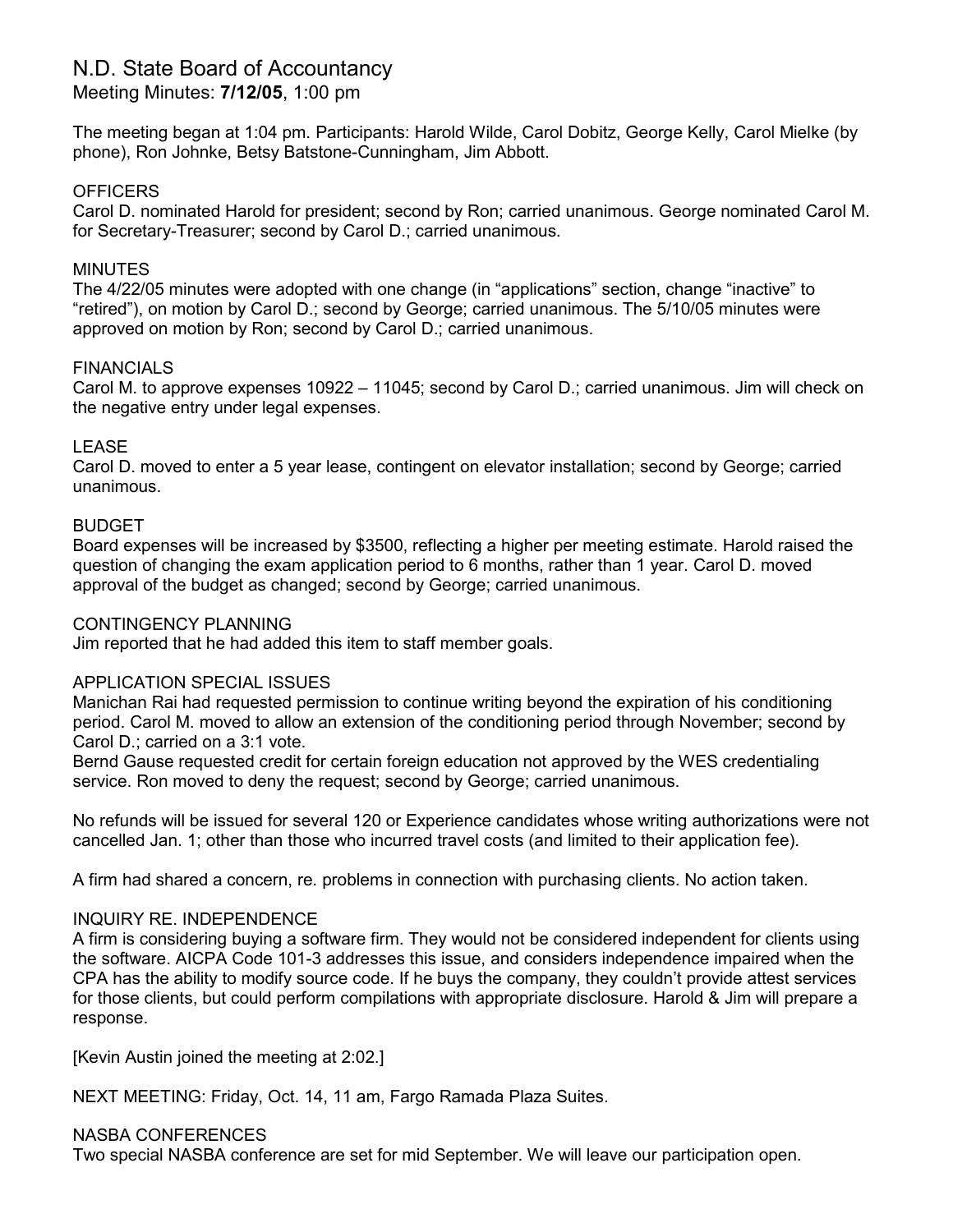# N.D. State Board of Accountancy

## Meeting Minutes: **7/12/05**, 1:00 pm

The meeting began at 1:04 pm. Participants: Harold Wilde, Carol Dobitz, George Kelly, Carol Mielke (by phone), Ron Johnke, Betsy Batstone-Cunningham, Jim Abbott.

### **OFFICERS**

Carol D. nominated Harold for president; second by Ron; carried unanimous. George nominated Carol M. for Secretary-Treasurer; second by Carol D.; carried unanimous.

### **MINUTES**

The 4/22/05 minutes were adopted with one change (in "applications" section, change "inactive" to "retired"), on motion by Carol D.; second by George; carried unanimous. The 5/10/05 minutes were approved on motion by Ron; second by Carol D.; carried unanimous.

#### FINANCIALS

Carol M. to approve expenses 10922 – 11045; second by Carol D.; carried unanimous. Jim will check on the negative entry under legal expenses.

### LEASE

Carol D. moved to enter a 5 year lease, contingent on elevator installation; second by George; carried unanimous.

#### BUDGET

Board expenses will be increased by \$3500, reflecting a higher per meeting estimate. Harold raised the question of changing the exam application period to 6 months, rather than 1 year. Carol D. moved approval of the budget as changed; second by George; carried unanimous.

#### CONTINGENCY PLANNING

Jim reported that he had added this item to staff member goals.

### APPLICATION SPECIAL ISSUES

Manichan Rai had requested permission to continue writing beyond the expiration of his conditioning period. Carol M. moved to allow an extension of the conditioning period through November; second by Carol D.; carried on a 3:1 vote.

Bernd Gause requested credit for certain foreign education not approved by the WES credentialing service. Ron moved to deny the request; second by George; carried unanimous.

No refunds will be issued for several 120 or Experience candidates whose writing authorizations were not cancelled Jan. 1; other than those who incurred travel costs (and limited to their application fee).

A firm had shared a concern, re. problems in connection with purchasing clients. No action taken.

#### INQUIRY RE. INDEPENDENCE

A firm is considering buying a software firm. They would not be considered independent for clients using the software. AICPA Code 101-3 addresses this issue, and considers independence impaired when the CPA has the ability to modify source code. If he buys the company, they couldn't provide attest services for those clients, but could perform compilations with appropriate disclosure. Harold & Jim will prepare a response.

[Kevin Austin joined the meeting at 2:02.]

NEXT MEETING: Friday, Oct. 14, 11 am, Fargo Ramada Plaza Suites.

#### NASBA CONFERENCES

Two special NASBA conference are set for mid September. We will leave our participation open.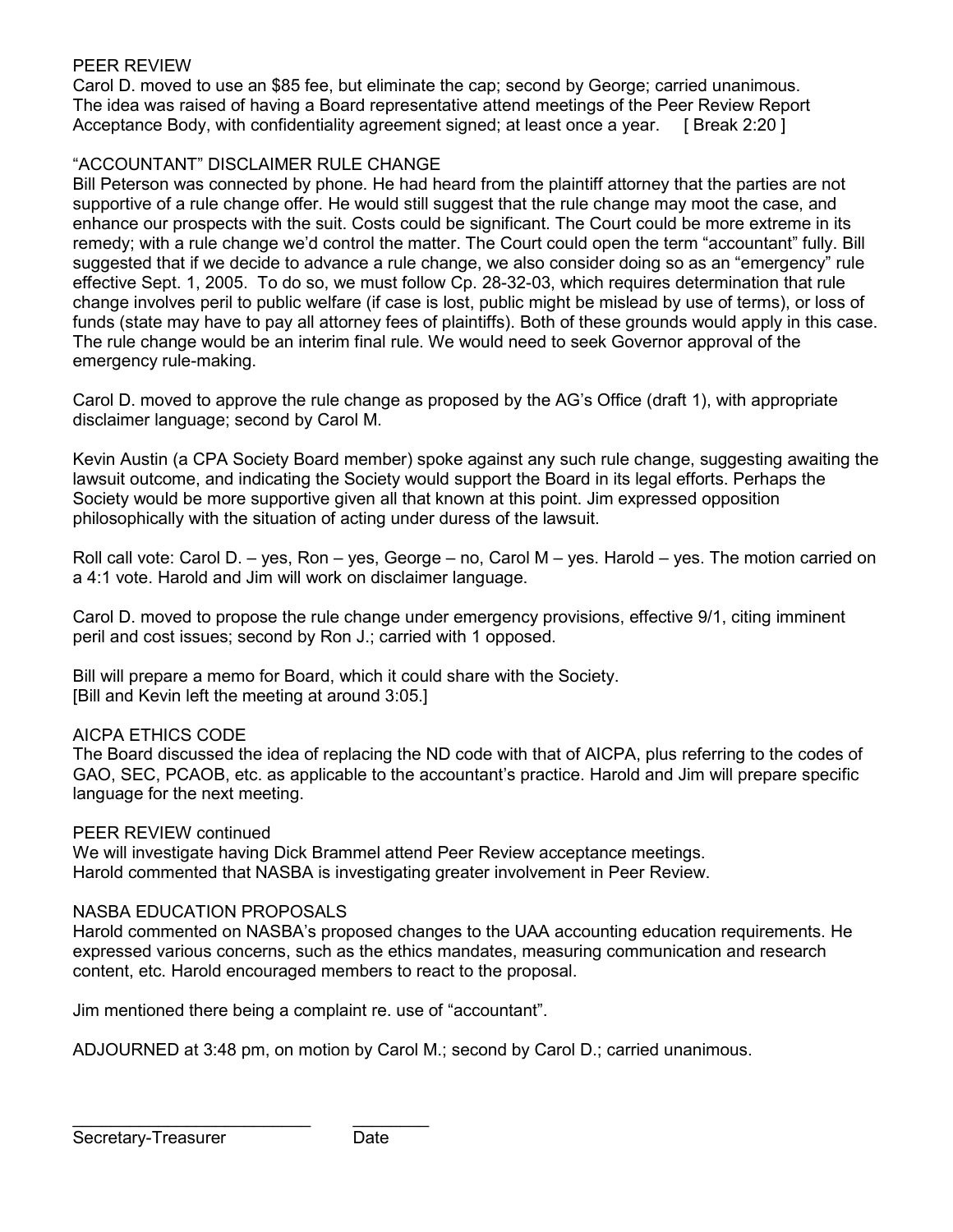## PEER REVIEW

Carol D. moved to use an \$85 fee, but eliminate the cap; second by George; carried unanimous. The idea was raised of having a Board representative attend meetings of the Peer Review Report Acceptance Body, with confidentiality agreement signed; at least once a year. [ Break 2:20 ]

## "ACCOUNTANT" DISCLAIMER RULE CHANGE

Bill Peterson was connected by phone. He had heard from the plaintiff attorney that the parties are not supportive of a rule change offer. He would still suggest that the rule change may moot the case, and enhance our prospects with the suit. Costs could be significant. The Court could be more extreme in its remedy; with a rule change we'd control the matter. The Court could open the term "accountant" fully. Bill suggested that if we decide to advance a rule change, we also consider doing so as an "emergency" rule effective Sept. 1, 2005. To do so, we must follow Cp. 28-32-03, which requires determination that rule change involves peril to public welfare (if case is lost, public might be mislead by use of terms), or loss of funds (state may have to pay all attorney fees of plaintiffs). Both of these grounds would apply in this case. The rule change would be an interim final rule. We would need to seek Governor approval of the emergency rule-making.

Carol D. moved to approve the rule change as proposed by the AG's Office (draft 1), with appropriate disclaimer language; second by Carol M.

Kevin Austin (a CPA Society Board member) spoke against any such rule change, suggesting awaiting the lawsuit outcome, and indicating the Society would support the Board in its legal efforts. Perhaps the Society would be more supportive given all that known at this point. Jim expressed opposition philosophically with the situation of acting under duress of the lawsuit.

Roll call vote: Carol D. – yes, Ron – yes, George – no, Carol M – yes. Harold – yes. The motion carried on a 4:1 vote. Harold and Jim will work on disclaimer language.

Carol D. moved to propose the rule change under emergency provisions, effective 9/1, citing imminent peril and cost issues; second by Ron J.; carried with 1 opposed.

Bill will prepare a memo for Board, which it could share with the Society. [Bill and Kevin left the meeting at around 3:05.]

### AICPA ETHICS CODE

The Board discussed the idea of replacing the ND code with that of AICPA, plus referring to the codes of GAO, SEC, PCAOB, etc. as applicable to the accountant's practice. Harold and Jim will prepare specific language for the next meeting.

#### PEER REVIEW continued

We will investigate having Dick Brammel attend Peer Review acceptance meetings. Harold commented that NASBA is investigating greater involvement in Peer Review.

#### NASBA EDUCATION PROPOSALS

Harold commented on NASBA's proposed changes to the UAA accounting education requirements. He expressed various concerns, such as the ethics mandates, measuring communication and research content, etc. Harold encouraged members to react to the proposal.

Jim mentioned there being a complaint re. use of "accountant".

ADJOURNED at 3:48 pm, on motion by Carol M.; second by Carol D.; carried unanimous.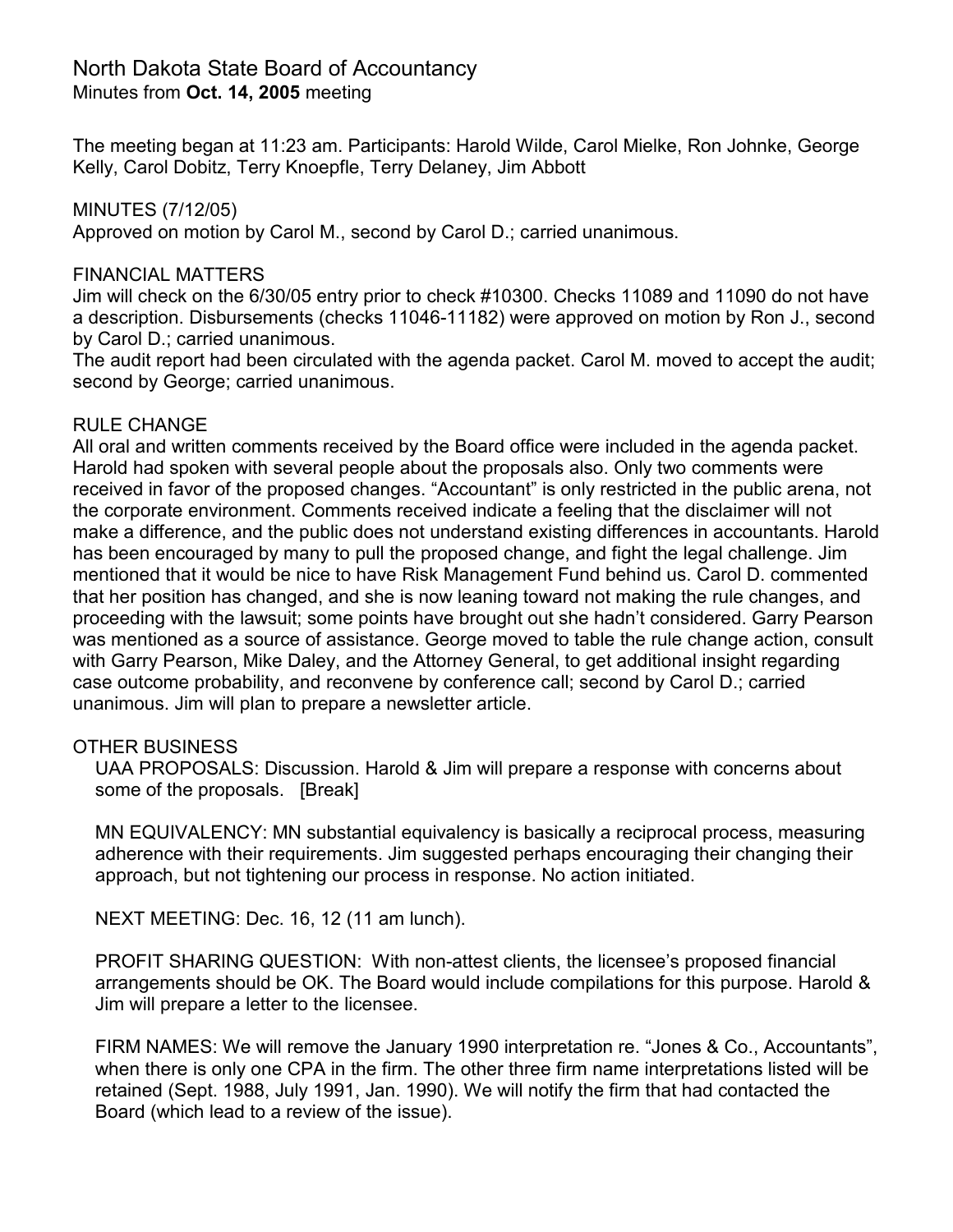## North Dakota State Board of Accountancy Minutes from **Oct. 14, 2005** meeting

The meeting began at 11:23 am. Participants: Harold Wilde, Carol Mielke, Ron Johnke, George Kelly, Carol Dobitz, Terry Knoepfle, Terry Delaney, Jim Abbott

MINUTES (7/12/05) Approved on motion by Carol M., second by Carol D.; carried unanimous.

## FINANCIAL MATTERS

Jim will check on the 6/30/05 entry prior to check #10300. Checks 11089 and 11090 do not have a description. Disbursements (checks 11046-11182) were approved on motion by Ron J., second by Carol D.; carried unanimous.

The audit report had been circulated with the agenda packet. Carol M. moved to accept the audit; second by George; carried unanimous.

## RULE CHANGE

All oral and written comments received by the Board office were included in the agenda packet. Harold had spoken with several people about the proposals also. Only two comments were received in favor of the proposed changes. "Accountant" is only restricted in the public arena, not the corporate environment. Comments received indicate a feeling that the disclaimer will not make a difference, and the public does not understand existing differences in accountants. Harold has been encouraged by many to pull the proposed change, and fight the legal challenge. Jim mentioned that it would be nice to have Risk Management Fund behind us. Carol D. commented that her position has changed, and she is now leaning toward not making the rule changes, and proceeding with the lawsuit; some points have brought out she hadn't considered. Garry Pearson was mentioned as a source of assistance. George moved to table the rule change action, consult with Garry Pearson, Mike Daley, and the Attorney General, to get additional insight regarding case outcome probability, and reconvene by conference call; second by Carol D.; carried unanimous. Jim will plan to prepare a newsletter article.

## OTHER BUSINESS

UAA PROPOSALS: Discussion. Harold & Jim will prepare a response with concerns about some of the proposals. [Break]

MN EQUIVALENCY: MN substantial equivalency is basically a reciprocal process, measuring adherence with their requirements. Jim suggested perhaps encouraging their changing their approach, but not tightening our process in response. No action initiated.

NEXT MEETING: Dec. 16, 12 (11 am lunch).

PROFIT SHARING QUESTION: With non-attest clients, the licensee's proposed financial arrangements should be OK. The Board would include compilations for this purpose. Harold & Jim will prepare a letter to the licensee.

FIRM NAMES: We will remove the January 1990 interpretation re. "Jones & Co., Accountants", when there is only one CPA in the firm. The other three firm name interpretations listed will be retained (Sept. 1988, July 1991, Jan. 1990). We will notify the firm that had contacted the Board (which lead to a review of the issue).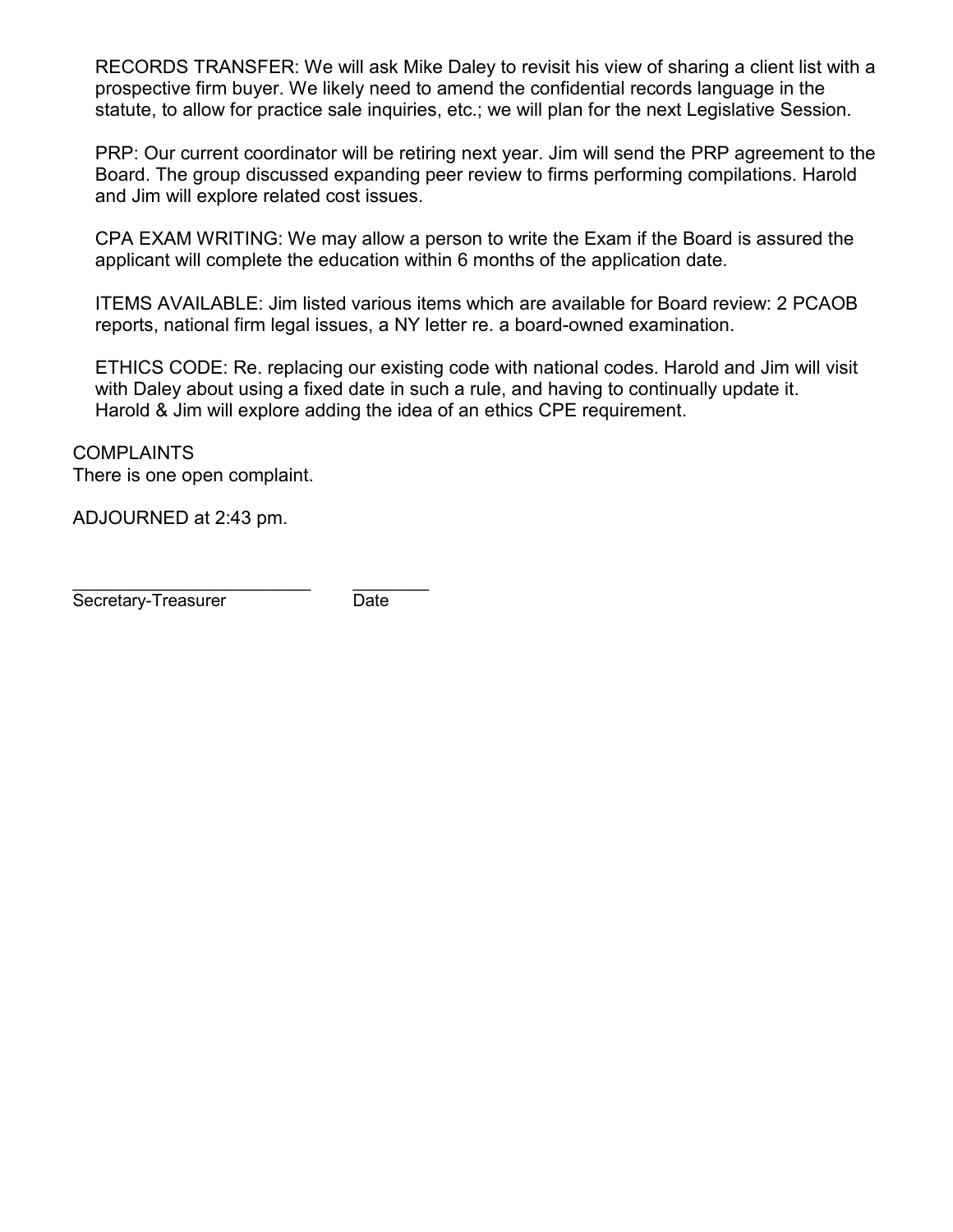RECORDS TRANSFER: We will ask Mike Daley to revisit his view of sharing a client list with a prospective firm buyer. We likely need to amend the confidential records language in the statute, to allow for practice sale inquiries, etc.; we will plan for the next Legislative Session.

PRP: Our current coordinator will be retiring next year. Jim will send the PRP agreement to the Board. The group discussed expanding peer review to firms performing compilations. Harold and Jim will explore related cost issues.

CPA EXAM WRITING: We may allow a person to write the Exam if the Board is assured the applicant will complete the education within 6 months of the application date.

ITEMS AVAILABLE: Jim listed various items which are available for Board review: 2 PCAOB reports, national firm legal issues, a NY letter re. a board-owned examination.

ETHICS CODE: Re. replacing our existing code with national codes. Harold and Jim will visit with Daley about using a fixed date in such a rule, and having to continually update it. Harold & Jim will explore adding the idea of an ethics CPE requirement.

**COMPLAINTS** There is one open complaint.

ADJOURNED at 2:43 pm.

\_\_\_\_\_\_\_\_\_\_\_\_\_\_\_\_\_\_\_\_\_\_\_\_\_ \_\_\_\_\_\_\_\_ Secretary-Treasurer Date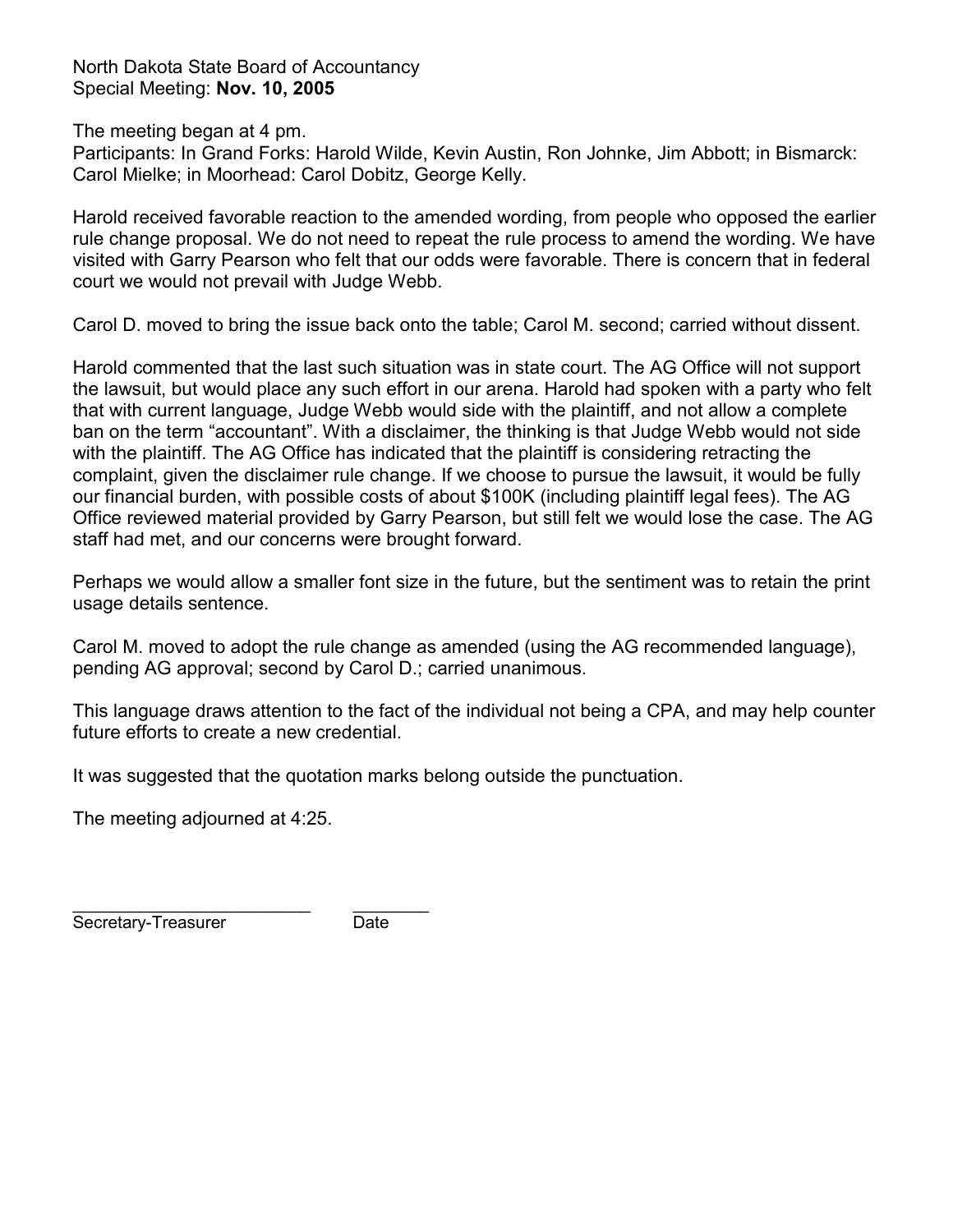North Dakota State Board of Accountancy Special Meeting: **Nov. 10, 2005**

The meeting began at 4 pm.

Participants: In Grand Forks: Harold Wilde, Kevin Austin, Ron Johnke, Jim Abbott; in Bismarck: Carol Mielke; in Moorhead: Carol Dobitz, George Kelly.

Harold received favorable reaction to the amended wording, from people who opposed the earlier rule change proposal. We do not need to repeat the rule process to amend the wording. We have visited with Garry Pearson who felt that our odds were favorable. There is concern that in federal court we would not prevail with Judge Webb.

Carol D. moved to bring the issue back onto the table; Carol M. second; carried without dissent.

Harold commented that the last such situation was in state court. The AG Office will not support the lawsuit, but would place any such effort in our arena. Harold had spoken with a party who felt that with current language, Judge Webb would side with the plaintiff, and not allow a complete ban on the term "accountant". With a disclaimer, the thinking is that Judge Webb would not side with the plaintiff. The AG Office has indicated that the plaintiff is considering retracting the complaint, given the disclaimer rule change. If we choose to pursue the lawsuit, it would be fully our financial burden, with possible costs of about \$100K (including plaintiff legal fees). The AG Office reviewed material provided by Garry Pearson, but still felt we would lose the case. The AG staff had met, and our concerns were brought forward.

Perhaps we would allow a smaller font size in the future, but the sentiment was to retain the print usage details sentence.

Carol M. moved to adopt the rule change as amended (using the AG recommended language), pending AG approval; second by Carol D.; carried unanimous.

This language draws attention to the fact of the individual not being a CPA, and may help counter future efforts to create a new credential.

It was suggested that the quotation marks belong outside the punctuation.

The meeting adjourned at 4:25.

\_\_\_\_\_\_\_\_\_\_\_\_\_\_\_\_\_\_\_\_\_\_\_\_\_ \_\_\_\_\_\_\_\_ Secretary-Treasurer Date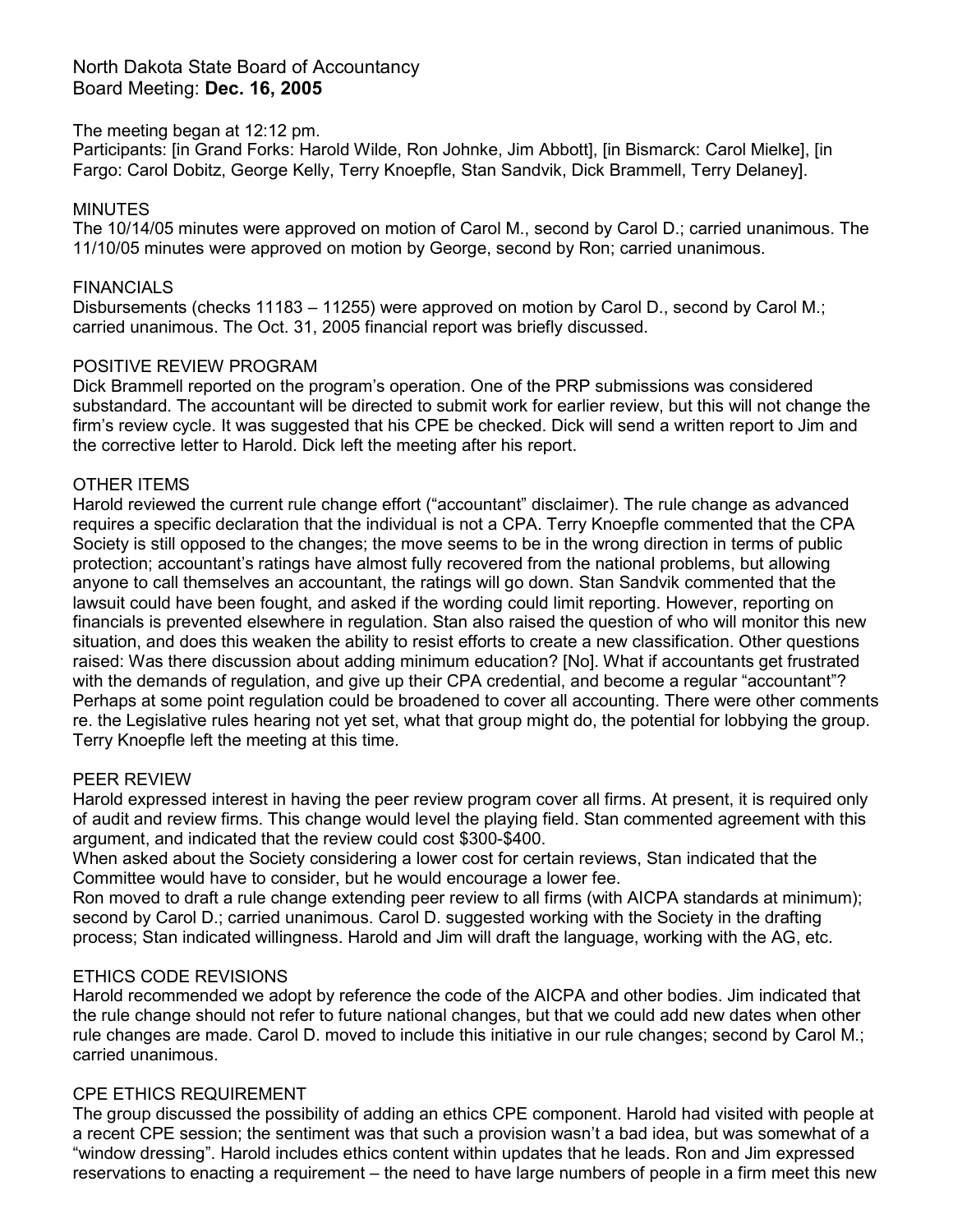## North Dakota State Board of Accountancy Board Meeting: **Dec. 16, 2005**

### The meeting began at 12:12 pm.

Participants: [in Grand Forks: Harold Wilde, Ron Johnke, Jim Abbott], [in Bismarck: Carol Mielke], [in Fargo: Carol Dobitz, George Kelly, Terry Knoepfle, Stan Sandvik, Dick Brammell, Terry Delaney].

### **MINUTES**

The 10/14/05 minutes were approved on motion of Carol M., second by Carol D.; carried unanimous. The 11/10/05 minutes were approved on motion by George, second by Ron; carried unanimous.

### FINANCIALS

Disbursements (checks 11183 – 11255) were approved on motion by Carol D., second by Carol M.; carried unanimous. The Oct. 31, 2005 financial report was briefly discussed.

#### POSITIVE REVIEW PROGRAM

Dick Brammell reported on the program's operation. One of the PRP submissions was considered substandard. The accountant will be directed to submit work for earlier review, but this will not change the firm's review cycle. It was suggested that his CPE be checked. Dick will send a written report to Jim and the corrective letter to Harold. Dick left the meeting after his report.

#### OTHER ITEMS

Harold reviewed the current rule change effort ("accountant" disclaimer). The rule change as advanced requires a specific declaration that the individual is not a CPA. Terry Knoepfle commented that the CPA Society is still opposed to the changes; the move seems to be in the wrong direction in terms of public protection; accountant's ratings have almost fully recovered from the national problems, but allowing anyone to call themselves an accountant, the ratings will go down. Stan Sandvik commented that the lawsuit could have been fought, and asked if the wording could limit reporting. However, reporting on financials is prevented elsewhere in regulation. Stan also raised the question of who will monitor this new situation, and does this weaken the ability to resist efforts to create a new classification. Other questions raised: Was there discussion about adding minimum education? [No]. What if accountants get frustrated with the demands of regulation, and give up their CPA credential, and become a regular "accountant"? Perhaps at some point regulation could be broadened to cover all accounting. There were other comments re. the Legislative rules hearing not yet set, what that group might do, the potential for lobbying the group. Terry Knoepfle left the meeting at this time.

#### PEER REVIEW

Harold expressed interest in having the peer review program cover all firms. At present, it is required only of audit and review firms. This change would level the playing field. Stan commented agreement with this argument, and indicated that the review could cost \$300-\$400.

When asked about the Society considering a lower cost for certain reviews, Stan indicated that the Committee would have to consider, but he would encourage a lower fee.

Ron moved to draft a rule change extending peer review to all firms (with AICPA standards at minimum); second by Carol D.; carried unanimous. Carol D. suggested working with the Society in the drafting process; Stan indicated willingness. Harold and Jim will draft the language, working with the AG, etc.

### ETHICS CODE REVISIONS

Harold recommended we adopt by reference the code of the AICPA and other bodies. Jim indicated that the rule change should not refer to future national changes, but that we could add new dates when other rule changes are made. Carol D. moved to include this initiative in our rule changes; second by Carol M.; carried unanimous.

### CPE ETHICS REQUIREMENT

The group discussed the possibility of adding an ethics CPE component. Harold had visited with people at a recent CPE session; the sentiment was that such a provision wasn't a bad idea, but was somewhat of a "window dressing". Harold includes ethics content within updates that he leads. Ron and Jim expressed reservations to enacting a requirement – the need to have large numbers of people in a firm meet this new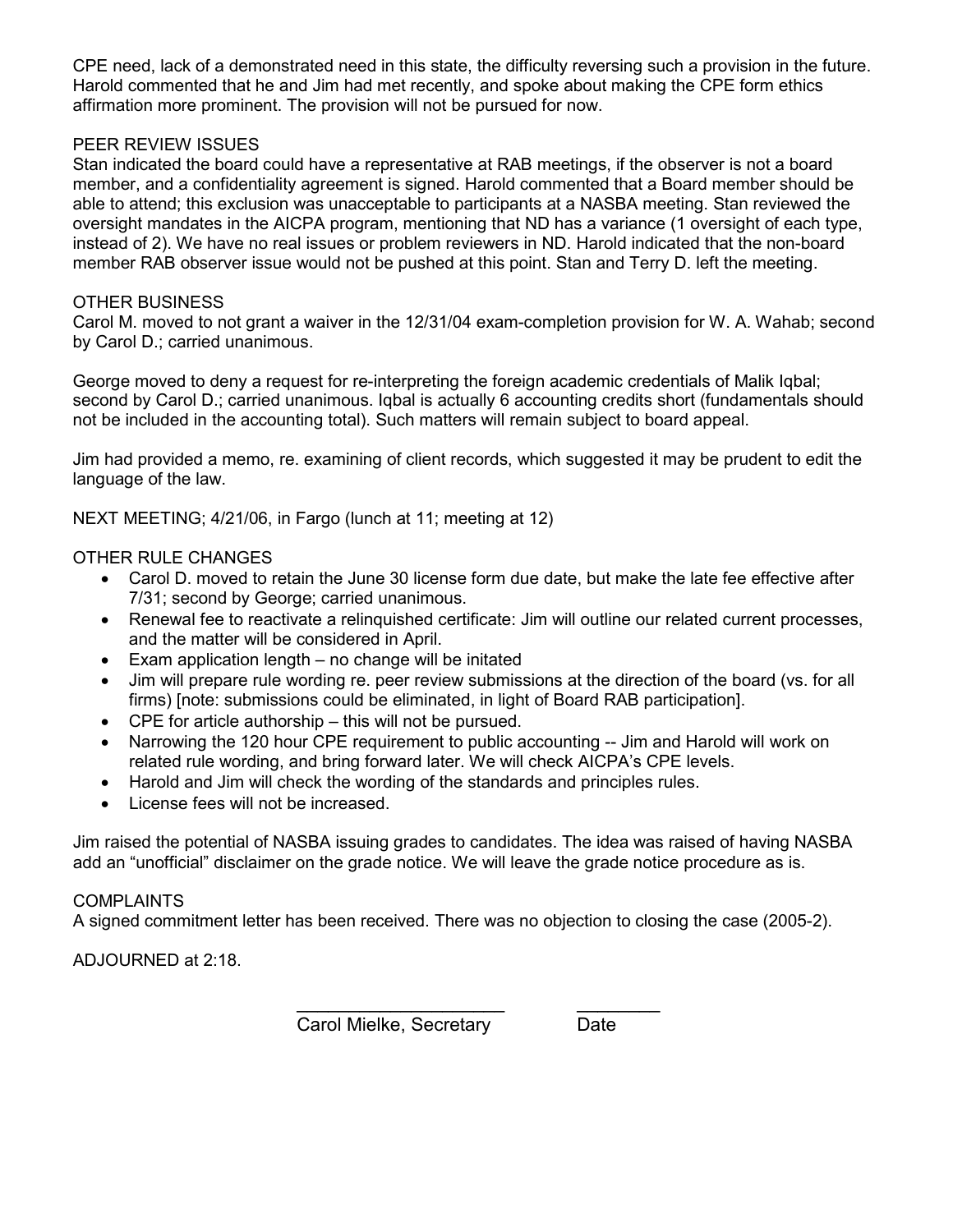CPE need, lack of a demonstrated need in this state, the difficulty reversing such a provision in the future. Harold commented that he and Jim had met recently, and spoke about making the CPE form ethics affirmation more prominent. The provision will not be pursued for now.

## PEER REVIEW ISSUES

Stan indicated the board could have a representative at RAB meetings, if the observer is not a board member, and a confidentiality agreement is signed. Harold commented that a Board member should be able to attend; this exclusion was unacceptable to participants at a NASBA meeting. Stan reviewed the oversight mandates in the AICPA program, mentioning that ND has a variance (1 oversight of each type, instead of 2). We have no real issues or problem reviewers in ND. Harold indicated that the non-board member RAB observer issue would not be pushed at this point. Stan and Terry D. left the meeting.

#### OTHER BUSINESS

Carol M. moved to not grant a waiver in the 12/31/04 exam-completion provision for W. A. Wahab; second by Carol D.; carried unanimous.

George moved to deny a request for re-interpreting the foreign academic credentials of Malik Iqbal; second by Carol D.; carried unanimous. Iqbal is actually 6 accounting credits short (fundamentals should not be included in the accounting total). Such matters will remain subject to board appeal.

Jim had provided a memo, re. examining of client records, which suggested it may be prudent to edit the language of the law.

NEXT MEETING; 4/21/06, in Fargo (lunch at 11; meeting at 12)

### OTHER RULE CHANGES

- Carol D. moved to retain the June 30 license form due date, but make the late fee effective after 7/31; second by George; carried unanimous.
- Renewal fee to reactivate a relinquished certificate: Jim will outline our related current processes, and the matter will be considered in April.
- Exam application length  $-$  no change will be initated
- Jim will prepare rule wording re. peer review submissions at the direction of the board (vs. for all firms) [note: submissions could be eliminated, in light of Board RAB participation].
- CPE for article authorship this will not be pursued.
- Narrowing the 120 hour CPE requirement to public accounting -- Jim and Harold will work on related rule wording, and bring forward later. We will check AICPA's CPE levels.
- Harold and Jim will check the wording of the standards and principles rules.
- License fees will not be increased.

Jim raised the potential of NASBA issuing grades to candidates. The idea was raised of having NASBA add an "unofficial" disclaimer on the grade notice. We will leave the grade notice procedure as is.

#### COMPLAINTS

A signed commitment letter has been received. There was no objection to closing the case (2005-2).

\_\_\_\_\_\_\_\_\_\_\_\_\_\_\_\_\_\_\_\_ \_\_\_\_\_\_\_\_

ADJOURNED at 2:18.

**Carol Mielke, Secretary Date Carol Mielke, Secretary Date**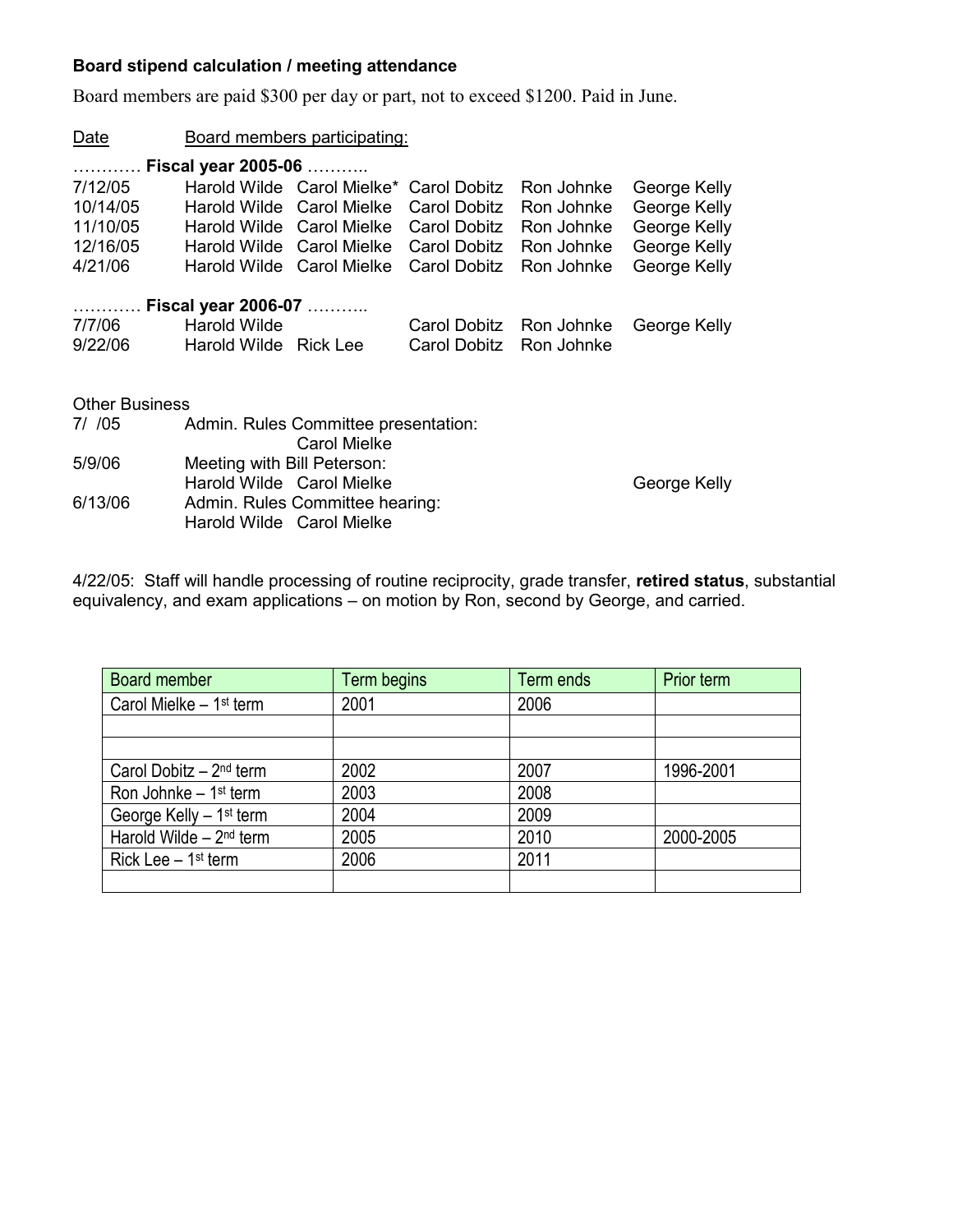# **Board stipend calculation / meeting attendance**

Board members are paid \$300 per day or part, not to exceed \$1200. Paid in June.

| Date                  | Board members participating: |                                                             |                         |            |              |
|-----------------------|------------------------------|-------------------------------------------------------------|-------------------------|------------|--------------|
|                       |                              |                                                             |                         |            |              |
| 7/12/05               |                              | Harold Wilde Carol Mielke* Carol Dobitz                     |                         | Ron Johnke | George Kelly |
| 10/14/05              |                              | Harold Wilde Carol Mielke                                   | Carol Dobitz Ron Johnke |            | George Kelly |
| 11/10/05              |                              | Harold Wilde Carol Mielke Carol Dobitz Ron Johnke           |                         |            | George Kelly |
| 12/16/05              |                              | Harold Wilde Carol Mielke Carol Dobitz Ron Johnke           |                         |            | George Kelly |
| 4/21/06               |                              | Harold Wilde Carol Mielke Carol Dobitz                      |                         | Ron Johnke | George Kelly |
|                       |                              |                                                             |                         |            |              |
|                       | Fiscal year 2006-07          |                                                             |                         |            |              |
| 7/7/06                | <b>Harold Wilde</b>          |                                                             | Carol Dobitz Ron Johnke |            | George Kelly |
| 9/22/06               | Harold Wilde Rick Lee        |                                                             | Carol Dobitz Ron Johnke |            |              |
|                       |                              |                                                             |                         |            |              |
| <b>Other Business</b> |                              |                                                             |                         |            |              |
|                       |                              |                                                             |                         |            |              |
| 7/705                 |                              | Admin. Rules Committee presentation:<br><b>Carol Mielke</b> |                         |            |              |
| 5/9/06                | Meeting with Bill Peterson:  |                                                             |                         |            |              |
|                       |                              | Harold Wilde Carol Mielke                                   |                         |            | George Kelly |
| 6/13/06               |                              | Admin. Rules Committee hearing:                             |                         |            |              |
|                       |                              | Harold Wilde Carol Mielke                                   |                         |            |              |

4/22/05: Staff will handle processing of routine reciprocity, grade transfer, **retired status**, substantial equivalency, and exam applications – on motion by Ron, second by George, and carried.

| Board member                         | Term begins | Term ends | Prior term |
|--------------------------------------|-------------|-----------|------------|
| Carol Mielke $-1$ <sup>st</sup> term | 2001        | 2006      |            |
|                                      |             |           |            |
|                                      |             |           |            |
| Carol Dobitz $-2^{nd}$ term          | 2002        | 2007      | 1996-2001  |
| Ron Johnke $-1$ <sup>st</sup> term   | 2003        | 2008      |            |
| George Kelly - 1 <sup>st</sup> term  | 2004        | 2009      |            |
| Harold Wilde - 2 <sup>nd</sup> term  | 2005        | 2010      | 2000-2005  |
| Rick Lee $-1$ <sup>st</sup> term     | 2006        | 2011      |            |
|                                      |             |           |            |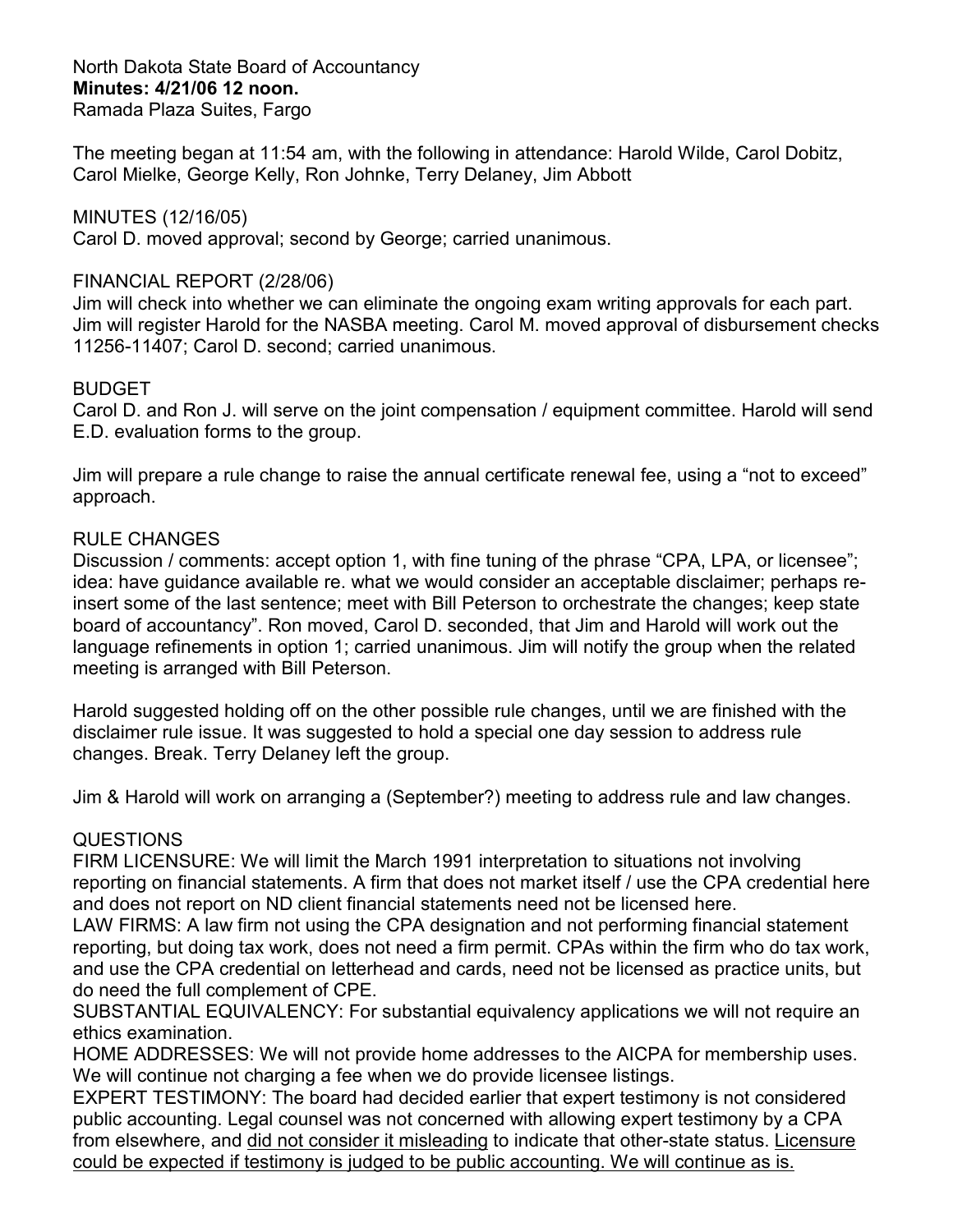North Dakota State Board of Accountancy **Minutes: 4/21/06 12 noon.**  Ramada Plaza Suites, Fargo

The meeting began at 11:54 am, with the following in attendance: Harold Wilde, Carol Dobitz, Carol Mielke, George Kelly, Ron Johnke, Terry Delaney, Jim Abbott

## MINUTES (12/16/05)

Carol D. moved approval; second by George; carried unanimous.

## FINANCIAL REPORT (2/28/06)

Jim will check into whether we can eliminate the ongoing exam writing approvals for each part. Jim will register Harold for the NASBA meeting. Carol M. moved approval of disbursement checks 11256-11407; Carol D. second; carried unanimous.

## BUDGET

Carol D. and Ron J. will serve on the joint compensation / equipment committee. Harold will send E.D. evaluation forms to the group.

Jim will prepare a rule change to raise the annual certificate renewal fee, using a "not to exceed" approach.

## RULE CHANGES

Discussion / comments: accept option 1, with fine tuning of the phrase "CPA, LPA, or licensee"; idea: have guidance available re. what we would consider an acceptable disclaimer; perhaps reinsert some of the last sentence; meet with Bill Peterson to orchestrate the changes; keep state board of accountancy". Ron moved, Carol D. seconded, that Jim and Harold will work out the language refinements in option 1; carried unanimous. Jim will notify the group when the related meeting is arranged with Bill Peterson.

Harold suggested holding off on the other possible rule changes, until we are finished with the disclaimer rule issue. It was suggested to hold a special one day session to address rule changes. Break. Terry Delaney left the group.

Jim & Harold will work on arranging a (September?) meeting to address rule and law changes.

## **QUESTIONS**

FIRM LICENSURE: We will limit the March 1991 interpretation to situations not involving reporting on financial statements. A firm that does not market itself / use the CPA credential here and does not report on ND client financial statements need not be licensed here.

LAW FIRMS: A law firm not using the CPA designation and not performing financial statement reporting, but doing tax work, does not need a firm permit. CPAs within the firm who do tax work, and use the CPA credential on letterhead and cards, need not be licensed as practice units, but do need the full complement of CPE.

SUBSTANTIAL EQUIVALENCY: For substantial equivalency applications we will not require an ethics examination.

HOME ADDRESSES: We will not provide home addresses to the AICPA for membership uses. We will continue not charging a fee when we do provide licensee listings.

EXPERT TESTIMONY: The board had decided earlier that expert testimony is not considered public accounting. Legal counsel was not concerned with allowing expert testimony by a CPA from elsewhere, and did not consider it misleading to indicate that other-state status. Licensure could be expected if testimony is judged to be public accounting. We will continue as is.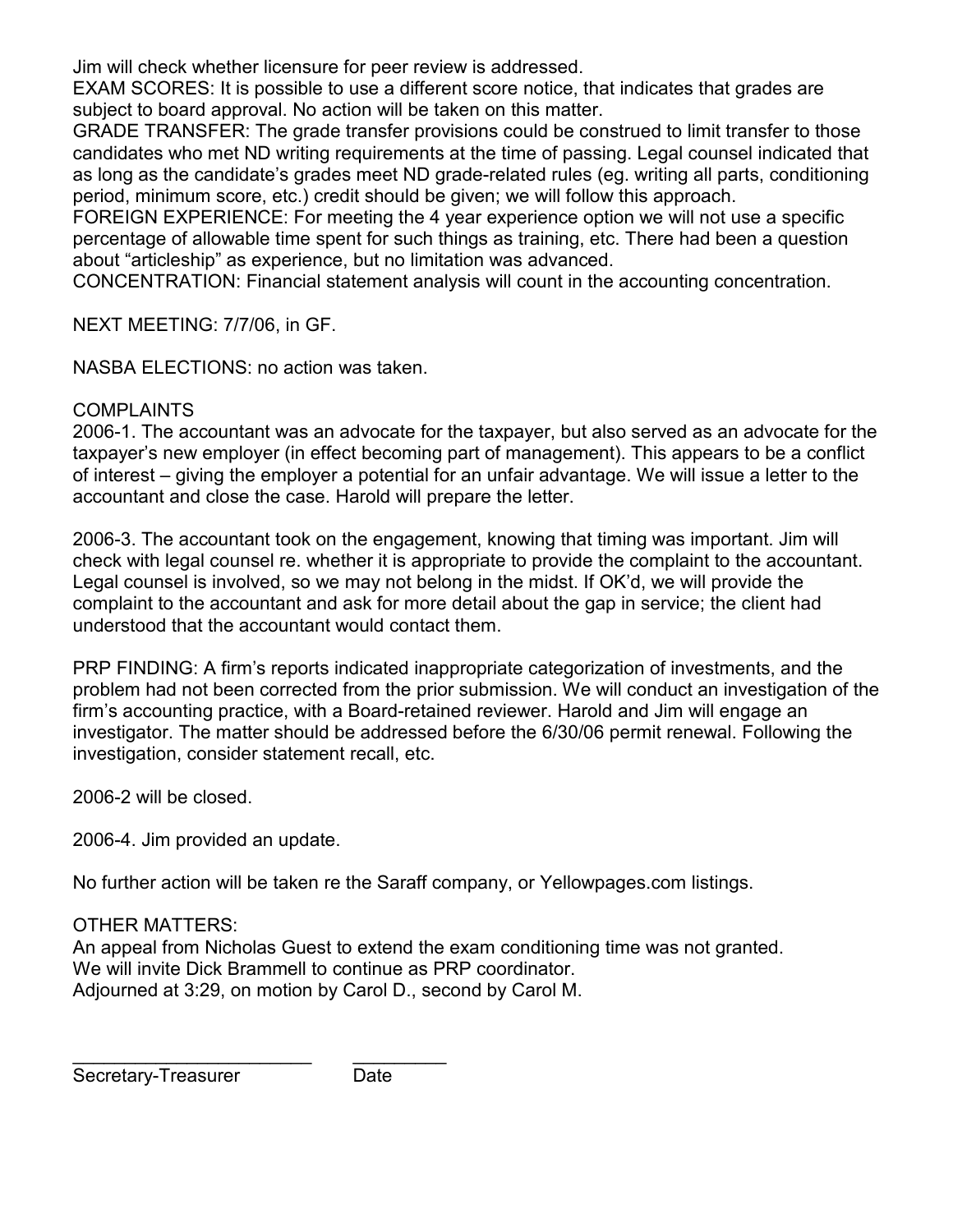Jim will check whether licensure for peer review is addressed.

EXAM SCORES: It is possible to use a different score notice, that indicates that grades are subject to board approval. No action will be taken on this matter.

GRADE TRANSFER: The grade transfer provisions could be construed to limit transfer to those candidates who met ND writing requirements at the time of passing. Legal counsel indicated that as long as the candidate's grades meet ND grade-related rules (eg. writing all parts, conditioning period, minimum score, etc.) credit should be given; we will follow this approach.

FOREIGN EXPERIENCE: For meeting the 4 year experience option we will not use a specific percentage of allowable time spent for such things as training, etc. There had been a question about "articleship" as experience, but no limitation was advanced.

CONCENTRATION: Financial statement analysis will count in the accounting concentration.

NEXT MEETING: 7/7/06, in GF.

NASBA ELECTIONS: no action was taken.

# **COMPLAINTS**

2006-1. The accountant was an advocate for the taxpayer, but also served as an advocate for the taxpayer's new employer (in effect becoming part of management). This appears to be a conflict of interest – giving the employer a potential for an unfair advantage. We will issue a letter to the accountant and close the case. Harold will prepare the letter.

2006-3. The accountant took on the engagement, knowing that timing was important. Jim will check with legal counsel re. whether it is appropriate to provide the complaint to the accountant. Legal counsel is involved, so we may not belong in the midst. If OK'd, we will provide the complaint to the accountant and ask for more detail about the gap in service; the client had understood that the accountant would contact them.

PRP FINDING: A firm's reports indicated inappropriate categorization of investments, and the problem had not been corrected from the prior submission. We will conduct an investigation of the firm's accounting practice, with a Board-retained reviewer. Harold and Jim will engage an investigator. The matter should be addressed before the 6/30/06 permit renewal. Following the investigation, consider statement recall, etc.

2006-2 will be closed.

2006-4. Jim provided an update.

No further action will be taken re the Saraff company, or Yellowpages.com listings.

# OTHER MATTERS:

An appeal from Nicholas Guest to extend the exam conditioning time was not granted. We will invite Dick Brammell to continue as PRP coordinator. Adjourned at 3:29, on motion by Carol D., second by Carol M.

\_\_\_\_\_\_\_\_\_\_\_\_\_\_\_\_\_\_\_\_\_\_\_ \_\_\_\_\_\_\_\_\_ Secretary-Treasurer **Date**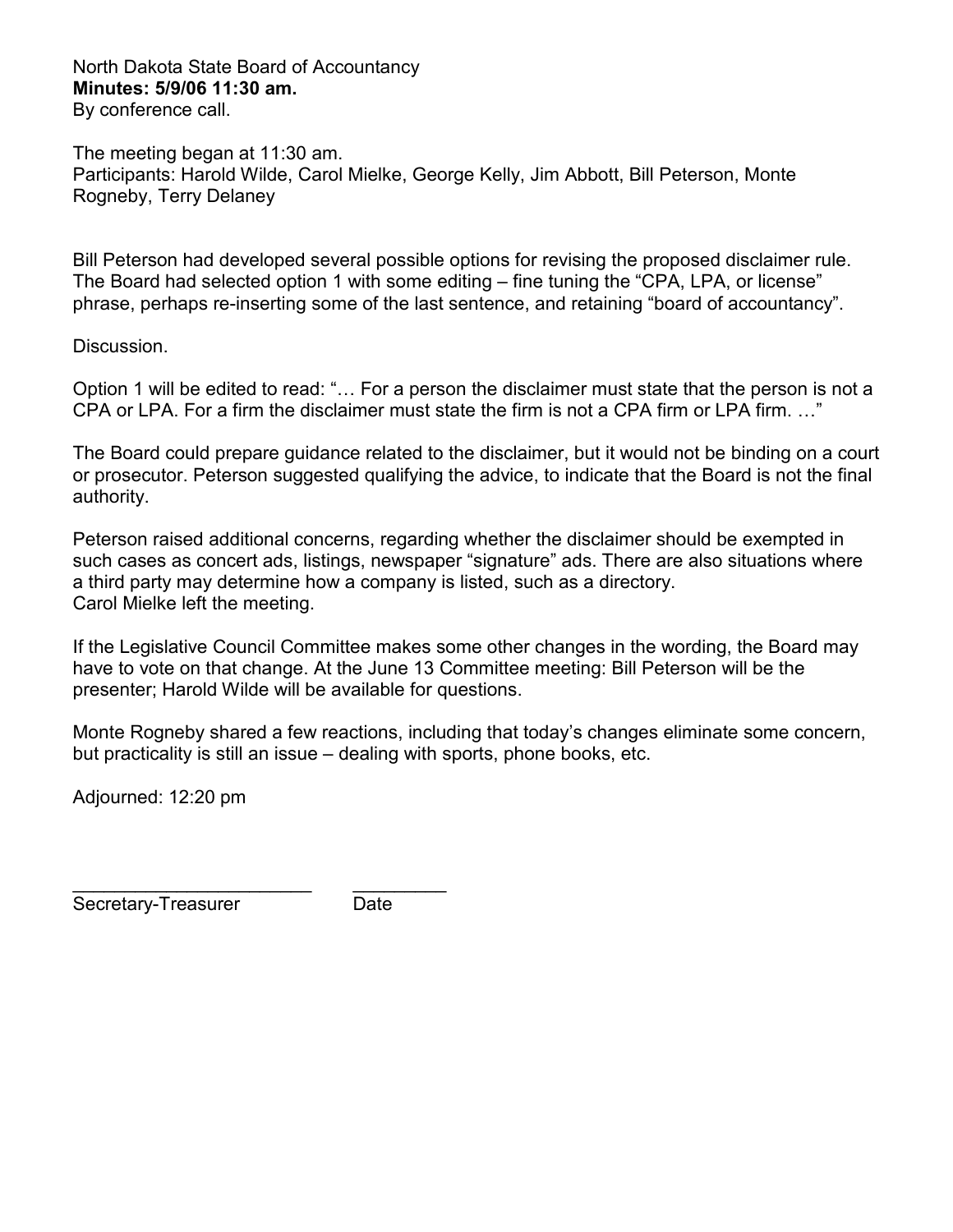North Dakota State Board of Accountancy **Minutes: 5/9/06 11:30 am.**  By conference call.

The meeting began at 11:30 am. Participants: Harold Wilde, Carol Mielke, George Kelly, Jim Abbott, Bill Peterson, Monte Rogneby, Terry Delaney

Bill Peterson had developed several possible options for revising the proposed disclaimer rule. The Board had selected option 1 with some editing – fine tuning the "CPA, LPA, or license" phrase, perhaps re-inserting some of the last sentence, and retaining "board of accountancy".

Discussion.

Option 1 will be edited to read: "… For a person the disclaimer must state that the person is not a CPA or LPA. For a firm the disclaimer must state the firm is not a CPA firm or LPA firm. …"

The Board could prepare guidance related to the disclaimer, but it would not be binding on a court or prosecutor. Peterson suggested qualifying the advice, to indicate that the Board is not the final authority.

Peterson raised additional concerns, regarding whether the disclaimer should be exempted in such cases as concert ads, listings, newspaper "signature" ads. There are also situations where a third party may determine how a company is listed, such as a directory. Carol Mielke left the meeting.

If the Legislative Council Committee makes some other changes in the wording, the Board may have to vote on that change. At the June 13 Committee meeting: Bill Peterson will be the presenter; Harold Wilde will be available for questions.

Monte Rogneby shared a few reactions, including that today's changes eliminate some concern, but practicality is still an issue – dealing with sports, phone books, etc.

Adjourned: 12:20 pm

\_\_\_\_\_\_\_\_\_\_\_\_\_\_\_\_\_\_\_\_\_\_\_ \_\_\_\_\_\_\_\_\_ Secretary-Treasurer Date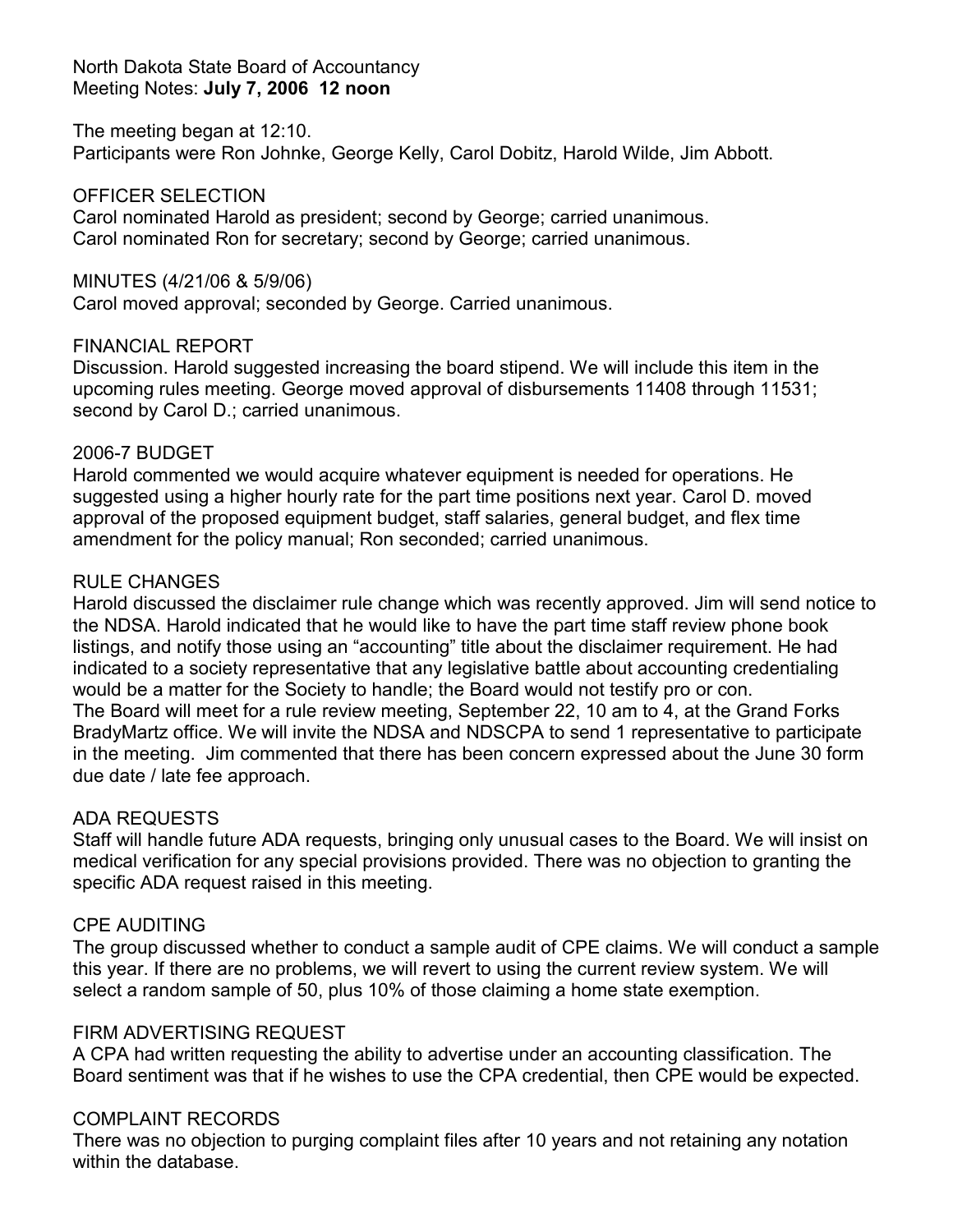## North Dakota State Board of Accountancy Meeting Notes: **July 7, 2006 12 noon**

## The meeting began at 12:10.

Participants were Ron Johnke, George Kelly, Carol Dobitz, Harold Wilde, Jim Abbott.

## OFFICER SELECTION

Carol nominated Harold as president; second by George; carried unanimous. Carol nominated Ron for secretary; second by George; carried unanimous.

## MINUTES (4/21/06 & 5/9/06)

Carol moved approval; seconded by George. Carried unanimous.

## FINANCIAL REPORT

Discussion. Harold suggested increasing the board stipend. We will include this item in the upcoming rules meeting. George moved approval of disbursements 11408 through 11531; second by Carol D.; carried unanimous.

## 2006-7 BUDGET

Harold commented we would acquire whatever equipment is needed for operations. He suggested using a higher hourly rate for the part time positions next year. Carol D. moved approval of the proposed equipment budget, staff salaries, general budget, and flex time amendment for the policy manual; Ron seconded; carried unanimous.

## RULE CHANGES

Harold discussed the disclaimer rule change which was recently approved. Jim will send notice to the NDSA. Harold indicated that he would like to have the part time staff review phone book listings, and notify those using an "accounting" title about the disclaimer requirement. He had indicated to a society representative that any legislative battle about accounting credentialing would be a matter for the Society to handle; the Board would not testify pro or con. The Board will meet for a rule review meeting, September 22, 10 am to 4, at the Grand Forks BradyMartz office. We will invite the NDSA and NDSCPA to send 1 representative to participate in the meeting. Jim commented that there has been concern expressed about the June 30 form due date / late fee approach.

## ADA REQUESTS

Staff will handle future ADA requests, bringing only unusual cases to the Board. We will insist on medical verification for any special provisions provided. There was no objection to granting the specific ADA request raised in this meeting.

## CPE AUDITING

The group discussed whether to conduct a sample audit of CPE claims. We will conduct a sample this year. If there are no problems, we will revert to using the current review system. We will select a random sample of 50, plus 10% of those claiming a home state exemption.

## FIRM ADVERTISING REQUEST

A CPA had written requesting the ability to advertise under an accounting classification. The Board sentiment was that if he wishes to use the CPA credential, then CPE would be expected.

## COMPLAINT RECORDS

There was no objection to purging complaint files after 10 years and not retaining any notation within the database.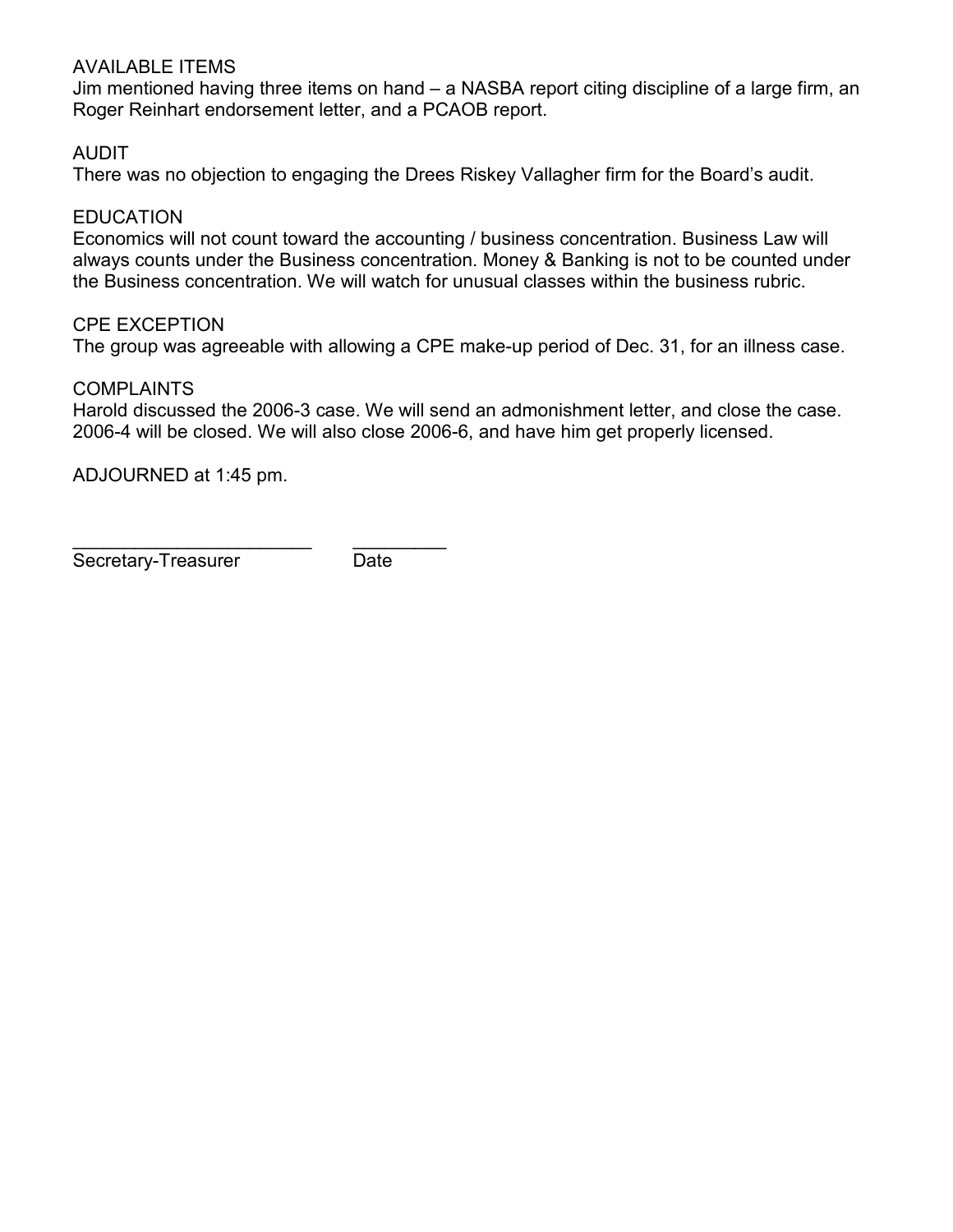# AVAILABLE ITEMS

Jim mentioned having three items on hand – a NASBA report citing discipline of a large firm, an Roger Reinhart endorsement letter, and a PCAOB report.

# AUDIT

There was no objection to engaging the Drees Riskey Vallagher firm for the Board's audit.

## EDUCATION

Economics will not count toward the accounting / business concentration. Business Law will always counts under the Business concentration. Money & Banking is not to be counted under the Business concentration. We will watch for unusual classes within the business rubric.

## CPE EXCEPTION

The group was agreeable with allowing a CPE make-up period of Dec. 31, for an illness case.

## COMPLAINTS

Harold discussed the 2006-3 case. We will send an admonishment letter, and close the case. 2006-4 will be closed. We will also close 2006-6, and have him get properly licensed.

ADJOURNED at 1:45 pm.

\_\_\_\_\_\_\_\_\_\_\_\_\_\_\_\_\_\_\_\_\_\_\_ \_\_\_\_\_\_\_\_\_ Secretary-Treasurer Date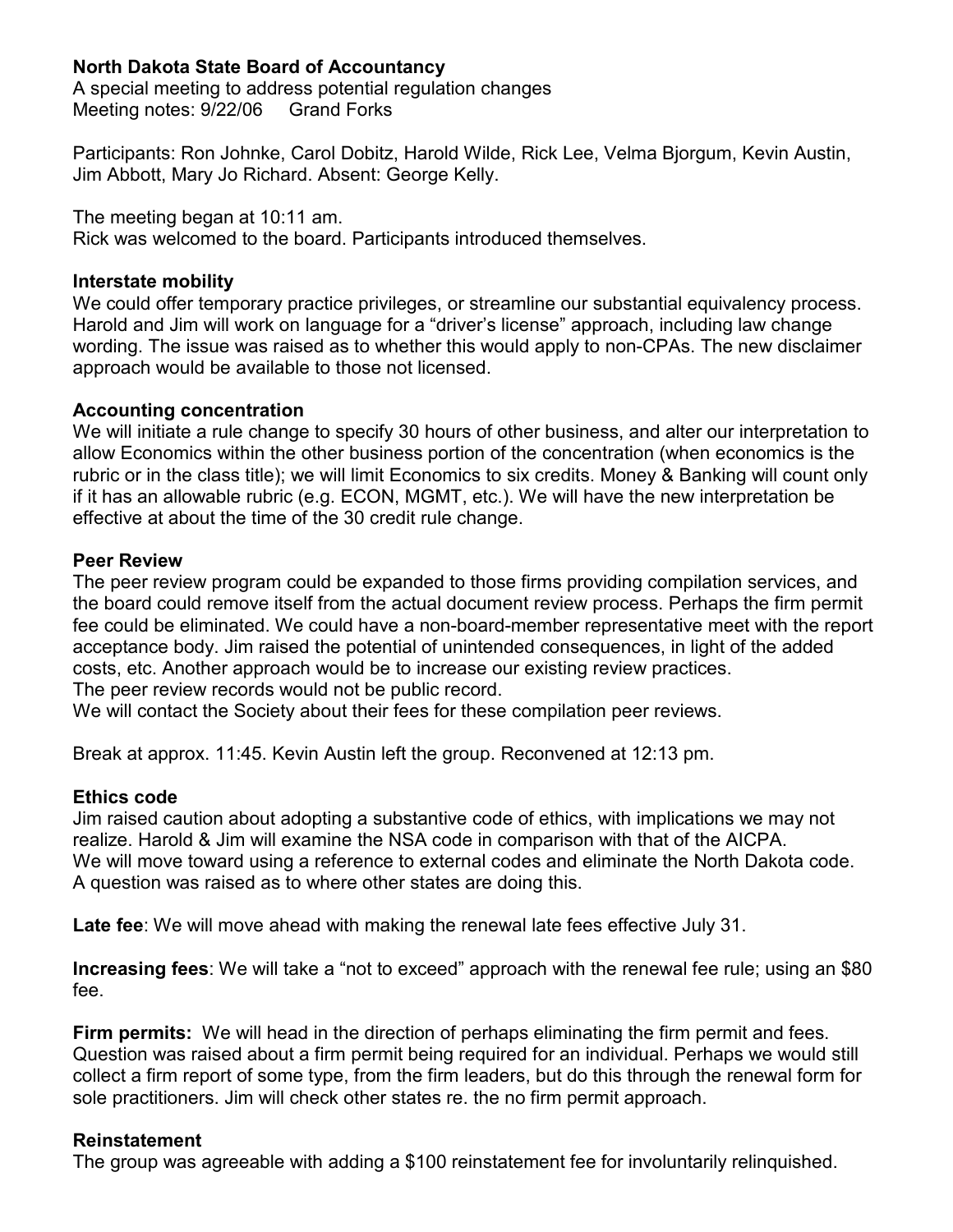# **North Dakota State Board of Accountancy**

A special meeting to address potential regulation changes Meeting notes: 9/22/06 Grand Forks

Participants: Ron Johnke, Carol Dobitz, Harold Wilde, Rick Lee, Velma Bjorgum, Kevin Austin, Jim Abbott, Mary Jo Richard. Absent: George Kelly.

The meeting began at 10:11 am.

Rick was welcomed to the board. Participants introduced themselves.

## **Interstate mobility**

We could offer temporary practice privileges, or streamline our substantial equivalency process. Harold and Jim will work on language for a "driver's license" approach, including law change wording. The issue was raised as to whether this would apply to non-CPAs. The new disclaimer approach would be available to those not licensed.

## **Accounting concentration**

We will initiate a rule change to specify 30 hours of other business, and alter our interpretation to allow Economics within the other business portion of the concentration (when economics is the rubric or in the class title); we will limit Economics to six credits. Money & Banking will count only if it has an allowable rubric (e.g. ECON, MGMT, etc.). We will have the new interpretation be effective at about the time of the 30 credit rule change.

## **Peer Review**

The peer review program could be expanded to those firms providing compilation services, and the board could remove itself from the actual document review process. Perhaps the firm permit fee could be eliminated. We could have a non-board-member representative meet with the report acceptance body. Jim raised the potential of unintended consequences, in light of the added costs, etc. Another approach would be to increase our existing review practices. The peer review records would not be public record.

We will contact the Society about their fees for these compilation peer reviews.

Break at approx. 11:45. Kevin Austin left the group. Reconvened at 12:13 pm.

## **Ethics code**

Jim raised caution about adopting a substantive code of ethics, with implications we may not realize. Harold & Jim will examine the NSA code in comparison with that of the AICPA. We will move toward using a reference to external codes and eliminate the North Dakota code. A question was raised as to where other states are doing this.

**Late fee**: We will move ahead with making the renewal late fees effective July 31.

**Increasing fees**: We will take a "not to exceed" approach with the renewal fee rule; using an \$80 fee.

**Firm permits:** We will head in the direction of perhaps eliminating the firm permit and fees. Question was raised about a firm permit being required for an individual. Perhaps we would still collect a firm report of some type, from the firm leaders, but do this through the renewal form for sole practitioners. Jim will check other states re. the no firm permit approach.

## **Reinstatement**

The group was agreeable with adding a \$100 reinstatement fee for involuntarily relinquished.